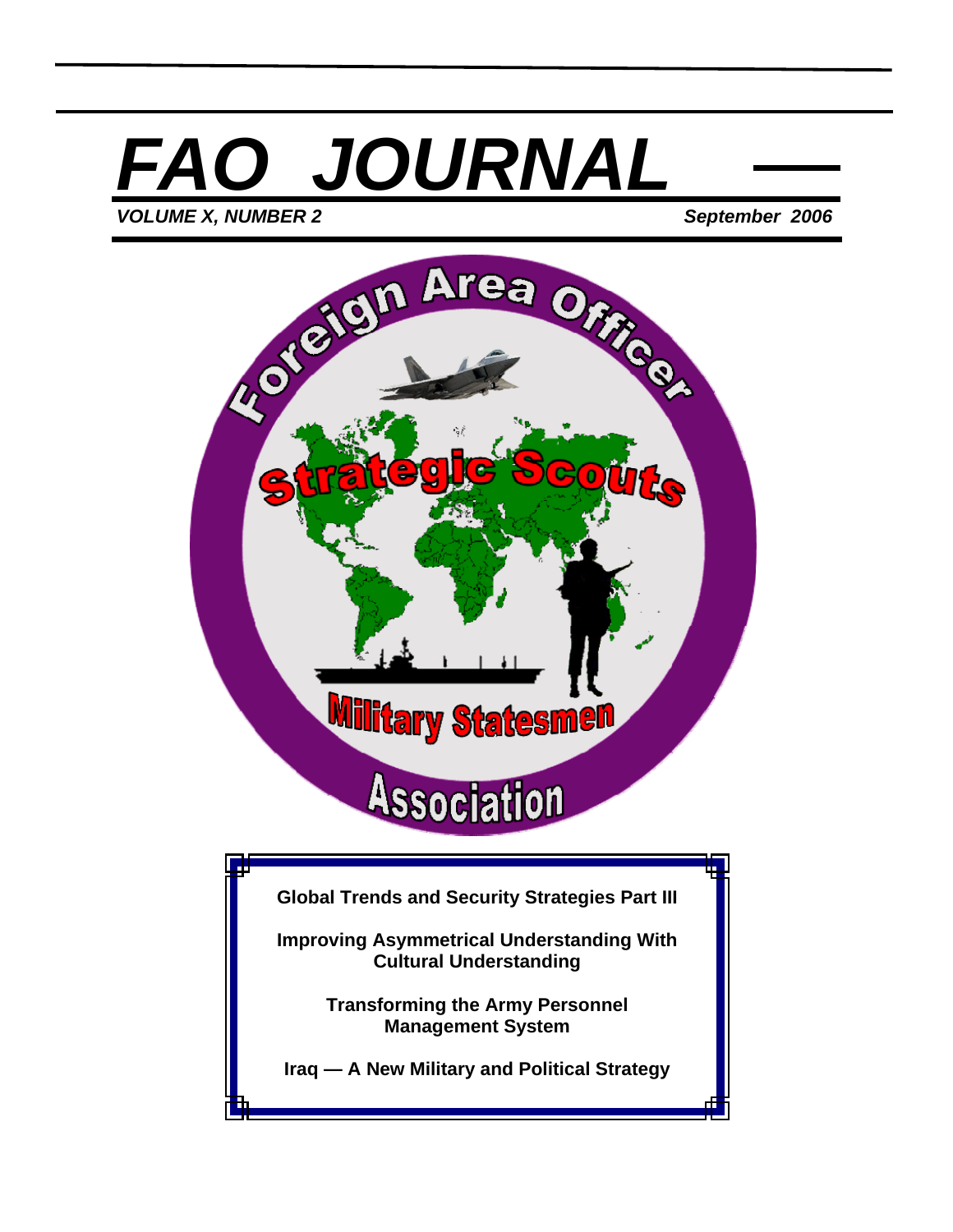# *FAO JOURNAL VOLUME X, NUMBER 2 September 2006*

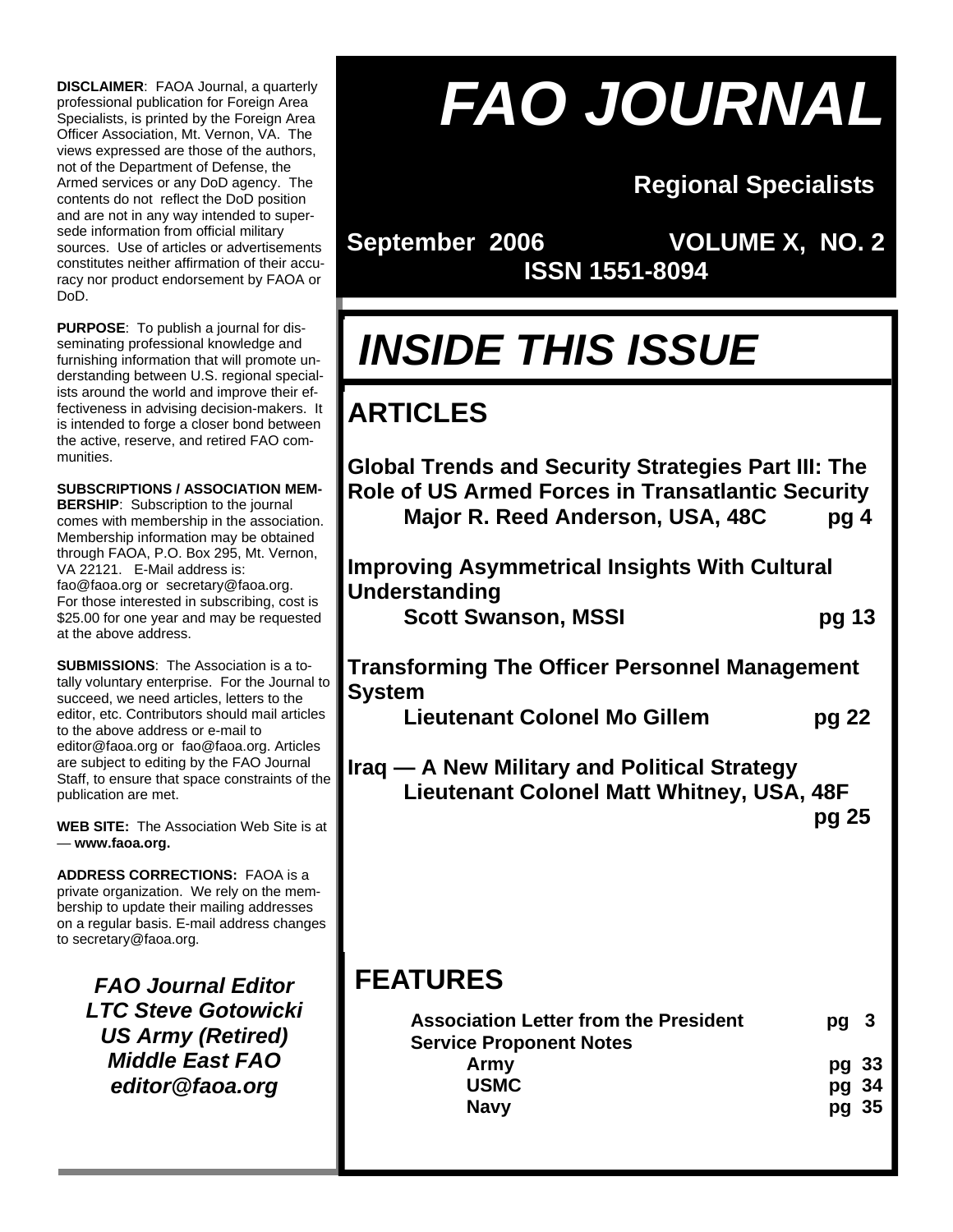**DISCLAIMER**: FAOA Journal, a quarterly professional publication for Foreign Area Specialists, is printed by the Foreign Area Officer Association, Mt. Vernon, VA. The views expressed are those of the authors, not of the Department of Defense, the Armed services or any DoD agency. The contents do not reflect the DoD position and are not in any way intended to supersede information from official military sources. Use of articles or advertisements constitutes neither affirmation of their accuracy nor product endorsement by FAOA or DoD.

**PURPOSE**: To publish a journal for disseminating professional knowledge and furnishing information that will promote understanding between U.S. regional specialists around the world and improve their effectiveness in advising decision-makers. It is intended to forge a closer bond between the active, reserve, and retired FAO communities.

**SUBSCRIPTIONS / ASSOCIATION MEM-BERSHIP**: Subscription to the journal comes with membership in the association. Membership information may be obtained through FAOA, P.O. Box 295, Mt. Vernon, VA 22121. E-Mail address is: fao@faoa.org or secretary@faoa.org. For those interested in subscribing, cost is \$25.00 for one year and may be requested at the above address.

**SUBMISSIONS**: The Association is a totally voluntary enterprise. For the Journal to succeed, we need articles, letters to the editor, etc. Contributors should mail articles to the above address or e-mail to editor@faoa.org or fao@faoa.org. Articles are subject to editing by the FAO Journal Staff, to ensure that space constraints of the publication are met.

**WEB SITE:** The Association Web Site is at — **www.faoa.org.**

**ADDRESS CORRECTIONS:** FAOA is a private organization. We rely on the membership to update their mailing addresses on a regular basis. E-mail address changes to secretary@faoa.org.

> *FAO Journal Editor LTC Steve Gotowicki US Army (Retired) Middle East FAO editor@faoa.org*

# *FAO JOURNAL*

# **Regional Specialists**

**September 2006 VOLUME X, NO. 2 ISSN 1551-8094** 

# *INSIDE THIS ISSUE*

# **ARTICLES**

**Global Trends and Security Strategies Part III: The Role of US Armed Forces in Transatlantic Security Major R. Reed Anderson, USA, 48C pg 4** 

**Improving Asymmetrical Insights With Cultural Understanding Scott Swanson, MSSI pg 13** 

**Transforming The Officer Personnel Management System** 

 **Lieutenant Colonel Mo Gillem pg 22** 

**Iraq — A New Military and Political Strategy Lieutenant Colonel Matt Whitney, USA, 48F b** pg 25 **pg 25** 

# **FEATURES**

| <b>Association Letter from the President</b><br><b>Service Proponent Notes</b> | pg <sub>3</sub> |
|--------------------------------------------------------------------------------|-----------------|
| Army                                                                           | pg 33           |
| <b>USMC</b>                                                                    | pg 34           |
| <b>Navy</b>                                                                    | pg 35           |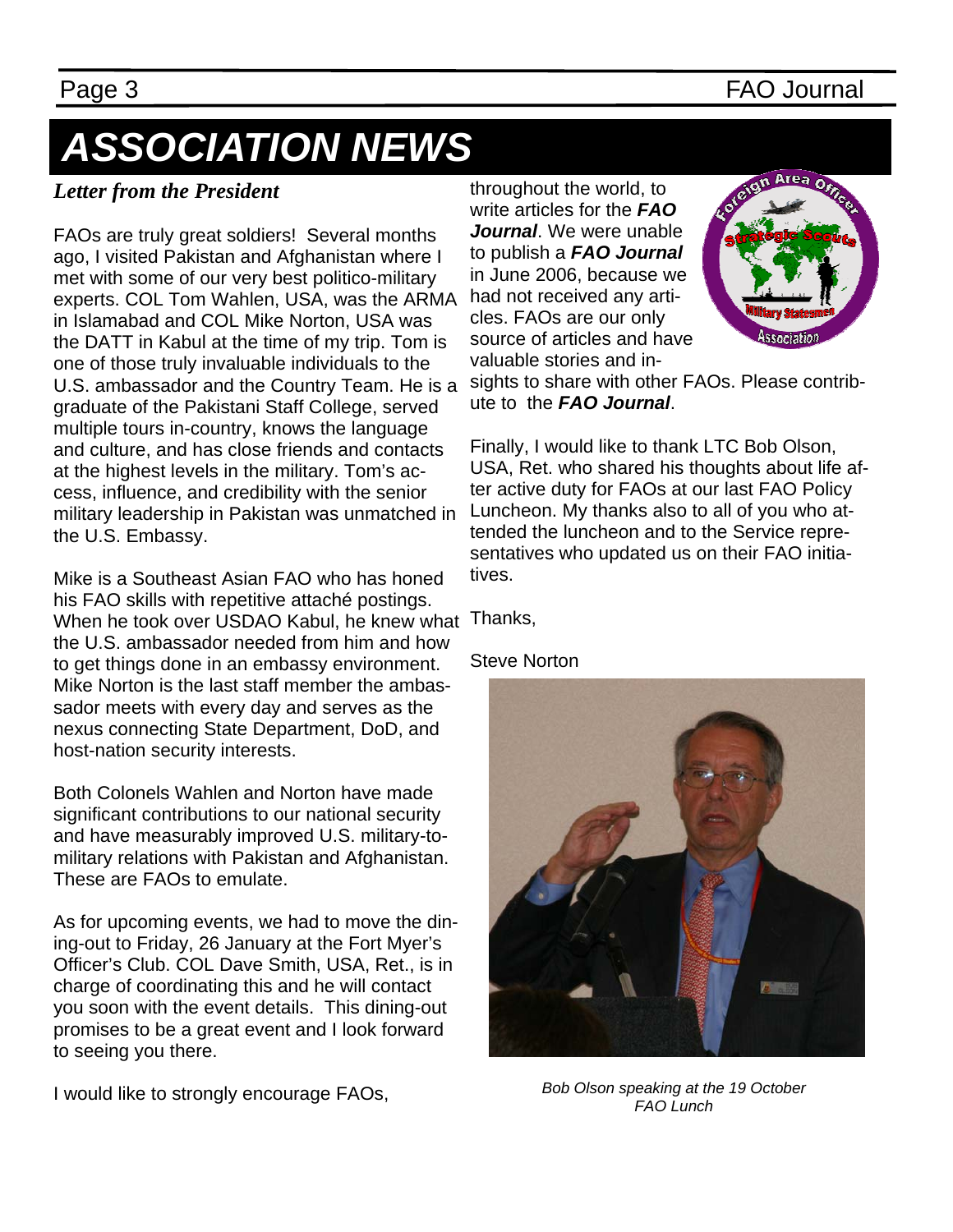### Page 3 FAO Journal

# *ASSOCIATION NEWS*

### *Letter from the President*

FAOs are truly great soldiers! Several months ago, I visited Pakistan and Afghanistan where I met with some of our very best politico-military experts. COL Tom Wahlen, USA, was the ARMA in Islamabad and COL Mike Norton, USA was the DATT in Kabul at the time of my trip. Tom is one of those truly invaluable individuals to the U.S. ambassador and the Country Team. He is a graduate of the Pakistani Staff College, served multiple tours in-country, knows the language and culture, and has close friends and contacts at the highest levels in the military. Tom's access, influence, and credibility with the senior military leadership in Pakistan was unmatched in the U.S. Embassy.

Mike is a Southeast Asian FAO who has honed his FAO skills with repetitive attaché postings. When he took over USDAO Kabul, he knew what Thanks, the U.S. ambassador needed from him and how to get things done in an embassy environment. Mike Norton is the last staff member the ambassador meets with every day and serves as the nexus connecting State Department, DoD, and host-nation security interests.

Both Colonels Wahlen and Norton have made significant contributions to our national security and have measurably improved U.S. military-tomilitary relations with Pakistan and Afghanistan. These are FAOs to emulate.

As for upcoming events, we had to move the dining-out to Friday, 26 January at the Fort Myer's Officer's Club. COL Dave Smith, USA, Ret., is in charge of coordinating this and he will contact you soon with the event details. This dining-out promises to be a great event and I look forward to seeing you there.

I would like to strongly encourage FAOs,

throughout the world, to write articles for the *FAO Journal*. We were unable to publish a *FAO Journal* in June 2006, because we had not received any articles. FAOs are our only source of articles and have valuable stories and in-



sights to share with other FAOs. Please contribute to the *FAO Journal*.

Finally, I would like to thank LTC Bob Olson, USA, Ret. who shared his thoughts about life after active duty for FAOs at our last FAO Policy Luncheon. My thanks also to all of you who attended the luncheon and to the Service representatives who updated us on their FAO initiatives.

Steve Norton



*Bob Olson speaking at the 19 October FAO Lunch*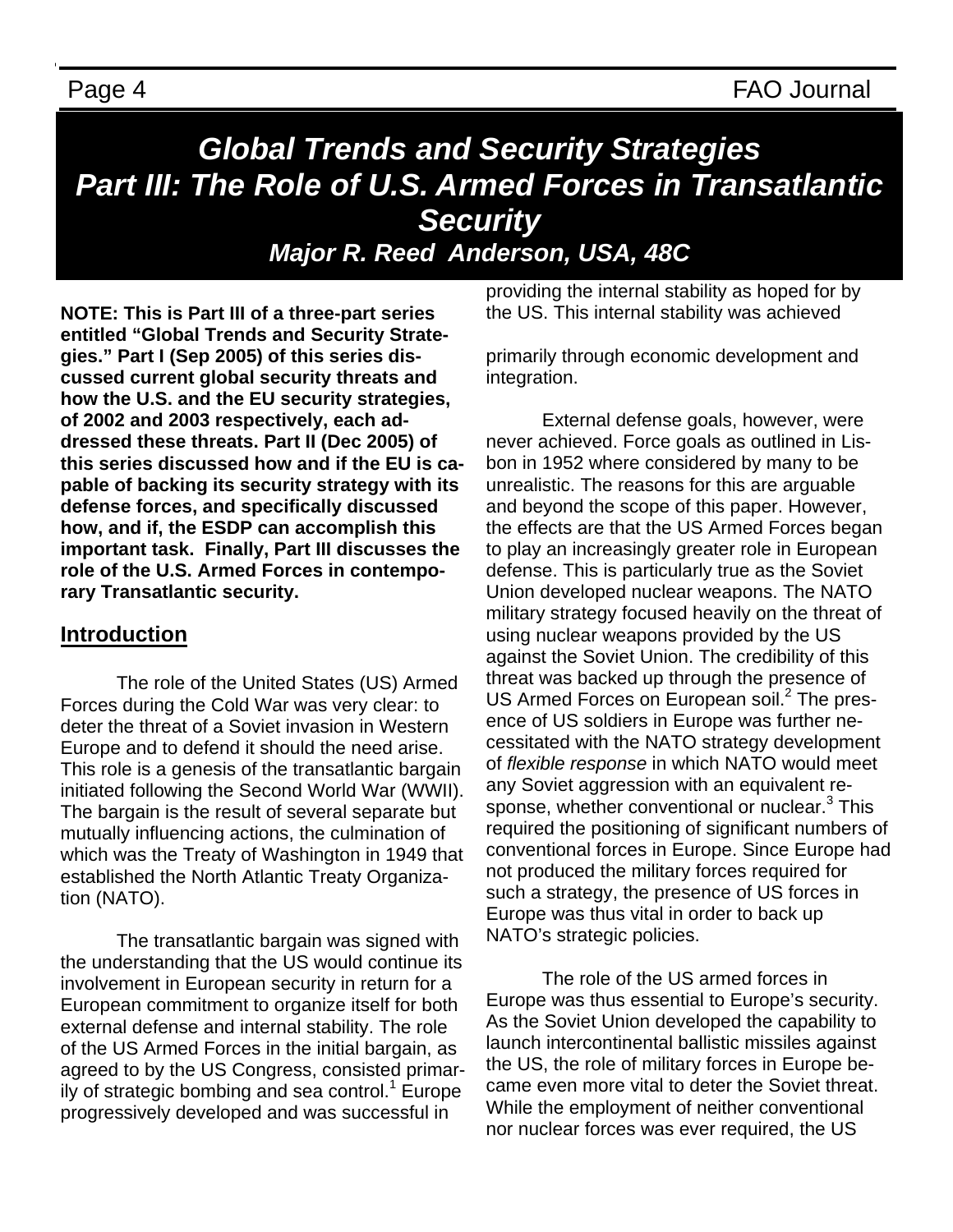Page 4 FAO Journal

# *Global Trends and Security Strategies Part III: The Role of U.S. Armed Forces in Transatlantic Security Major R. Reed Anderson, USA, 48C*

**NOTE: This is Part III of a three-part series entitled "Global Trends and Security Strategies." Part I (Sep 2005) of this series discussed current global security threats and how the U.S. and the EU security strategies, of 2002 and 2003 respectively, each addressed these threats. Part II (Dec 2005) of this series discussed how and if the EU is capable of backing its security strategy with its defense forces, and specifically discussed how, and if, the ESDP can accomplish this important task. Finally, Part III discusses the role of the U.S. Armed Forces in contemporary Transatlantic security.** 

### **Introduction**

 The role of the United States (US) Armed Forces during the Cold War was very clear: to deter the threat of a Soviet invasion in Western Europe and to defend it should the need arise. This role is a genesis of the transatlantic bargain initiated following the Second World War (WWII). The bargain is the result of several separate but mutually influencing actions, the culmination of which was the Treaty of Washington in 1949 that established the North Atlantic Treaty Organization (NATO).

 The transatlantic bargain was signed with the understanding that the US would continue its involvement in European security in return for a European commitment to organize itself for both external defense and internal stability. The role of the US Armed Forces in the initial bargain, as agreed to by the US Congress, consisted primarily of strategic bombing and sea control. $1$  Europe progressively developed and was successful in

providing the internal stability as hoped for by the US. This internal stability was achieved

primarily through economic development and integration.

 External defense goals, however, were never achieved. Force goals as outlined in Lisbon in 1952 where considered by many to be unrealistic. The reasons for this are arguable and beyond the scope of this paper. However, the effects are that the US Armed Forces began to play an increasingly greater role in European defense. This is particularly true as the Soviet Union developed nuclear weapons. The NATO military strategy focused heavily on the threat of using nuclear weapons provided by the US against the Soviet Union. The credibility of this threat was backed up through the presence of US Armed Forces on European soil.<sup>2</sup> The presence of US soldiers in Europe was further necessitated with the NATO strategy development of *flexible response* in which NATO would meet any Soviet aggression with an equivalent response, whether conventional or nuclear.<sup>3</sup> This required the positioning of significant numbers of conventional forces in Europe. Since Europe had not produced the military forces required for such a strategy, the presence of US forces in Europe was thus vital in order to back up NATO's strategic policies.

 The role of the US armed forces in Europe was thus essential to Europe's security. As the Soviet Union developed the capability to launch intercontinental ballistic missiles against the US, the role of military forces in Europe became even more vital to deter the Soviet threat. While the employment of neither conventional nor nuclear forces was ever required, the US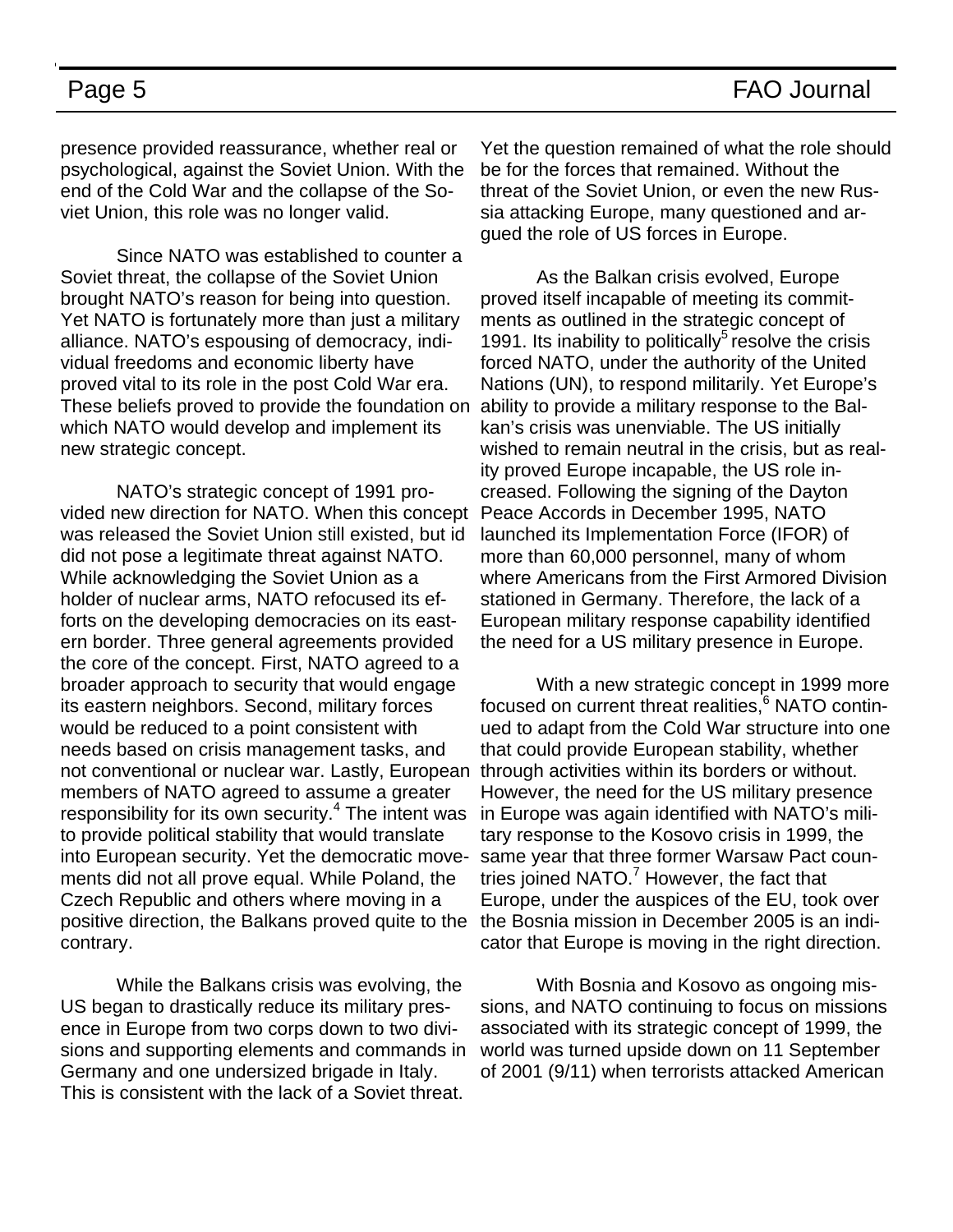presence provided reassurance, whether real or psychological, against the Soviet Union. With the end of the Cold War and the collapse of the Soviet Union, this role was no longer valid.

 Since NATO was established to counter a Soviet threat, the collapse of the Soviet Union brought NATO's reason for being into question. Yet NATO is fortunately more than just a military alliance. NATO's espousing of democracy, individual freedoms and economic liberty have proved vital to its role in the post Cold War era. These beliefs proved to provide the foundation on which NATO would develop and implement its new strategic concept.

 NATO's strategic concept of 1991 provided new direction for NATO. When this concept was released the Soviet Union still existed, but id did not pose a legitimate threat against NATO. While acknowledging the Soviet Union as a holder of nuclear arms, NATO refocused its efforts on the developing democracies on its eastern border. Three general agreements provided the core of the concept. First, NATO agreed to a broader approach to security that would engage its eastern neighbors. Second, military forces would be reduced to a point consistent with needs based on crisis management tasks, and not conventional or nuclear war. Lastly, European members of NATO agreed to assume a greater responsibility for its own security.<sup>4</sup> The intent was to provide political stability that would translate into European security. Yet the democratic movements did not all prove equal. While Poland, the Czech Republic and others where moving in a positive direction, the Balkans proved quite to the contrary.

 While the Balkans crisis was evolving, the US began to drastically reduce its military presence in Europe from two corps down to two divisions and supporting elements and commands in Germany and one undersized brigade in Italy. This is consistent with the lack of a Soviet threat.

Yet the question remained of what the role should be for the forces that remained. Without the threat of the Soviet Union, or even the new Russia attacking Europe, many questioned and argued the role of US forces in Europe.

 As the Balkan crisis evolved, Europe proved itself incapable of meeting its commitments as outlined in the strategic concept of 1991. Its inability to politically<sup>5</sup> resolve the crisis forced NATO, under the authority of the United Nations (UN), to respond militarily. Yet Europe's ability to provide a military response to the Balkan's crisis was unenviable. The US initially wished to remain neutral in the crisis, but as reality proved Europe incapable, the US role increased. Following the signing of the Dayton Peace Accords in December 1995, NATO launched its Implementation Force (IFOR) of more than 60,000 personnel, many of whom where Americans from the First Armored Division stationed in Germany. Therefore, the lack of a European military response capability identified the need for a US military presence in Europe.

 With a new strategic concept in 1999 more focused on current threat realities,<sup>6</sup> NATO continued to adapt from the Cold War structure into one that could provide European stability, whether through activities within its borders or without. However, the need for the US military presence in Europe was again identified with NATO's military response to the Kosovo crisis in 1999, the same year that three former Warsaw Pact countries joined NATO.<sup>7</sup> However, the fact that Europe, under the auspices of the EU, took over the Bosnia mission in December 2005 is an indicator that Europe is moving in the right direction.

 With Bosnia and Kosovo as ongoing missions, and NATO continuing to focus on missions associated with its strategic concept of 1999, the world was turned upside down on 11 September of 2001 (9/11) when terrorists attacked American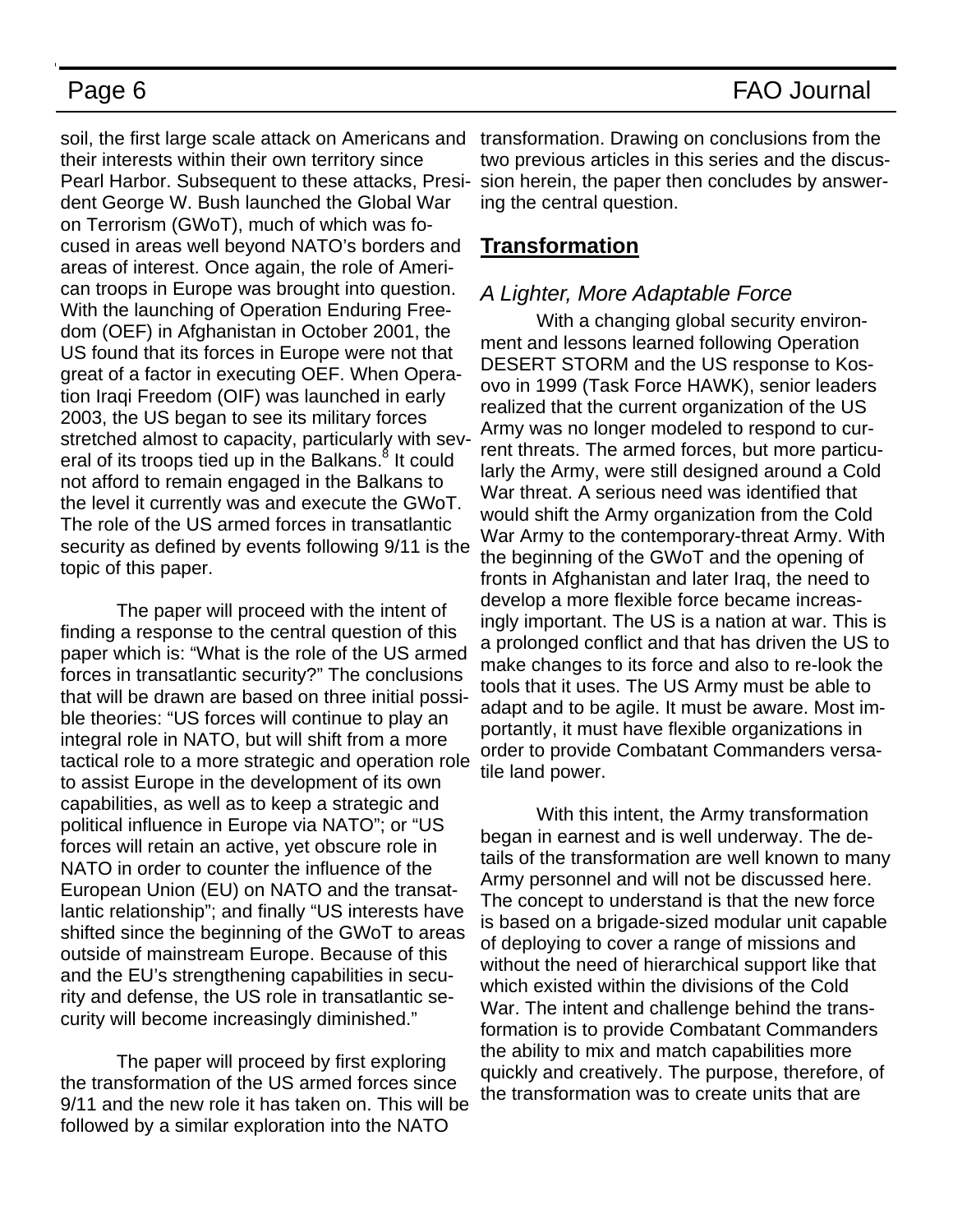soil, the first large scale attack on Americans and transformation. Drawing on conclusions from the their interests within their own territory since Pearl Harbor. Subsequent to these attacks, President George W. Bush launched the Global War on Terrorism (GWoT), much of which was focused in areas well beyond NATO's borders and areas of interest. Once again, the role of American troops in Europe was brought into question. With the launching of Operation Enduring Freedom (OEF) in Afghanistan in October 2001, the US found that its forces in Europe were not that great of a factor in executing OEF. When Operation Iraqi Freedom (OIF) was launched in early 2003, the US began to see its military forces stretched almost to capacity, particularly with several of its troops tied up in the Balkans.<sup>8</sup> It could not afford to remain engaged in the Balkans to the level it currently was and execute the GWoT. The role of the US armed forces in transatlantic security as defined by events following 9/11 is the topic of this paper.

 The paper will proceed with the intent of finding a response to the central question of this paper which is: "What is the role of the US armed forces in transatlantic security?" The conclusions that will be drawn are based on three initial possible theories: "US forces will continue to play an integral role in NATO, but will shift from a more tactical role to a more strategic and operation role to assist Europe in the development of its own capabilities, as well as to keep a strategic and political influence in Europe via NATO"; or "US forces will retain an active, yet obscure role in NATO in order to counter the influence of the European Union (EU) on NATO and the transatlantic relationship"; and finally "US interests have shifted since the beginning of the GWoT to areas outside of mainstream Europe. Because of this and the EU's strengthening capabilities in security and defense, the US role in transatlantic security will become increasingly diminished."

 The paper will proceed by first exploring the transformation of the US armed forces since 9/11 and the new role it has taken on. This will be followed by a similar exploration into the NATO

two previous articles in this series and the discussion herein, the paper then concludes by answering the central question.

### **Transformation**

### *A Lighter, More Adaptable Force*

 With a changing global security environment and lessons learned following Operation DESERT STORM and the US response to Kosovo in 1999 (Task Force HAWK), senior leaders realized that the current organization of the US Army was no longer modeled to respond to current threats. The armed forces, but more particularly the Army, were still designed around a Cold War threat. A serious need was identified that would shift the Army organization from the Cold War Army to the contemporary-threat Army. With the beginning of the GWoT and the opening of fronts in Afghanistan and later Iraq, the need to develop a more flexible force became increasingly important. The US is a nation at war. This is a prolonged conflict and that has driven the US to make changes to its force and also to re-look the tools that it uses. The US Army must be able to adapt and to be agile. It must be aware. Most importantly, it must have flexible organizations in order to provide Combatant Commanders versatile land power.

 With this intent, the Army transformation began in earnest and is well underway. The details of the transformation are well known to many Army personnel and will not be discussed here. The concept to understand is that the new force is based on a brigade-sized modular unit capable of deploying to cover a range of missions and without the need of hierarchical support like that which existed within the divisions of the Cold War. The intent and challenge behind the transformation is to provide Combatant Commanders the ability to mix and match capabilities more quickly and creatively. The purpose, therefore, of the transformation was to create units that are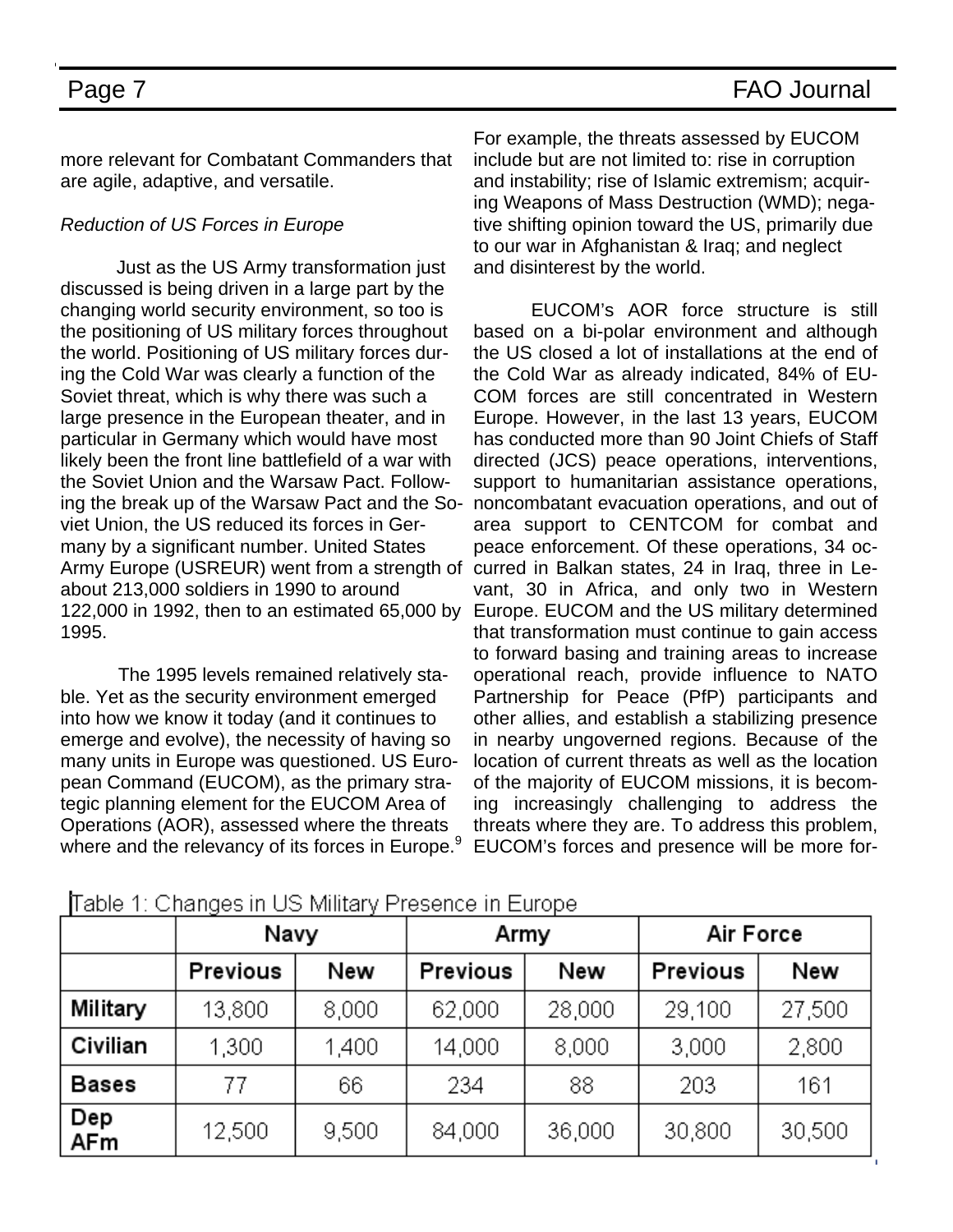more relevant for Combatant Commanders that are agile, adaptive, and versatile.

### *Reduction of US Forces in Europe*

 Just as the US Army transformation just discussed is being driven in a large part by the changing world security environment, so too is the positioning of US military forces throughout the world. Positioning of US military forces during the Cold War was clearly a function of the Soviet threat, which is why there was such a large presence in the European theater, and in particular in Germany which would have most likely been the front line battlefield of a war with the Soviet Union and the Warsaw Pact. Following the break up of the Warsaw Pact and the Soviet Union, the US reduced its forces in Germany by a significant number. United States about 213,000 soldiers in 1990 to around 122,000 in 1992, then to an estimated 65,000 by 1995.

 The 1995 levels remained relatively stable. Yet as the security environment emerged into how we know it today (and it continues to emerge and evolve), the necessity of having so many units in Europe was questioned. US European Command (EUCOM), as the primary strategic planning element for the EUCOM Area of Operations (AOR), assessed where the threats where and the relevancy of its forces in Europe.<sup>9</sup>

For example, the threats assessed by EUCOM include but are not limited to: rise in corruption and instability; rise of Islamic extremism; acquiring Weapons of Mass Destruction (WMD); negative shifting opinion toward the US, primarily due to our war in Afghanistan & Iraq; and neglect and disinterest by the world.

Army Europe (USREUR) went from a strength of curred in Balkan states, 24 in Iraq, three in Le- EUCOM's AOR force structure is still based on a bi-polar environment and although the US closed a lot of installations at the end of the Cold War as already indicated, 84% of EU-COM forces are still concentrated in Western Europe. However, in the last 13 years, EUCOM has conducted more than 90 Joint Chiefs of Staff directed (JCS) peace operations, interventions, support to humanitarian assistance operations, noncombatant evacuation operations, and out of area support to CENTCOM for combat and peace enforcement. Of these operations, 34 ocvant, 30 in Africa, and only two in Western Europe. EUCOM and the US military determined that transformation must continue to gain access to forward basing and training areas to increase operational reach, provide influence to NATO Partnership for Peace (PfP) participants and other allies, and establish a stabilizing presence in nearby ungoverned regions. Because of the location of current threats as well as the location of the majority of EUCOM missions, it is becoming increasingly challenging to address the threats where they are. To address this problem, EUCOM's forces and presence will be more for-

|            | Navy     |       | Army     |        | Air Force |        |
|------------|----------|-------|----------|--------|-----------|--------|
|            | Previous | New   | Previous | New    | Previous  | New    |
| Military   | 13,800   | 8,000 | 62,000   | 28,000 | 29,100    | 27,500 |
| Civilian   | 1,300    | 1,400 | 14,000   | 8,000  | 3,000     | 2,800  |
| Bases      | 77       | 66    | 234      | 88     | 203       | 161    |
| Dep<br>AFm | 12,500   | 9,500 | 84,000   | 36,000 | 30,800    | 30,500 |

### Table 1: Changes in US Military Presence in Europe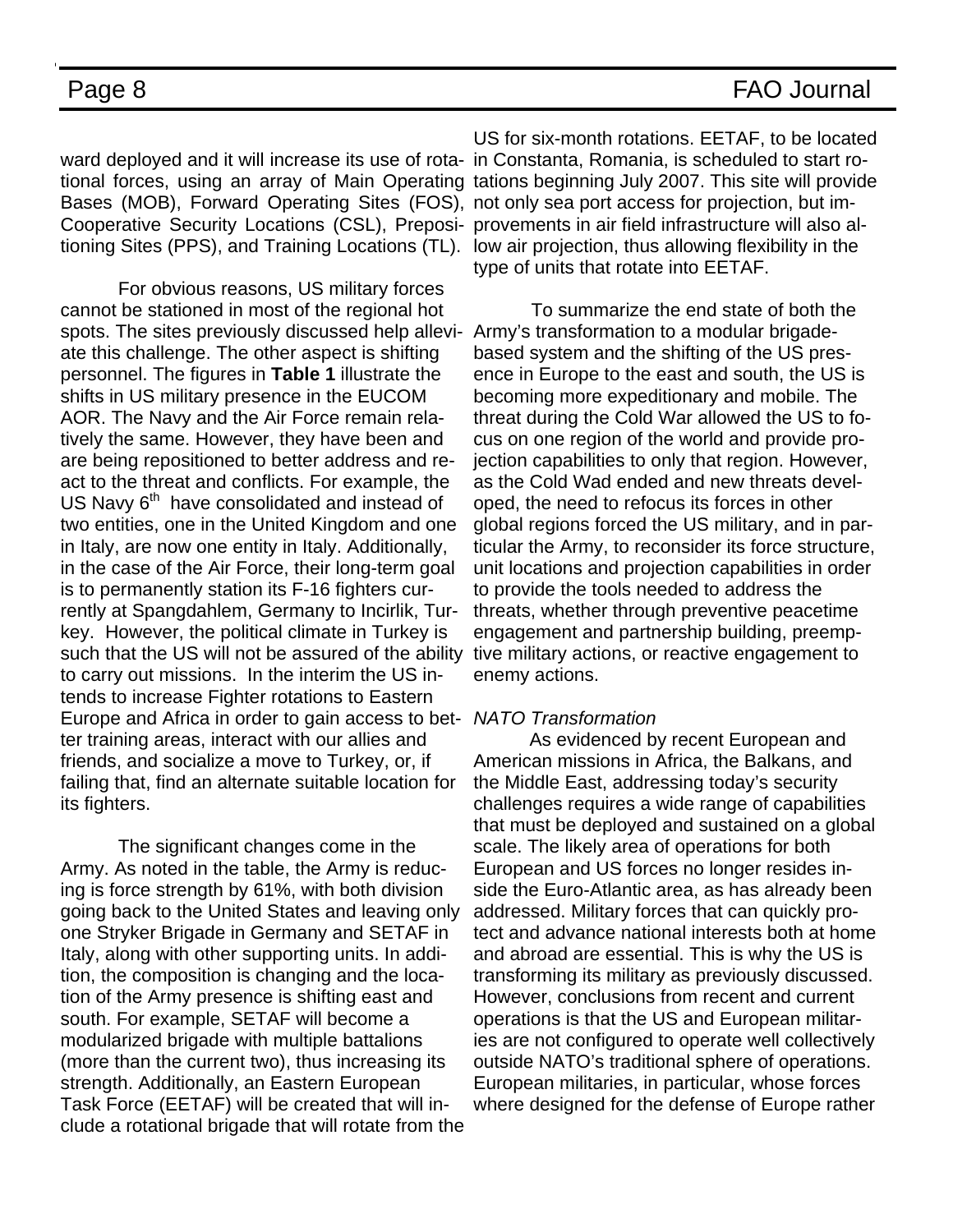ward deployed and it will increase its use of rota-in Constanta, Romania, is scheduled to start ro-Bases (MOB), Forward Operating Sites (FOS), not only sea port access for projection, but im-Cooperative Security Locations (CSL), Preposi-provements in air field infrastructure will also altioning Sites (PPS), and Training Locations (TL). low air projection, thus allowing flexibility in the

 For obvious reasons, US military forces cannot be stationed in most of the regional hot spots. The sites previously discussed help allevi-Army's transformation to a modular brigadeate this challenge. The other aspect is shifting personnel. The figures in **Table 1** illustrate the shifts in US military presence in the EUCOM AOR. The Navy and the Air Force remain relatively the same. However, they have been and are being repositioned to better address and react to the threat and conflicts. For example, the US Navy 6<sup>th</sup> have consolidated and instead of two entities, one in the United Kingdom and one in Italy, are now one entity in Italy. Additionally, in the case of the Air Force, their long-term goal is to permanently station its F-16 fighters currently at Spangdahlem, Germany to Incirlik, Turkey. However, the political climate in Turkey is such that the US will not be assured of the ability to carry out missions. In the interim the US intends to increase Fighter rotations to Eastern Europe and Africa in order to gain access to bet-*NATO Transformation*  ter training areas, interact with our allies and friends, and socialize a move to Turkey, or, if failing that, find an alternate suitable location for its fighters.

 The significant changes come in the Army. As noted in the table, the Army is reducing is force strength by 61%, with both division going back to the United States and leaving only one Stryker Brigade in Germany and SETAF in Italy, along with other supporting units. In addition, the composition is changing and the location of the Army presence is shifting east and south. For example, SETAF will become a modularized brigade with multiple battalions (more than the current two), thus increasing its strength. Additionally, an Eastern European Task Force (EETAF) will be created that will include a rotational brigade that will rotate from the

tional forces, using an array of Main Operating tations beginning July 2007. This site will provide US for six-month rotations. EETAF, to be located type of units that rotate into EETAF.

> To summarize the end state of both the based system and the shifting of the US presence in Europe to the east and south, the US is becoming more expeditionary and mobile. The threat during the Cold War allowed the US to focus on one region of the world and provide projection capabilities to only that region. However, as the Cold Wad ended and new threats developed, the need to refocus its forces in other global regions forced the US military, and in particular the Army, to reconsider its force structure, unit locations and projection capabilities in order to provide the tools needed to address the threats, whether through preventive peacetime engagement and partnership building, preemptive military actions, or reactive engagement to enemy actions.

 As evidenced by recent European and American missions in Africa, the Balkans, and the Middle East, addressing today's security challenges requires a wide range of capabilities that must be deployed and sustained on a global scale. The likely area of operations for both European and US forces no longer resides inside the Euro-Atlantic area, as has already been addressed. Military forces that can quickly protect and advance national interests both at home and abroad are essential. This is why the US is transforming its military as previously discussed. However, conclusions from recent and current operations is that the US and European militaries are not configured to operate well collectively outside NATO's traditional sphere of operations. European militaries, in particular, whose forces where designed for the defense of Europe rather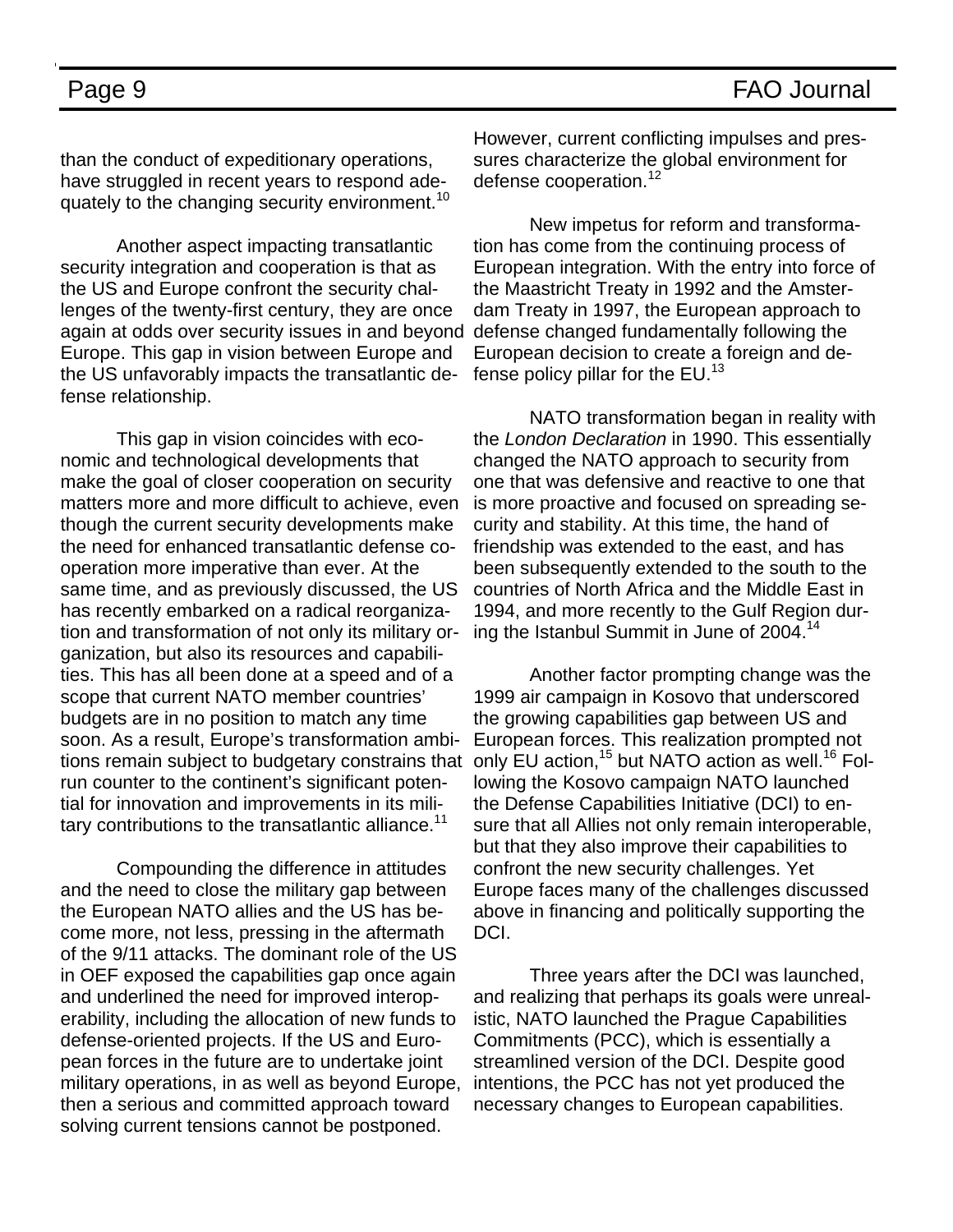than the conduct of expeditionary operations, have struggled in recent years to respond adequately to the changing security environment.<sup>10</sup>

 Another aspect impacting transatlantic security integration and cooperation is that as the US and Europe confront the security challenges of the twenty-first century, they are once again at odds over security issues in and beyond Europe. This gap in vision between Europe and the US unfavorably impacts the transatlantic defense relationship.

 This gap in vision coincides with economic and technological developments that make the goal of closer cooperation on security matters more and more difficult to achieve, even though the current security developments make the need for enhanced transatlantic defense cooperation more imperative than ever. At the same time, and as previously discussed, the US has recently embarked on a radical reorganization and transformation of not only its military organization, but also its resources and capabilities. This has all been done at a speed and of a scope that current NATO member countries' budgets are in no position to match any time soon. As a result, Europe's transformation ambitions remain subject to budgetary constrains that only EU action,<sup>15</sup> but NATO action as well.<sup>16</sup> Folrun counter to the continent's significant potential for innovation and improvements in its military contributions to the transatlantic alliance.<sup>11</sup>

 Compounding the difference in attitudes and the need to close the military gap between the European NATO allies and the US has become more, not less, pressing in the aftermath of the 9/11 attacks. The dominant role of the US in OEF exposed the capabilities gap once again and underlined the need for improved interoperability, including the allocation of new funds to defense-oriented projects. If the US and European forces in the future are to undertake joint military operations, in as well as beyond Europe, then a serious and committed approach toward solving current tensions cannot be postponed.

However, current conflicting impulses and pressures characterize the global environment for defense cooperation.<sup>12</sup>

 New impetus for reform and transformation has come from the continuing process of European integration. With the entry into force of the Maastricht Treaty in 1992 and the Amsterdam Treaty in 1997, the European approach to defense changed fundamentally following the European decision to create a foreign and defense policy pillar for the EU.<sup>13</sup>

 NATO transformation began in reality with the *London Declaration* in 1990. This essentially changed the NATO approach to security from one that was defensive and reactive to one that is more proactive and focused on spreading security and stability. At this time, the hand of friendship was extended to the east, and has been subsequently extended to the south to the countries of North Africa and the Middle East in 1994, and more recently to the Gulf Region during the Istanbul Summit in June of 2004.<sup>14</sup>

 Another factor prompting change was the 1999 air campaign in Kosovo that underscored the growing capabilities gap between US and European forces. This realization prompted not lowing the Kosovo campaign NATO launched the Defense Capabilities Initiative (DCI) to ensure that all Allies not only remain interoperable, but that they also improve their capabilities to confront the new security challenges. Yet Europe faces many of the challenges discussed above in financing and politically supporting the DCI.

 Three years after the DCI was launched, and realizing that perhaps its goals were unrealistic, NATO launched the Prague Capabilities Commitments (PCC), which is essentially a streamlined version of the DCI. Despite good intentions, the PCC has not yet produced the necessary changes to European capabilities.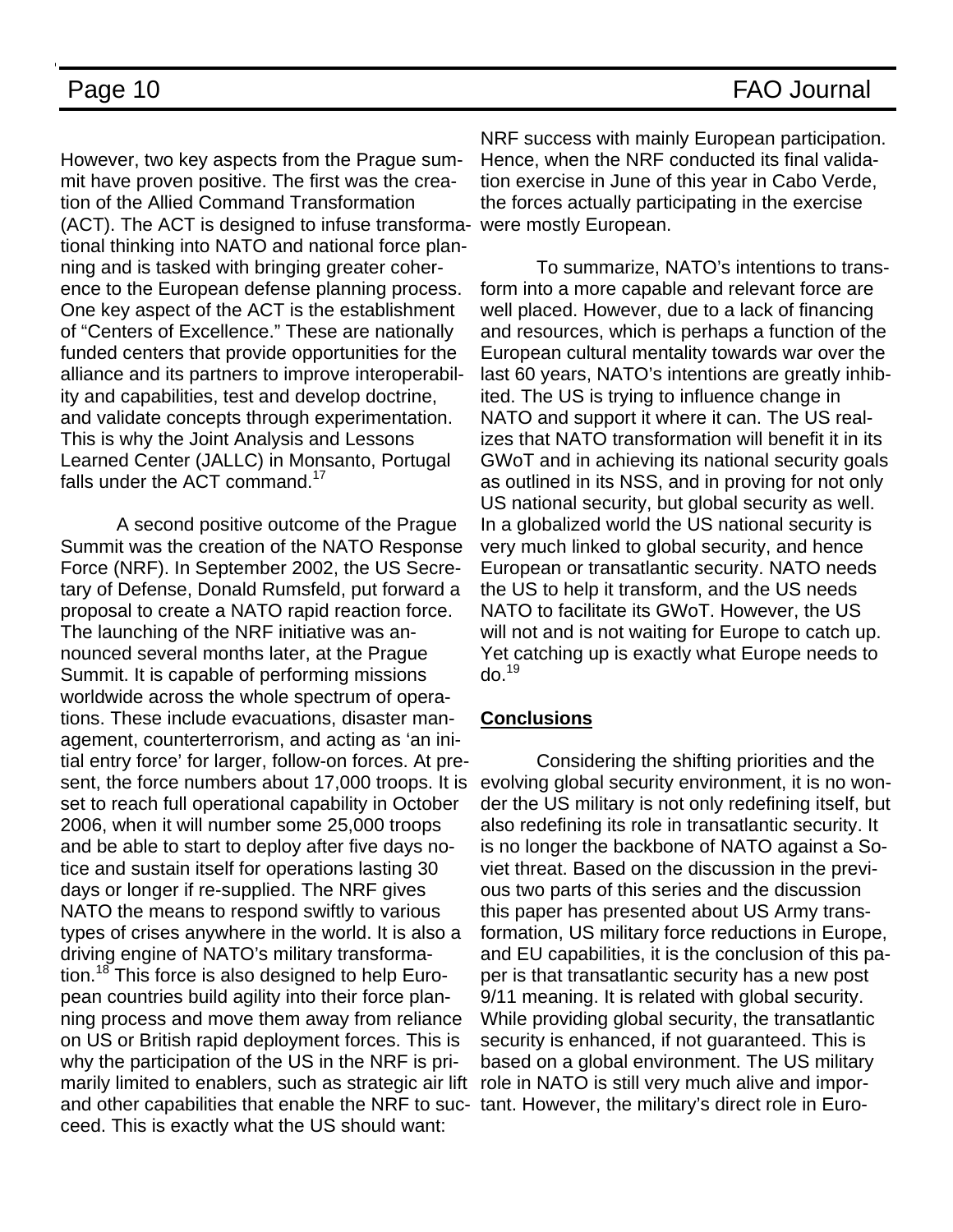However, two key aspects from the Prague summit have proven positive. The first was the creation of the Allied Command Transformation (ACT). The ACT is designed to infuse transformational thinking into NATO and national force planning and is tasked with bringing greater coherence to the European defense planning process. One key aspect of the ACT is the establishment of "Centers of Excellence." These are nationally funded centers that provide opportunities for the alliance and its partners to improve interoperability and capabilities, test and develop doctrine, and validate concepts through experimentation. This is why the Joint Analysis and Lessons Learned Center (JALLC) in Monsanto, Portugal falls under the  $\text{ACT}$  command.<sup>17</sup>

 A second positive outcome of the Prague Summit was the creation of the NATO Response Force (NRF). In September 2002, the US Secretary of Defense, Donald Rumsfeld, put forward a proposal to create a NATO rapid reaction force. The launching of the NRF initiative was announced several months later, at the Prague Summit. It is capable of performing missions worldwide across the whole spectrum of operations. These include evacuations, disaster management, counterterrorism, and acting as 'an initial entry force' for larger, follow-on forces. At present, the force numbers about 17,000 troops. It is set to reach full operational capability in October 2006, when it will number some 25,000 troops and be able to start to deploy after five days notice and sustain itself for operations lasting 30 days or longer if re-supplied. The NRF gives NATO the means to respond swiftly to various types of crises anywhere in the world. It is also a driving engine of NATO's military transformation.18 This force is also designed to help European countries build agility into their force planning process and move them away from reliance on US or British rapid deployment forces. This is why the participation of the US in the NRF is primarily limited to enablers, such as strategic air lift and other capabilities that enable the NRF to suc-tant. However, the military's direct role in Euroceed. This is exactly what the US should want:

NRF success with mainly European participation. Hence, when the NRF conducted its final validation exercise in June of this year in Cabo Verde, the forces actually participating in the exercise were mostly European.

 To summarize, NATO's intentions to transform into a more capable and relevant force are well placed. However, due to a lack of financing and resources, which is perhaps a function of the European cultural mentality towards war over the last 60 years, NATO's intentions are greatly inhibited. The US is trying to influence change in NATO and support it where it can. The US realizes that NATO transformation will benefit it in its GWoT and in achieving its national security goals as outlined in its NSS, and in proving for not only US national security, but global security as well. In a globalized world the US national security is very much linked to global security, and hence European or transatlantic security. NATO needs the US to help it transform, and the US needs NATO to facilitate its GWoT. However, the US will not and is not waiting for Europe to catch up. Yet catching up is exactly what Europe needs to  $d\rho^{19}$ 

### **Conclusions**

 Considering the shifting priorities and the evolving global security environment, it is no wonder the US military is not only redefining itself, but also redefining its role in transatlantic security. It is no longer the backbone of NATO against a Soviet threat. Based on the discussion in the previous two parts of this series and the discussion this paper has presented about US Army transformation, US military force reductions in Europe, and EU capabilities, it is the conclusion of this paper is that transatlantic security has a new post 9/11 meaning. It is related with global security. While providing global security, the transatlantic security is enhanced, if not guaranteed. This is based on a global environment. The US military role in NATO is still very much alive and impor-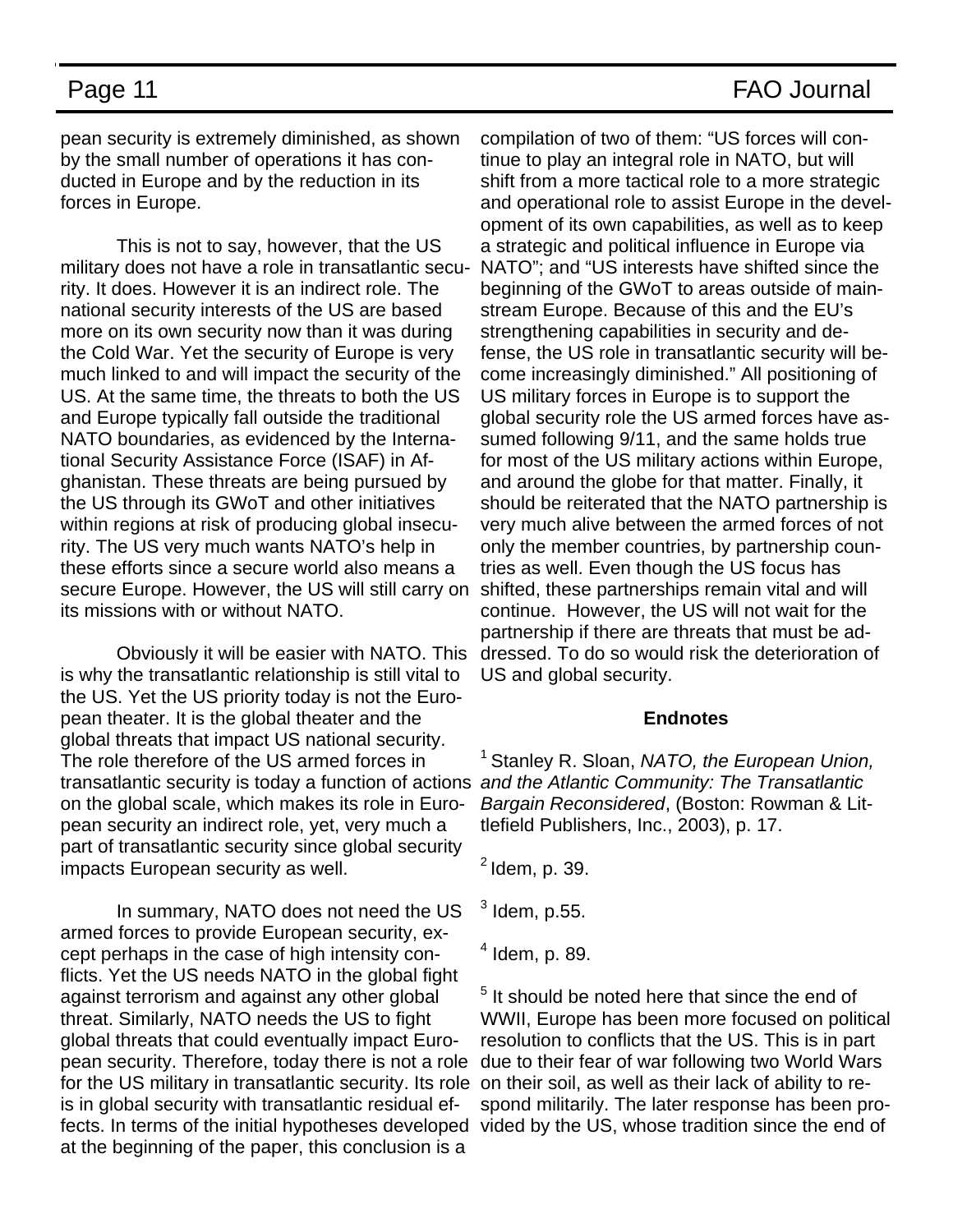pean security is extremely diminished, as shown by the small number of operations it has conducted in Europe and by the reduction in its forces in Europe.

 This is not to say, however, that the US military does not have a role in transatlantic security. It does. However it is an indirect role. The national security interests of the US are based more on its own security now than it was during the Cold War. Yet the security of Europe is very much linked to and will impact the security of the US. At the same time, the threats to both the US and Europe typically fall outside the traditional NATO boundaries, as evidenced by the International Security Assistance Force (ISAF) in Afghanistan. These threats are being pursued by the US through its GWoT and other initiatives within regions at risk of producing global insecurity. The US very much wants NATO's help in these efforts since a secure world also means a secure Europe. However, the US will still carry on its missions with or without NATO.

 Obviously it will be easier with NATO. This is why the transatlantic relationship is still vital to the US. Yet the US priority today is not the European theater. It is the global theater and the global threats that impact US national security. The role therefore of the US armed forces in transatlantic security is today a function of actions *and the Atlantic Community: The Transatlantic*  on the global scale, which makes its role in European security an indirect role, yet, very much a part of transatlantic security since global security impacts European security as well.

 In summary, NATO does not need the US armed forces to provide European security, except perhaps in the case of high intensity conflicts. Yet the US needs NATO in the global fight against terrorism and against any other global threat. Similarly, NATO needs the US to fight global threats that could eventually impact European security. Therefore, today there is not a role for the US military in transatlantic security. Its role is in global security with transatlantic residual effects. In terms of the initial hypotheses developed at the beginning of the paper, this conclusion is a

compilation of two of them: "US forces will continue to play an integral role in NATO, but will shift from a more tactical role to a more strategic and operational role to assist Europe in the development of its own capabilities, as well as to keep a strategic and political influence in Europe via NATO"; and "US interests have shifted since the beginning of the GWoT to areas outside of mainstream Europe. Because of this and the EU's strengthening capabilities in security and defense, the US role in transatlantic security will become increasingly diminished." All positioning of US military forces in Europe is to support the global security role the US armed forces have assumed following 9/11, and the same holds true for most of the US military actions within Europe, and around the globe for that matter. Finally, it should be reiterated that the NATO partnership is very much alive between the armed forces of not only the member countries, by partnership countries as well. Even though the US focus has shifted, these partnerships remain vital and will continue. However, the US will not wait for the partnership if there are threats that must be addressed. To do so would risk the deterioration of US and global security.

### **Endnotes**

<sup>1</sup> Stanley R. Sloan, *NATO, the European Union, Bargain Reconsidered*, (Boston: Rowman & Littlefield Publishers, Inc., 2003), p. 17.

 $<sup>2</sup>$  Idem, p. 39.</sup>

 $^3$  Idem, p.55.

4 Idem, p. 89.

<sup>5</sup> It should be noted here that since the end of WWII, Europe has been more focused on political resolution to conflicts that the US. This is in part due to their fear of war following two World Wars on their soil, as well as their lack of ability to respond militarily. The later response has been provided by the US, whose tradition since the end of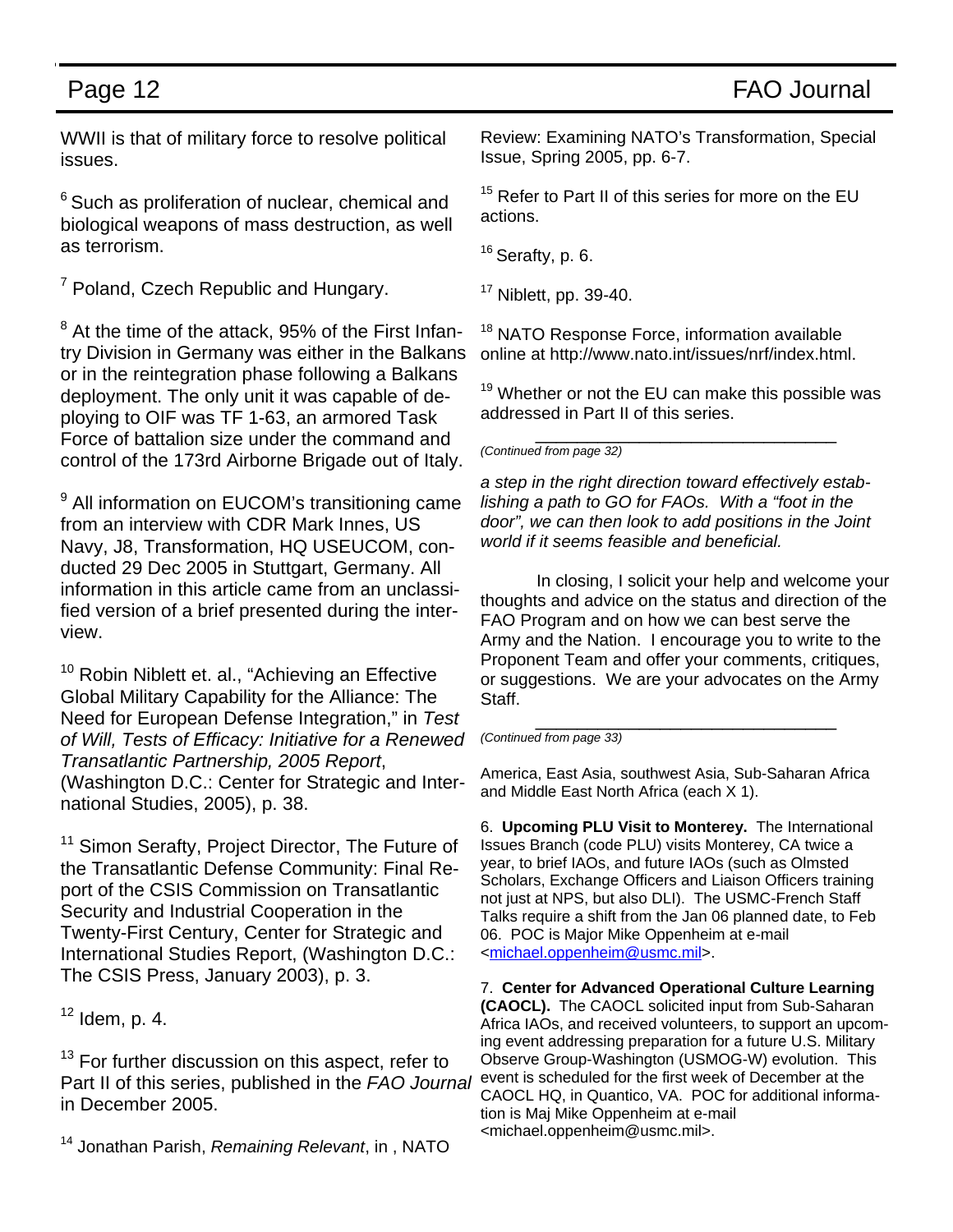WWII is that of military force to resolve political issues.

 $6$  Such as proliferation of nuclear, chemical and biological weapons of mass destruction, as well as terrorism.

<sup>7</sup> Poland, Czech Republic and Hungary.

 $8$  At the time of the attack, 95% of the First Infantry Division in Germany was either in the Balkans or in the reintegration phase following a Balkans deployment. The only unit it was capable of deploying to OIF was TF 1-63, an armored Task Force of battalion size under the command and control of the 173rd Airborne Brigade out of Italy.

<sup>9</sup> All information on EUCOM's transitioning came from an interview with CDR Mark Innes, US Navy, J8, Transformation, HQ USEUCOM, conducted 29 Dec 2005 in Stuttgart, Germany. All information in this article came from an unclassified version of a brief presented during the interview.

<sup>10</sup> Robin Niblett et. al., "Achieving an Effective Global Military Capability for the Alliance: The Need for European Defense Integration," in *Test of Will, Tests of Efficacy: Initiative for a Renewed Transatlantic Partnership, 2005 Report*, (Washington D.C.: Center for Strategic and International Studies, 2005), p. 38.

<sup>11</sup> Simon Serafty, Project Director, The Future of the Transatlantic Defense Community: Final Report of the CSIS Commission on Transatlantic Security and Industrial Cooperation in the Twenty-First Century, Center for Strategic and International Studies Report, (Washington D.C.: The CSIS Press, January 2003), p. 3.

 $12$  Idem, p. 4.

<sup>13</sup> For further discussion on this aspect, refer to Part II of this series, published in the *FAO Journal* in December 2005.

14 Jonathan Parish, *Remaining Relevant*, in , NATO

Review: Examining NATO's Transformation, Special Issue, Spring 2005, pp. 6-7.

<sup>15</sup> Refer to Part II of this series for more on the EU actions.

 $16$  Serafty, p. 6.

 $17$  Niblett, pp. 39-40.

<sup>18</sup> NATO Response Force, information available online at http://www.nato.int/issues/nrf/index.html.

 $19$  Whether or not the EU can make this possible was addressed in Part II of this series.

\_\_\_\_\_\_\_\_\_\_\_\_\_\_\_\_\_\_\_\_\_\_\_\_\_\_\_\_\_ *(Continued from page 32)* 

*a step in the right direction toward effectively establishing a path to GO for FAOs. With a "foot in the door", we can then look to add positions in the Joint world if it seems feasible and beneficial.* 

 In closing, I solicit your help and welcome your thoughts and advice on the status and direction of the FAO Program and on how we can best serve the Army and the Nation. I encourage you to write to the Proponent Team and offer your comments, critiques, or suggestions. We are your advocates on the Army Staff.

\_\_\_\_\_\_\_\_\_\_\_\_\_\_\_\_\_\_\_\_\_\_\_\_\_\_\_\_\_ *(Continued from page 33)* 

America, East Asia, southwest Asia, Sub-Saharan Africa and Middle East North Africa (each X 1).

6. **Upcoming PLU Visit to Monterey.** The International Issues Branch (code PLU) visits Monterey, CA twice a year, to brief IAOs, and future IAOs (such as Olmsted Scholars, Exchange Officers and Liaison Officers training not just at NPS, but also DLI). The USMC-French Staff Talks require a shift from the Jan 06 planned date, to Feb 06. POC is Major Mike Oppenheim at e-mail <michael.oppenheim@usmc.mil>.

7. **Center for Advanced Operational Culture Learning (CAOCL).** The CAOCL solicited input from Sub-Saharan Africa IAOs, and received volunteers, to support an upcoming event addressing preparation for a future U.S. Military Observe Group-Washington (USMOG-W) evolution. This event is scheduled for the first week of December at the CAOCL HQ, in Quantico, VA. POC for additional information is Maj Mike Oppenheim at e-mail <michael.oppenheim@usmc.mil>.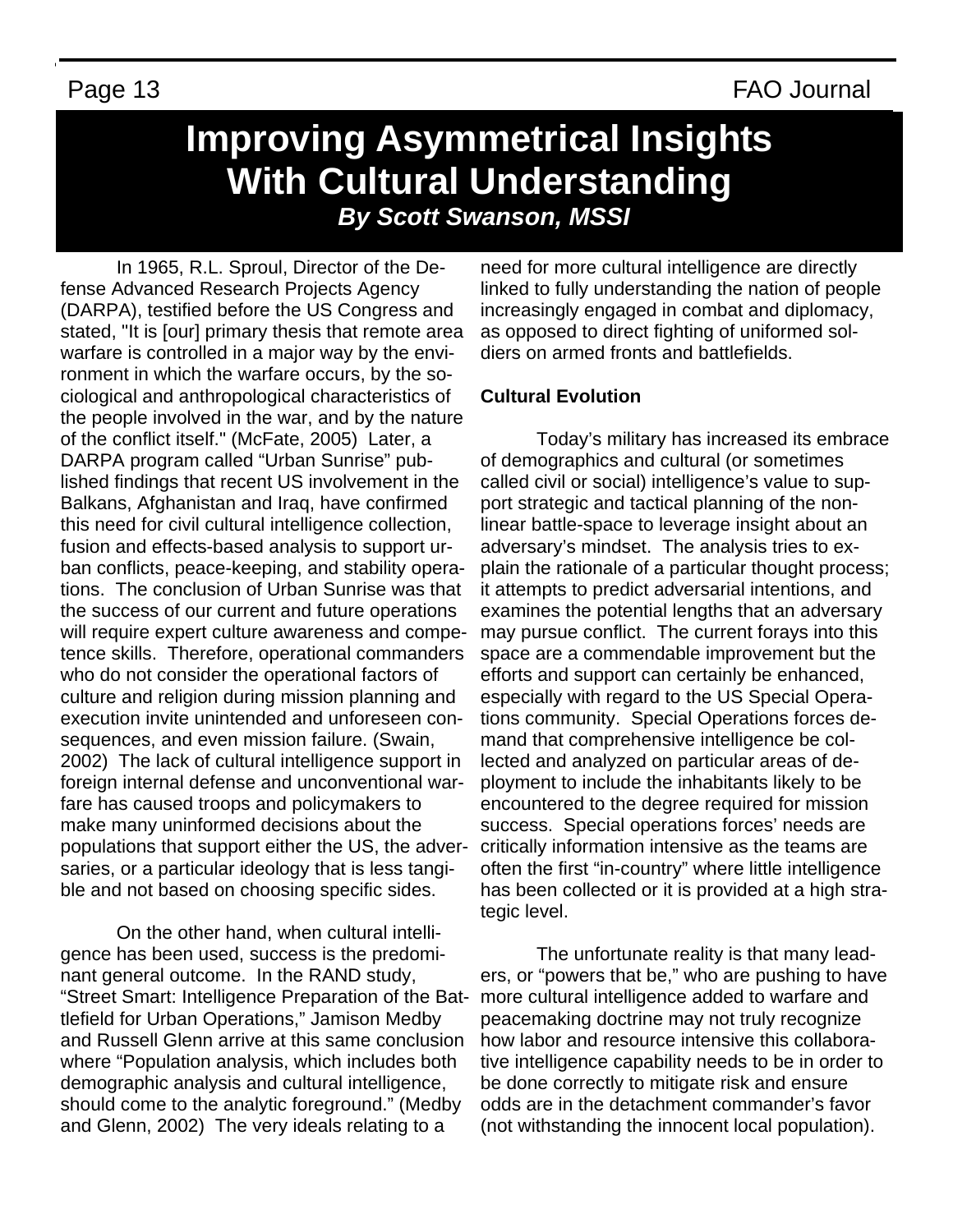# **Improving Asymmetrical Insights With Cultural Understanding** *By Scott Swanson, MSSI*

In 1965, R.L. Sproul, Director of the Defense Advanced Research Projects Agency (DARPA), testified before the US Congress and stated, "It is [our] primary thesis that remote area warfare is controlled in a major way by the environment in which the warfare occurs, by the sociological and anthropological characteristics of the people involved in the war, and by the nature of the conflict itself." (McFate, 2005) Later, a DARPA program called "Urban Sunrise" published findings that recent US involvement in the Balkans, Afghanistan and Iraq, have confirmed this need for civil cultural intelligence collection, fusion and effects-based analysis to support urban conflicts, peace-keeping, and stability operations. The conclusion of Urban Sunrise was that the success of our current and future operations will require expert culture awareness and competence skills. Therefore, operational commanders who do not consider the operational factors of culture and religion during mission planning and execution invite unintended and unforeseen consequences, and even mission failure. (Swain, 2002) The lack of cultural intelligence support in foreign internal defense and unconventional warfare has caused troops and policymakers to make many uninformed decisions about the populations that support either the US, the adversaries, or a particular ideology that is less tangible and not based on choosing specific sides.

On the other hand, when cultural intelligence has been used, success is the predominant general outcome. In the RAND study, "Street Smart: Intelligence Preparation of the Battlefield for Urban Operations," Jamison Medby and Russell Glenn arrive at this same conclusion where "Population analysis, which includes both demographic analysis and cultural intelligence, should come to the analytic foreground." (Medby and Glenn, 2002) The very ideals relating to a

need for more cultural intelligence are directly linked to fully understanding the nation of people increasingly engaged in combat and diplomacy, as opposed to direct fighting of uniformed soldiers on armed fronts and battlefields.

### **Cultural Evolution**

Today's military has increased its embrace of demographics and cultural (or sometimes called civil or social) intelligence's value to support strategic and tactical planning of the nonlinear battle-space to leverage insight about an adversary's mindset. The analysis tries to explain the rationale of a particular thought process; it attempts to predict adversarial intentions, and examines the potential lengths that an adversary may pursue conflict. The current forays into this space are a commendable improvement but the efforts and support can certainly be enhanced, especially with regard to the US Special Operations community. Special Operations forces demand that comprehensive intelligence be collected and analyzed on particular areas of deployment to include the inhabitants likely to be encountered to the degree required for mission success. Special operations forces' needs are critically information intensive as the teams are often the first "in-country" where little intelligence has been collected or it is provided at a high strategic level.

The unfortunate reality is that many leaders, or "powers that be," who are pushing to have more cultural intelligence added to warfare and peacemaking doctrine may not truly recognize how labor and resource intensive this collaborative intelligence capability needs to be in order to be done correctly to mitigate risk and ensure odds are in the detachment commander's favor (not withstanding the innocent local population).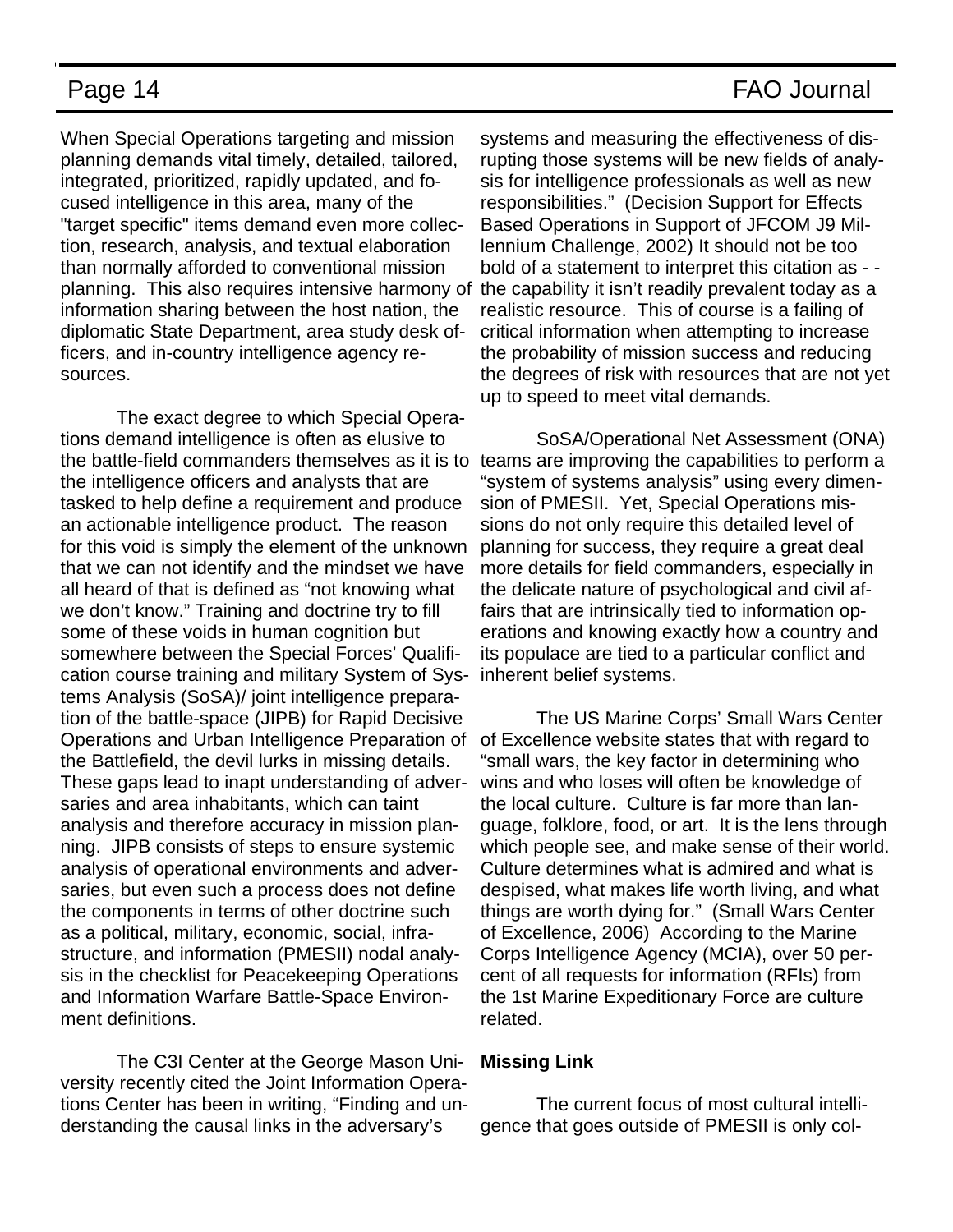When Special Operations targeting and mission planning demands vital timely, detailed, tailored, integrated, prioritized, rapidly updated, and focused intelligence in this area, many of the "target specific" items demand even more collection, research, analysis, and textual elaboration than normally afforded to conventional mission planning. This also requires intensive harmony of the capability it isn't readily prevalent today as a information sharing between the host nation, the diplomatic State Department, area study desk officers, and in-country intelligence agency resources.

The exact degree to which Special Operations demand intelligence is often as elusive to the battle-field commanders themselves as it is to the intelligence officers and analysts that are tasked to help define a requirement and produce an actionable intelligence product. The reason for this void is simply the element of the unknown that we can not identify and the mindset we have all heard of that is defined as "not knowing what we don't know." Training and doctrine try to fill some of these voids in human cognition but somewhere between the Special Forces' Qualification course training and military System of Systems Analysis (SoSA)/ joint intelligence preparation of the battle-space (JIPB) for Rapid Decisive Operations and Urban Intelligence Preparation of the Battlefield, the devil lurks in missing details. These gaps lead to inapt understanding of adversaries and area inhabitants, which can taint analysis and therefore accuracy in mission planning. JIPB consists of steps to ensure systemic analysis of operational environments and adversaries, but even such a process does not define the components in terms of other doctrine such as a political, military, economic, social, infrastructure, and information (PMESII) nodal analysis in the checklist for Peacekeeping Operations and Information Warfare Battle-Space Environment definitions.

The C3I Center at the George Mason University recently cited the Joint Information Operations Center has been in writing, "Finding and understanding the causal links in the adversary's

systems and measuring the effectiveness of disrupting those systems will be new fields of analysis for intelligence professionals as well as new responsibilities." (Decision Support for Effects Based Operations in Support of JFCOM J9 Millennium Challenge, 2002) It should not be too bold of a statement to interpret this citation as - realistic resource. This of course is a failing of critical information when attempting to increase the probability of mission success and reducing the degrees of risk with resources that are not yet up to speed to meet vital demands.

SoSA/Operational Net Assessment (ONA) teams are improving the capabilities to perform a "system of systems analysis" using every dimension of PMESII. Yet, Special Operations missions do not only require this detailed level of planning for success, they require a great deal more details for field commanders, especially in the delicate nature of psychological and civil affairs that are intrinsically tied to information operations and knowing exactly how a country and its populace are tied to a particular conflict and inherent belief systems.

The US Marine Corps' Small Wars Center of Excellence website states that with regard to "small wars, the key factor in determining who wins and who loses will often be knowledge of the local culture. Culture is far more than language, folklore, food, or art. It is the lens through which people see, and make sense of their world. Culture determines what is admired and what is despised, what makes life worth living, and what things are worth dying for." (Small Wars Center of Excellence, 2006) According to the Marine Corps Intelligence Agency (MCIA), over 50 percent of all requests for information (RFIs) from the 1st Marine Expeditionary Force are culture related.

### **Missing Link**

The current focus of most cultural intelligence that goes outside of PMESII is only col-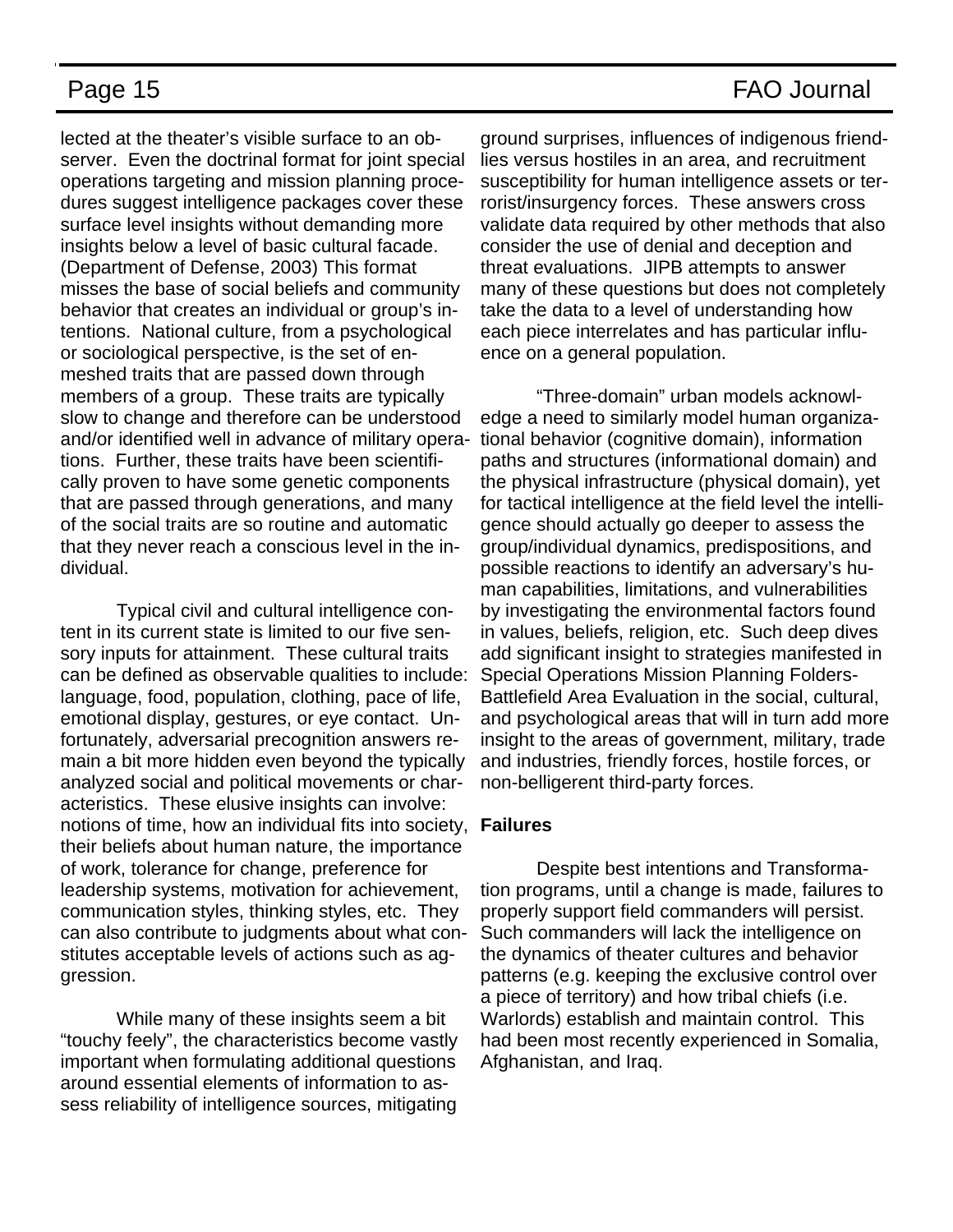lected at the theater's visible surface to an observer. Even the doctrinal format for joint special operations targeting and mission planning procedures suggest intelligence packages cover these surface level insights without demanding more insights below a level of basic cultural facade. (Department of Defense, 2003) This format misses the base of social beliefs and community behavior that creates an individual or group's intentions. National culture, from a psychological or sociological perspective, is the set of enmeshed traits that are passed down through members of a group. These traits are typically slow to change and therefore can be understood and/or identified well in advance of military operations. Further, these traits have been scientifically proven to have some genetic components that are passed through generations, and many of the social traits are so routine and automatic that they never reach a conscious level in the individual.

Typical civil and cultural intelligence content in its current state is limited to our five sensory inputs for attainment. These cultural traits can be defined as observable qualities to include: language, food, population, clothing, pace of life, emotional display, gestures, or eye contact. Unfortunately, adversarial precognition answers remain a bit more hidden even beyond the typically analyzed social and political movements or characteristics. These elusive insights can involve: notions of time, how an individual fits into society, **Failures**  their beliefs about human nature, the importance of work, tolerance for change, preference for leadership systems, motivation for achievement, communication styles, thinking styles, etc. They can also contribute to judgments about what constitutes acceptable levels of actions such as aggression.

While many of these insights seem a bit "touchy feely", the characteristics become vastly important when formulating additional questions around essential elements of information to assess reliability of intelligence sources, mitigating

ground surprises, influences of indigenous friendlies versus hostiles in an area, and recruitment susceptibility for human intelligence assets or terrorist/insurgency forces. These answers cross validate data required by other methods that also consider the use of denial and deception and threat evaluations. JIPB attempts to answer many of these questions but does not completely take the data to a level of understanding how each piece interrelates and has particular influence on a general population.

"Three-domain" urban models acknowledge a need to similarly model human organizational behavior (cognitive domain), information paths and structures (informational domain) and the physical infrastructure (physical domain), yet for tactical intelligence at the field level the intelligence should actually go deeper to assess the group/individual dynamics, predispositions, and possible reactions to identify an adversary's human capabilities, limitations, and vulnerabilities by investigating the environmental factors found in values, beliefs, religion, etc. Such deep dives add significant insight to strategies manifested in Special Operations Mission Planning Folders-Battlefield Area Evaluation in the social, cultural, and psychological areas that will in turn add more insight to the areas of government, military, trade and industries, friendly forces, hostile forces, or non-belligerent third-party forces.

Despite best intentions and Transformation programs, until a change is made, failures to properly support field commanders will persist. Such commanders will lack the intelligence on the dynamics of theater cultures and behavior patterns (e.g. keeping the exclusive control over a piece of territory) and how tribal chiefs (i.e. Warlords) establish and maintain control. This had been most recently experienced in Somalia, Afghanistan, and Iraq.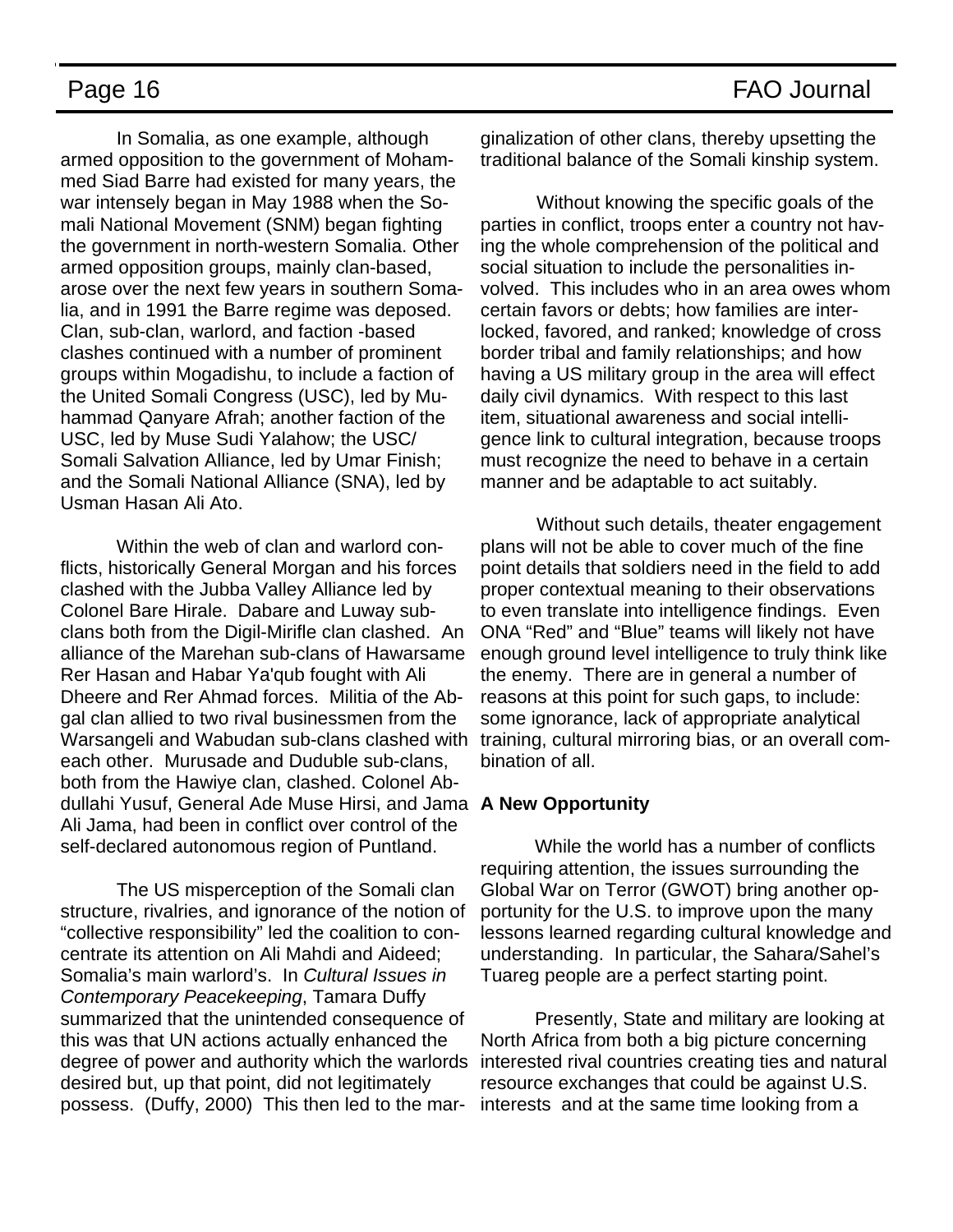In Somalia, as one example, although armed opposition to the government of Mohammed Siad Barre had existed for many years, the war intensely began in May 1988 when the Somali National Movement (SNM) began fighting the government in north-western Somalia. Other armed opposition groups, mainly clan-based, arose over the next few years in southern Somalia, and in 1991 the Barre regime was deposed. Clan, sub-clan, warlord, and faction -based clashes continued with a number of prominent groups within Mogadishu, to include a faction of the United Somali Congress (USC), led by Muhammad Qanyare Afrah; another faction of the USC, led by Muse Sudi Yalahow; the USC/ Somali Salvation Alliance, led by Umar Finish; and the Somali National Alliance (SNA), led by Usman Hasan Ali Ato.

Within the web of clan and warlord conflicts, historically General Morgan and his forces clashed with the Jubba Valley Alliance led by Colonel Bare Hirale. Dabare and Luway subclans both from the Digil-Mirifle clan clashed. An alliance of the Marehan sub-clans of Hawarsame Rer Hasan and Habar Ya'qub fought with Ali Dheere and Rer Ahmad forces. Militia of the Abgal clan allied to two rival businessmen from the Warsangeli and Wabudan sub-clans clashed with each other. Murusade and Duduble sub-clans, both from the Hawiye clan, clashed. Colonel Abdullahi Yusuf, General Ade Muse Hirsi, and Jama **A New Opportunity**  Ali Jama, had been in conflict over control of the self-declared autonomous region of Puntland.

The US misperception of the Somali clan structure, rivalries, and ignorance of the notion of "collective responsibility" led the coalition to concentrate its attention on Ali Mahdi and Aideed; Somalia's main warlord's. In *Cultural Issues in Contemporary Peacekeeping*, Tamara Duffy summarized that the unintended consequence of this was that UN actions actually enhanced the degree of power and authority which the warlords desired but, up that point, did not legitimately possess. (Duffy, 2000) This then led to the mar-

ginalization of other clans, thereby upsetting the traditional balance of the Somali kinship system.

Without knowing the specific goals of the parties in conflict, troops enter a country not having the whole comprehension of the political and social situation to include the personalities involved. This includes who in an area owes whom certain favors or debts; how families are interlocked, favored, and ranked; knowledge of cross border tribal and family relationships; and how having a US military group in the area will effect daily civil dynamics. With respect to this last item, situational awareness and social intelligence link to cultural integration, because troops must recognize the need to behave in a certain manner and be adaptable to act suitably.

Without such details, theater engagement plans will not be able to cover much of the fine point details that soldiers need in the field to add proper contextual meaning to their observations to even translate into intelligence findings. Even ONA "Red" and "Blue" teams will likely not have enough ground level intelligence to truly think like the enemy. There are in general a number of reasons at this point for such gaps, to include: some ignorance, lack of appropriate analytical training, cultural mirroring bias, or an overall combination of all.

While the world has a number of conflicts requiring attention, the issues surrounding the Global War on Terror (GWOT) bring another opportunity for the U.S. to improve upon the many lessons learned regarding cultural knowledge and understanding. In particular, the Sahara/Sahel's Tuareg people are a perfect starting point.

Presently, State and military are looking at North Africa from both a big picture concerning interested rival countries creating ties and natural resource exchanges that could be against U.S. interests and at the same time looking from a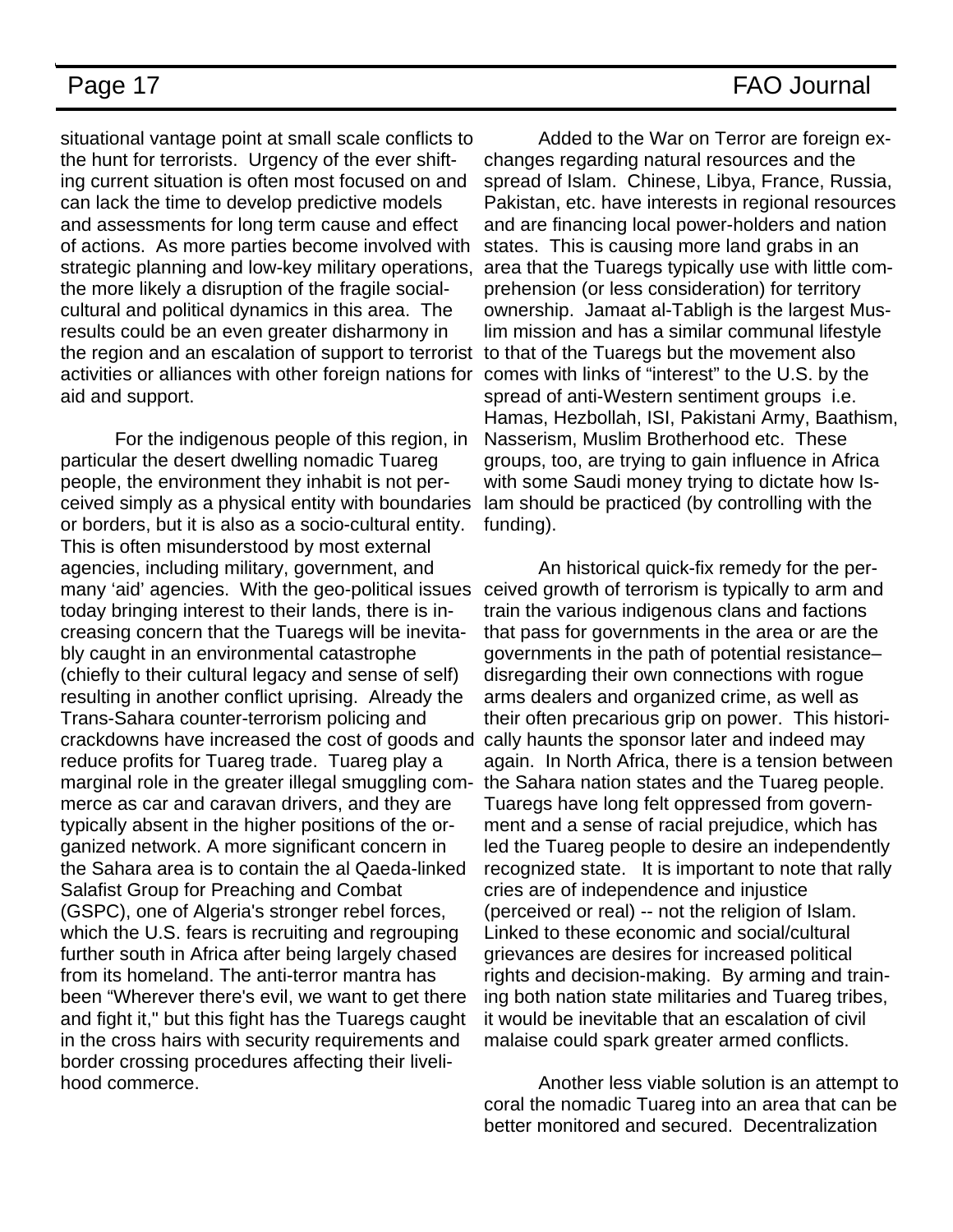situational vantage point at small scale conflicts to the hunt for terrorists. Urgency of the ever shifting current situation is often most focused on and can lack the time to develop predictive models and assessments for long term cause and effect of actions. As more parties become involved with strategic planning and low-key military operations, the more likely a disruption of the fragile socialcultural and political dynamics in this area. The results could be an even greater disharmony in the region and an escalation of support to terrorist to that of the Tuaregs but the movement also activities or alliances with other foreign nations for comes with links of "interest" to the U.S. by the aid and support.

For the indigenous people of this region, in particular the desert dwelling nomadic Tuareg people, the environment they inhabit is not perceived simply as a physical entity with boundaries or borders, but it is also as a socio-cultural entity. This is often misunderstood by most external agencies, including military, government, and many 'aid' agencies. With the geo-political issues today bringing interest to their lands, there is increasing concern that the Tuaregs will be inevitably caught in an environmental catastrophe (chiefly to their cultural legacy and sense of self) resulting in another conflict uprising. Already the Trans-Sahara counter-terrorism policing and crackdowns have increased the cost of goods and reduce profits for Tuareg trade. Tuareg play a marginal role in the greater illegal smuggling commerce as car and caravan drivers, and they are typically absent in the higher positions of the organized network. A more significant concern in the Sahara area is to contain the al Qaeda-linked Salafist Group for Preaching and Combat (GSPC), one of Algeria's stronger rebel forces, which the U.S. fears is recruiting and regrouping further south in Africa after being largely chased from its homeland. The anti-terror mantra has been "Wherever there's evil, we want to get there and fight it," but this fight has the Tuaregs caught in the cross hairs with security requirements and border crossing procedures affecting their livelihood commerce.

Added to the War on Terror are foreign exchanges regarding natural resources and the spread of Islam. Chinese, Libya, France, Russia, Pakistan, etc. have interests in regional resources and are financing local power-holders and nation states. This is causing more land grabs in an area that the Tuaregs typically use with little comprehension (or less consideration) for territory ownership. Jamaat al-Tabligh is the largest Muslim mission and has a similar communal lifestyle spread of anti-Western sentiment groups i.e. Hamas, Hezbollah, ISI, Pakistani Army, Baathism, Nasserism, Muslim Brotherhood etc. These groups, too, are trying to gain influence in Africa with some Saudi money trying to dictate how Islam should be practiced (by controlling with the funding).

An historical quick-fix remedy for the perceived growth of terrorism is typically to arm and train the various indigenous clans and factions that pass for governments in the area or are the governments in the path of potential resistance– disregarding their own connections with rogue arms dealers and organized crime, as well as their often precarious grip on power. This historically haunts the sponsor later and indeed may again. In North Africa, there is a tension between the Sahara nation states and the Tuareg people. Tuaregs have long felt oppressed from government and a sense of racial prejudice, which has led the Tuareg people to desire an independently recognized state. It is important to note that rally cries are of independence and injustice (perceived or real) -- not the religion of Islam. Linked to these economic and social/cultural grievances are desires for increased political rights and decision-making. By arming and training both nation state militaries and Tuareg tribes, it would be inevitable that an escalation of civil malaise could spark greater armed conflicts.

Another less viable solution is an attempt to coral the nomadic Tuareg into an area that can be better monitored and secured. Decentralization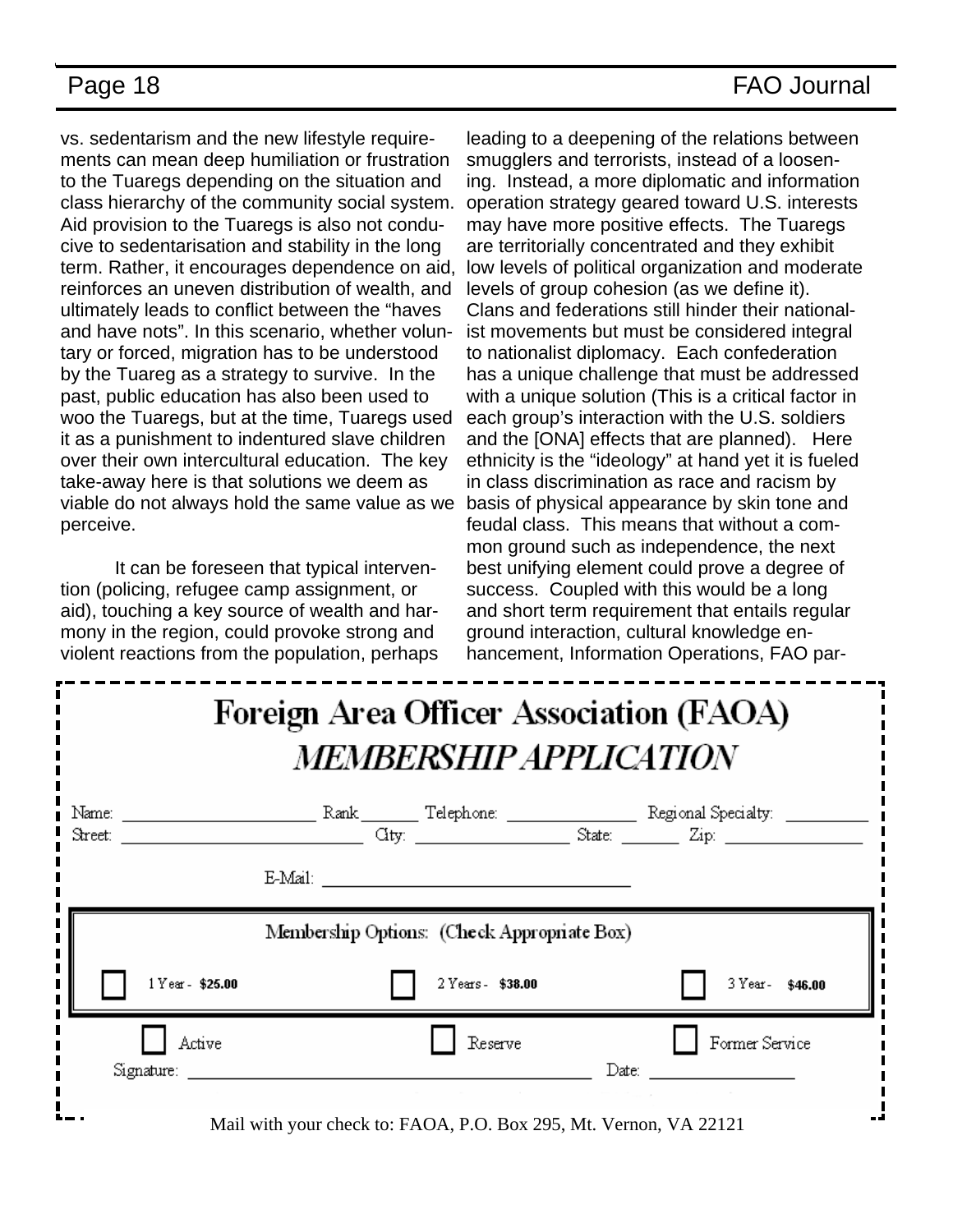vs. sedentarism and the new lifestyle requirements can mean deep humiliation or frustration to the Tuaregs depending on the situation and class hierarchy of the community social system. Aid provision to the Tuaregs is also not conducive to sedentarisation and stability in the long term. Rather, it encourages dependence on aid, reinforces an uneven distribution of wealth, and ultimately leads to conflict between the "haves and have nots". In this scenario, whether voluntary or forced, migration has to be understood by the Tuareg as a strategy to survive. In the past, public education has also been used to woo the Tuaregs, but at the time, Tuaregs used it as a punishment to indentured slave children over their own intercultural education. The key take-away here is that solutions we deem as viable do not always hold the same value as we perceive.

It can be foreseen that typical intervention (policing, refugee camp assignment, or aid), touching a key source of wealth and harmony in the region, could provoke strong and violent reactions from the population, perhaps

leading to a deepening of the relations between smugglers and terrorists, instead of a loosening. Instead, a more diplomatic and information operation strategy geared toward U.S. interests may have more positive effects. The Tuaregs are territorially concentrated and they exhibit low levels of political organization and moderate levels of group cohesion (as we define it). Clans and federations still hinder their nationalist movements but must be considered integral to nationalist diplomacy. Each confederation has a unique challenge that must be addressed with a unique solution (This is a critical factor in each group's interaction with the U.S. soldiers and the [ONA] effects that are planned). Here ethnicity is the "ideology" at hand yet it is fueled in class discrimination as race and racism by basis of physical appearance by skin tone and feudal class. This means that without a common ground such as independence, the next best unifying element could prove a degree of success. Coupled with this would be a long and short term requirement that entails regular ground interaction, cultural knowledge enhancement, Information Operations, FAO par-

# **Foreign Area Officer Association (FAOA) MEMBERSHIP APPLICATION**

| Name:<br>Street:                            |                                                                |                   |       | Regional Specialty: _______<br>$\frac{1}{2}$ State: $\frac{1}{2}$ Zip: $\frac{1}{2}$ |
|---------------------------------------------|----------------------------------------------------------------|-------------------|-------|--------------------------------------------------------------------------------------|
|                                             | E-Mail:                                                        |                   |       |                                                                                      |
| Membership Options: (Check Appropriate Box) |                                                                |                   |       |                                                                                      |
| 1 Year - \$25.00                            |                                                                | 2 Years - \$38.00 |       | 3 Year- \$46.00                                                                      |
| Active                                      |                                                                | Reserve           |       | Former Service                                                                       |
| Signature: ____                             | $\mathbf{r}$ . The state $\mathbf{r}$<br>$\bullet$ . $\bullet$ | $\blacksquare$    | Date: |                                                                                      |

Mail with your check to: FAOA, P.O. Box 295, Mt. Vernon, VA 22121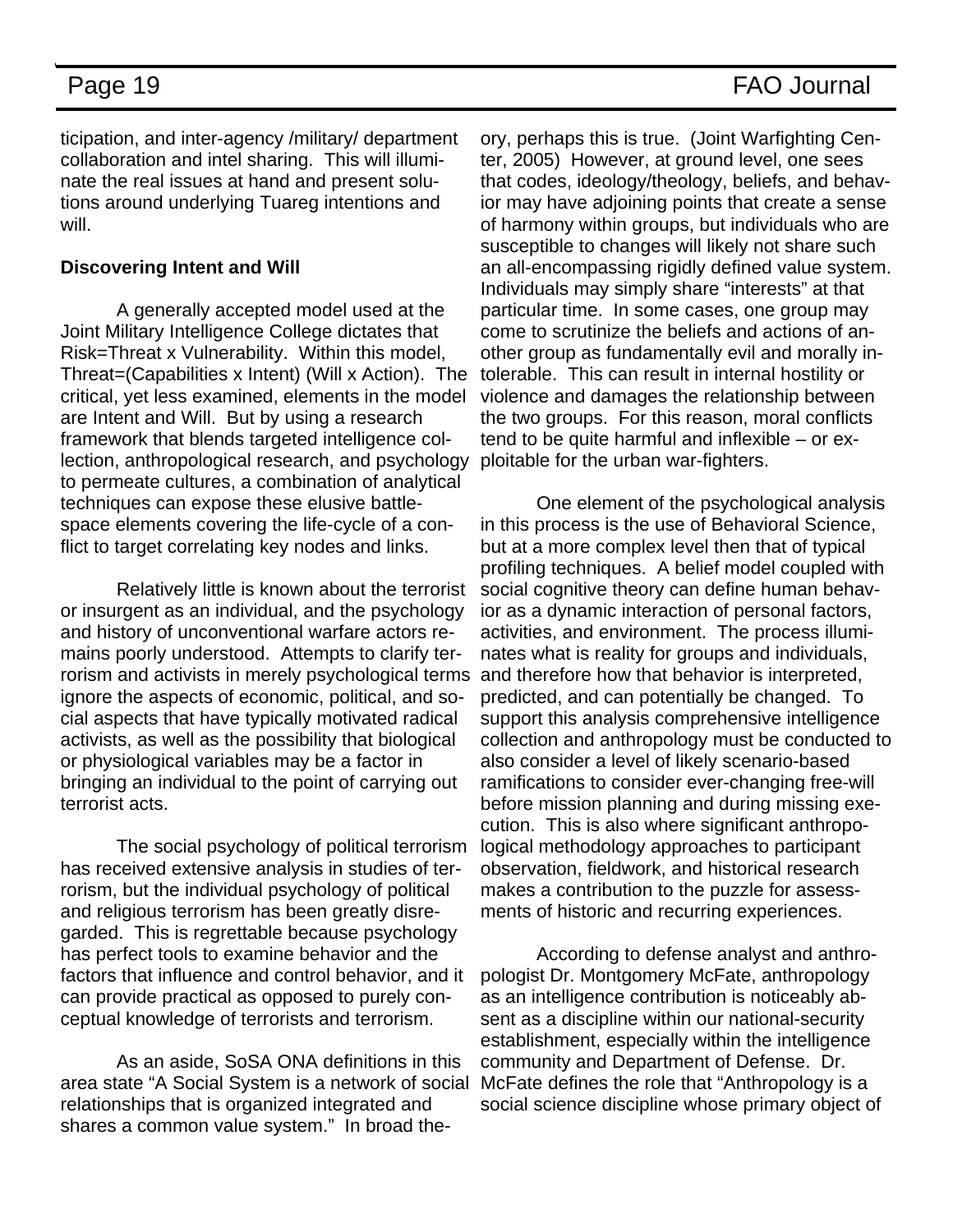ticipation, and inter-agency /military/ department collaboration and intel sharing. This will illuminate the real issues at hand and present solutions around underlying Tuareg intentions and will.

### **Discovering Intent and Will**

A generally accepted model used at the Joint Military Intelligence College dictates that Risk=Threat x Vulnerability. Within this model, Threat=(Capabilities x Intent) (Will x Action). The critical, yet less examined, elements in the model are Intent and Will. But by using a research framework that blends targeted intelligence collection, anthropological research, and psychology to permeate cultures, a combination of analytical techniques can expose these elusive battlespace elements covering the life-cycle of a conflict to target correlating key nodes and links.

Relatively little is known about the terrorist or insurgent as an individual, and the psychology and history of unconventional warfare actors remains poorly understood. Attempts to clarify terrorism and activists in merely psychological terms ignore the aspects of economic, political, and social aspects that have typically motivated radical activists, as well as the possibility that biological or physiological variables may be a factor in bringing an individual to the point of carrying out terrorist acts.

The social psychology of political terrorism has received extensive analysis in studies of terrorism, but the individual psychology of political and religious terrorism has been greatly disregarded. This is regrettable because psychology has perfect tools to examine behavior and the factors that influence and control behavior, and it can provide practical as opposed to purely conceptual knowledge of terrorists and terrorism.

As an aside, SoSA ONA definitions in this area state "A Social System is a network of social relationships that is organized integrated and shares a common value system." In broad the-

ory, perhaps this is true. (Joint Warfighting Center, 2005) However, at ground level, one sees that codes, ideology/theology, beliefs, and behavior may have adjoining points that create a sense of harmony within groups, but individuals who are susceptible to changes will likely not share such an all-encompassing rigidly defined value system. Individuals may simply share "interests" at that particular time. In some cases, one group may come to scrutinize the beliefs and actions of another group as fundamentally evil and morally intolerable. This can result in internal hostility or violence and damages the relationship between the two groups. For this reason, moral conflicts tend to be quite harmful and inflexible – or exploitable for the urban war-fighters.

One element of the psychological analysis in this process is the use of Behavioral Science, but at a more complex level then that of typical profiling techniques. A belief model coupled with social cognitive theory can define human behavior as a dynamic interaction of personal factors, activities, and environment. The process illuminates what is reality for groups and individuals, and therefore how that behavior is interpreted, predicted, and can potentially be changed. To support this analysis comprehensive intelligence collection and anthropology must be conducted to also consider a level of likely scenario-based ramifications to consider ever-changing free-will before mission planning and during missing execution. This is also where significant anthropological methodology approaches to participant observation, fieldwork, and historical research makes a contribution to the puzzle for assessments of historic and recurring experiences.

According to defense analyst and anthropologist Dr. Montgomery McFate, anthropology as an intelligence contribution is noticeably absent as a discipline within our national-security establishment, especially within the intelligence community and Department of Defense. Dr. McFate defines the role that "Anthropology is a social science discipline whose primary object of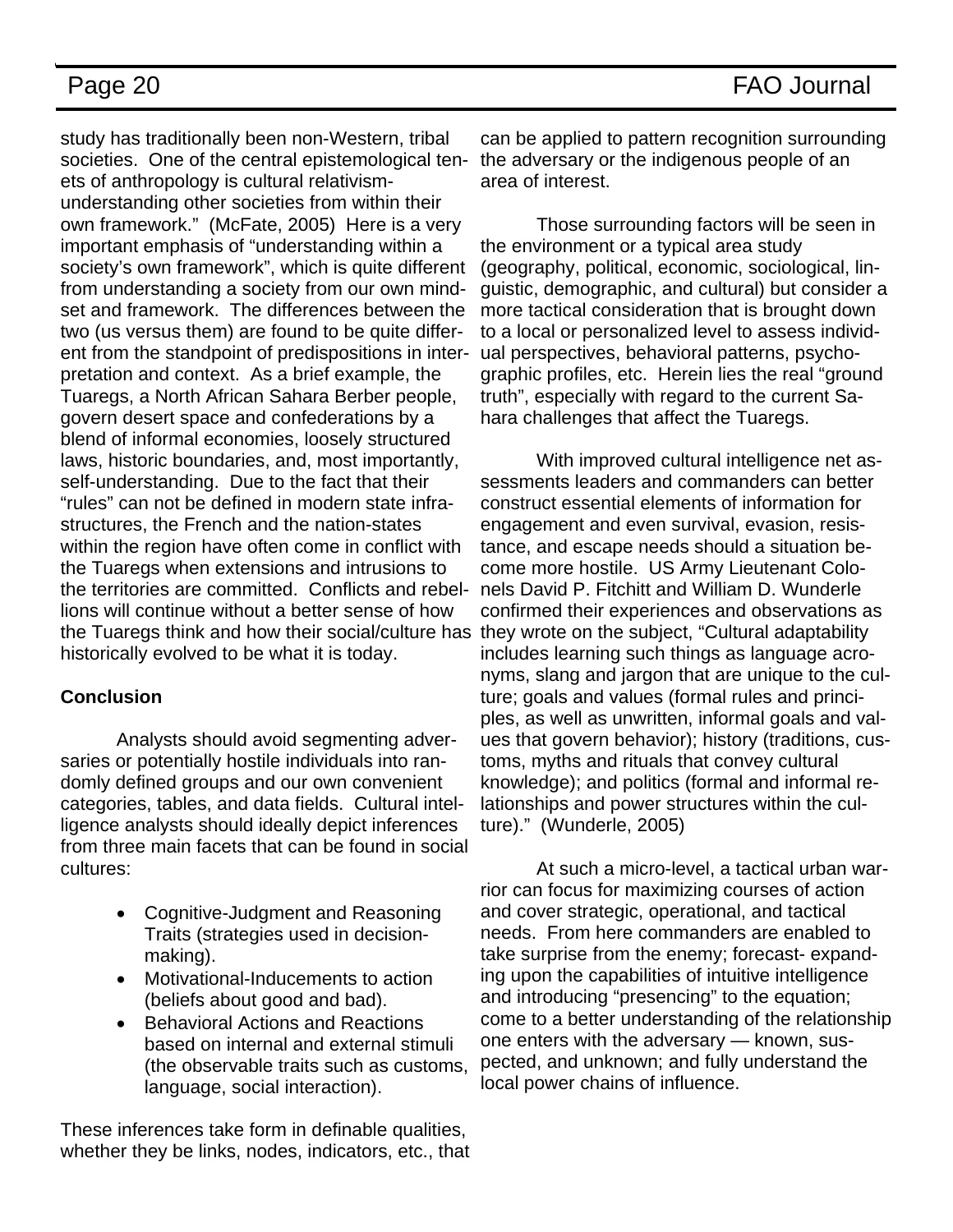study has traditionally been non-Western, tribal societies. One of the central epistemological tenets of anthropology is cultural relativismunderstanding other societies from within their own framework." (McFate, 2005) Here is a very important emphasis of "understanding within a society's own framework", which is quite different from understanding a society from our own mindset and framework. The differences between the two (us versus them) are found to be quite different from the standpoint of predispositions in interpretation and context. As a brief example, the Tuaregs, a North African Sahara Berber people, govern desert space and confederations by a blend of informal economies, loosely structured laws, historic boundaries, and, most importantly, self-understanding. Due to the fact that their "rules" can not be defined in modern state infrastructures, the French and the nation-states within the region have often come in conflict with the Tuaregs when extensions and intrusions to the territories are committed. Conflicts and rebellions will continue without a better sense of how the Tuaregs think and how their social/culture has they wrote on the subject, "Cultural adaptability historically evolved to be what it is today.

### **Conclusion**

Analysts should avoid segmenting adversaries or potentially hostile individuals into randomly defined groups and our own convenient categories, tables, and data fields. Cultural intelligence analysts should ideally depict inferences from three main facets that can be found in social cultures:

- Cognitive-Judgment and Reasoning Traits (strategies used in decisionmaking).
- Motivational-Inducements to action (beliefs about good and bad).
- Behavioral Actions and Reactions based on internal and external stimuli (the observable traits such as customs, language, social interaction).

These inferences take form in definable qualities, whether they be links, nodes, indicators, etc., that

can be applied to pattern recognition surrounding the adversary or the indigenous people of an area of interest.

Those surrounding factors will be seen in the environment or a typical area study (geography, political, economic, sociological, linguistic, demographic, and cultural) but consider a more tactical consideration that is brought down to a local or personalized level to assess individual perspectives, behavioral patterns, psychographic profiles, etc. Herein lies the real "ground truth", especially with regard to the current Sahara challenges that affect the Tuaregs.

With improved cultural intelligence net assessments leaders and commanders can better construct essential elements of information for engagement and even survival, evasion, resistance, and escape needs should a situation become more hostile. US Army Lieutenant Colonels David P. Fitchitt and William D. Wunderle confirmed their experiences and observations as includes learning such things as language acronyms, slang and jargon that are unique to the culture; goals and values (formal rules and principles, as well as unwritten, informal goals and values that govern behavior); history (traditions, customs, myths and rituals that convey cultural knowledge); and politics (formal and informal relationships and power structures within the culture)." (Wunderle, 2005)

At such a micro-level, a tactical urban warrior can focus for maximizing courses of action and cover strategic, operational, and tactical needs. From here commanders are enabled to take surprise from the enemy; forecast- expanding upon the capabilities of intuitive intelligence and introducing "presencing" to the equation; come to a better understanding of the relationship one enters with the adversary — known, suspected, and unknown; and fully understand the local power chains of influence.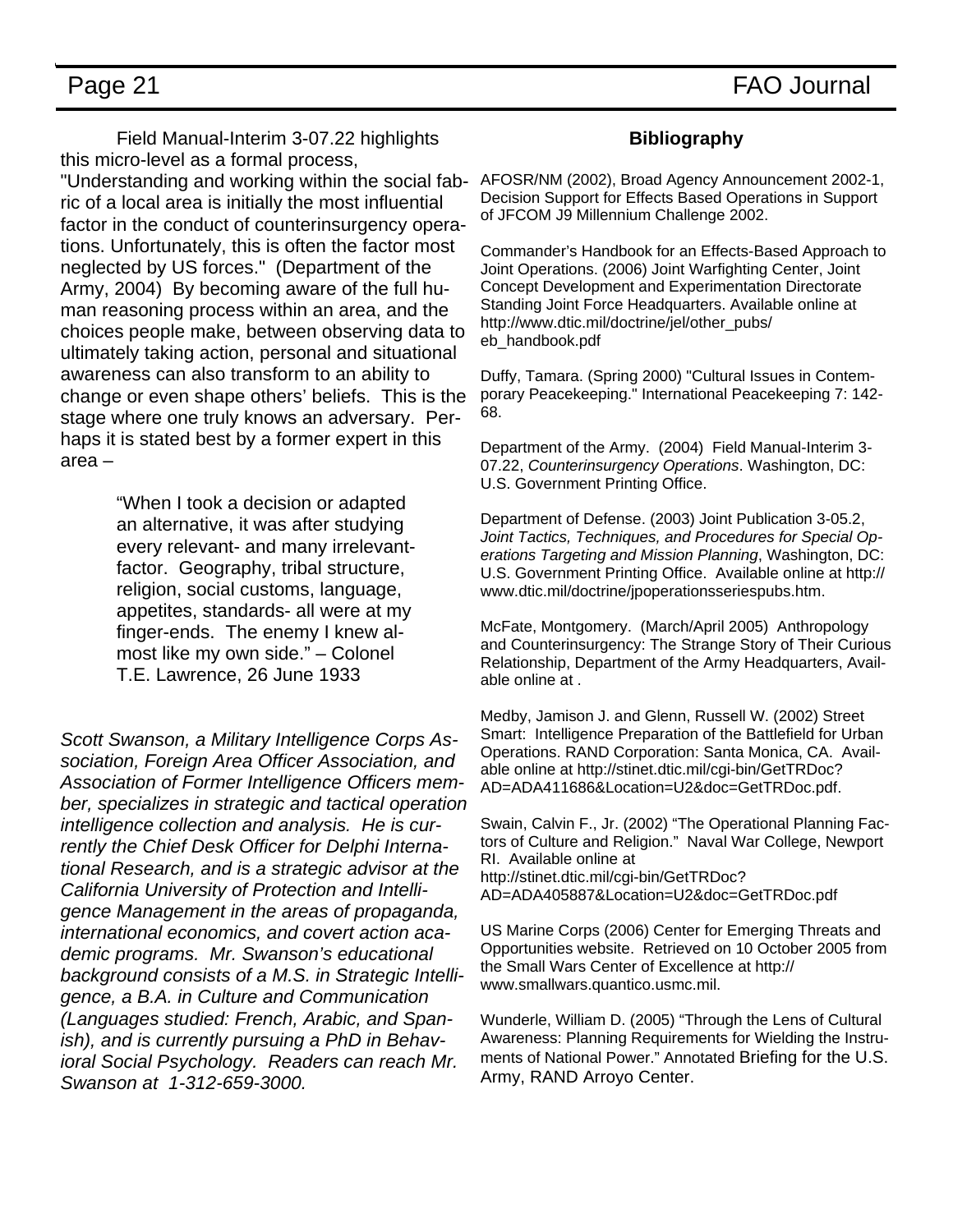Field Manual-Interim 3-07.22 highlights this micro-level as a formal process, ric of a local area is initially the most influential factor in the conduct of counterinsurgency operations. Unfortunately, this is often the factor most neglected by US forces." (Department of the Army, 2004) By becoming aware of the full human reasoning process within an area, and the choices people make, between observing data to ultimately taking action, personal and situational awareness can also transform to an ability to change or even shape others' beliefs. This is the stage where one truly knows an adversary. Perhaps it is stated best by a former expert in this area –

> "When I took a decision or adapted an alternative, it was after studying every relevant- and many irrelevantfactor. Geography, tribal structure, religion, social customs, language, appetites, standards- all were at my finger-ends. The enemy I knew almost like my own side." – Colonel T.E. Lawrence, 26 June 1933

*Scott Swanson, a Military Intelligence Corps Association, Foreign Area Officer Association, and Association of Former Intelligence Officers member, specializes in strategic and tactical operation intelligence collection and analysis. He is currently the Chief Desk Officer for Delphi International Research, and is a strategic advisor at the California University of Protection and Intelligence Management in the areas of propaganda, international economics, and covert action academic programs. Mr. Swanson's educational background consists of a M.S. in Strategic Intelligence, a B.A. in Culture and Communication (Languages studied: French, Arabic, and Spanish), and is currently pursuing a PhD in Behavioral Social Psychology. Readers can reach Mr. Swanson at 1-312-659-3000.* 

### **Bibliography**

"Understanding and working within the social fab-AFOSR/NM (2002), Broad Agency Announcement 2002-1, Decision Support for Effects Based Operations in Support of JFCOM J9 Millennium Challenge 2002.

> Commander's Handbook for an Effects-Based Approach to Joint Operations. (2006) Joint Warfighting Center, Joint Concept Development and Experimentation Directorate Standing Joint Force Headquarters. Available online at http://www.dtic.mil/doctrine/jel/other\_pubs/ eb\_handbook.pdf

Duffy, Tamara. (Spring 2000) "Cultural Issues in Contemporary Peacekeeping." International Peacekeeping 7: 142- 68.

Department of the Army. (2004) Field Manual-Interim 3- 07.22, *Counterinsurgency Operations*. Washington, DC: U.S. Government Printing Office.

Department of Defense. (2003) Joint Publication 3-05.2, *Joint Tactics, Techniques, and Procedures for Special Operations Targeting and Mission Planning*, Washington, DC: U.S. Government Printing Office. Available online at http:// www.dtic.mil/doctrine/jpoperationsseriespubs.htm.

McFate, Montgomery. (March/April 2005) Anthropology and Counterinsurgency: The Strange Story of Their Curious Relationship, Department of the Army Headquarters, Available online at .

Medby, Jamison J. and Glenn, Russell W. (2002) Street Smart: Intelligence Preparation of the Battlefield for Urban Operations. RAND Corporation: Santa Monica, CA. Available online at http://stinet.dtic.mil/cgi-bin/GetTRDoc? AD=ADA411686&Location=U2&doc=GetTRDoc.pdf.

Swain, Calvin F., Jr. (2002) "The Operational Planning Factors of Culture and Religion." Naval War College, Newport RI. Available online at http://stinet.dtic.mil/cgi-bin/GetTRDoc? AD=ADA405887&Location=U2&doc=GetTRDoc.pdf

US Marine Corps (2006) Center for Emerging Threats and Opportunities website. Retrieved on 10 October 2005 from the Small Wars Center of Excellence at http:// www.smallwars.quantico.usmc.mil.

Wunderle, William D. (2005) "Through the Lens of Cultural Awareness: Planning Requirements for Wielding the Instruments of National Power." Annotated Briefing for the U.S. Army, RAND Arroyo Center.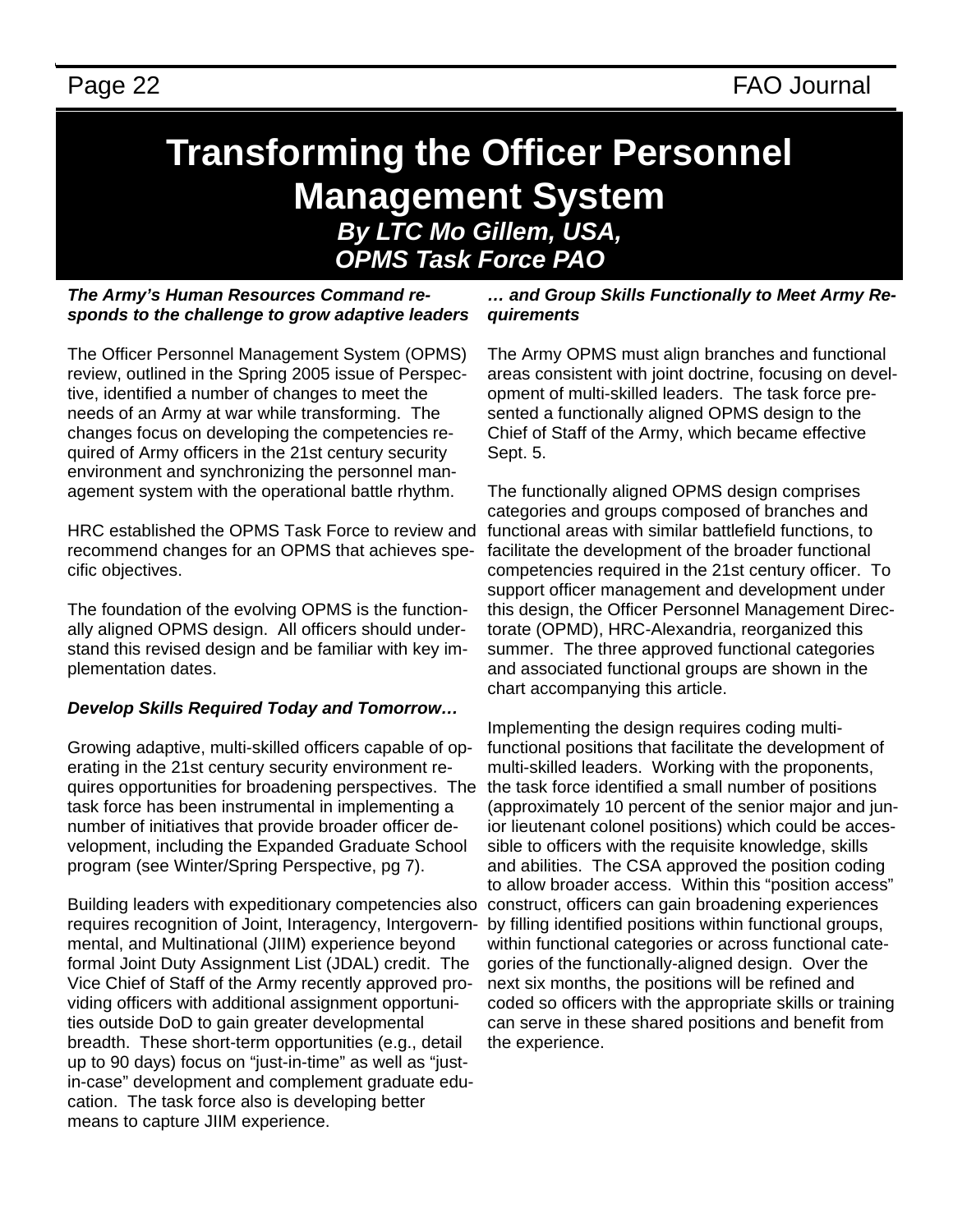# **Transforming the Officer Personnel Management System**  *By LTC Mo Gillem, USA, OPMS Task Force PAO ,*

*The Army's Human Resources Command responds to the challenge to grow adaptive leaders* 

The Officer Personnel Management System (OPMS) review, outlined in the Spring 2005 issue of Perspective, identified a number of changes to meet the needs of an Army at war while transforming. The changes focus on developing the competencies required of Army officers in the 21st century security environment and synchronizing the personnel management system with the operational battle rhythm.

HRC established the OPMS Task Force to review and recommend changes for an OPMS that achieves specific objectives.

The foundation of the evolving OPMS is the functionally aligned OPMS design. All officers should understand this revised design and be familiar with key implementation dates.

### *Develop Skills Required Today and Tomorrow…*

Growing adaptive, multi-skilled officers capable of operating in the 21st century security environment requires opportunities for broadening perspectives. The task force has been instrumental in implementing a number of initiatives that provide broader officer development, including the Expanded Graduate School program (see Winter/Spring Perspective, pg 7).

Building leaders with expeditionary competencies also requires recognition of Joint, Interagency, Intergovernmental, and Multinational (JIIM) experience beyond formal Joint Duty Assignment List (JDAL) credit. The Vice Chief of Staff of the Army recently approved providing officers with additional assignment opportunities outside DoD to gain greater developmental breadth. These short-term opportunities (e.g., detail up to 90 days) focus on "just-in-time" as well as "justin-case" development and complement graduate education. The task force also is developing better means to capture JIIM experience.

*… and Group Skills Functionally to Meet Army Requirements* 

The Army OPMS must align branches and functional areas consistent with joint doctrine, focusing on development of multi-skilled leaders. The task force presented a functionally aligned OPMS design to the Chief of Staff of the Army, which became effective Sept. 5.

The functionally aligned OPMS design comprises categories and groups composed of branches and functional areas with similar battlefield functions, to facilitate the development of the broader functional competencies required in the 21st century officer. To support officer management and development under this design, the Officer Personnel Management Directorate (OPMD), HRC-Alexandria, reorganized this summer. The three approved functional categories and associated functional groups are shown in the chart accompanying this article.

Implementing the design requires coding multifunctional positions that facilitate the development of multi-skilled leaders. Working with the proponents, the task force identified a small number of positions (approximately 10 percent of the senior major and junior lieutenant colonel positions) which could be accessible to officers with the requisite knowledge, skills and abilities. The CSA approved the position coding to allow broader access. Within this "position access" construct, officers can gain broadening experiences by filling identified positions within functional groups, within functional categories or across functional categories of the functionally-aligned design. Over the next six months, the positions will be refined and coded so officers with the appropriate skills or training can serve in these shared positions and benefit from the experience.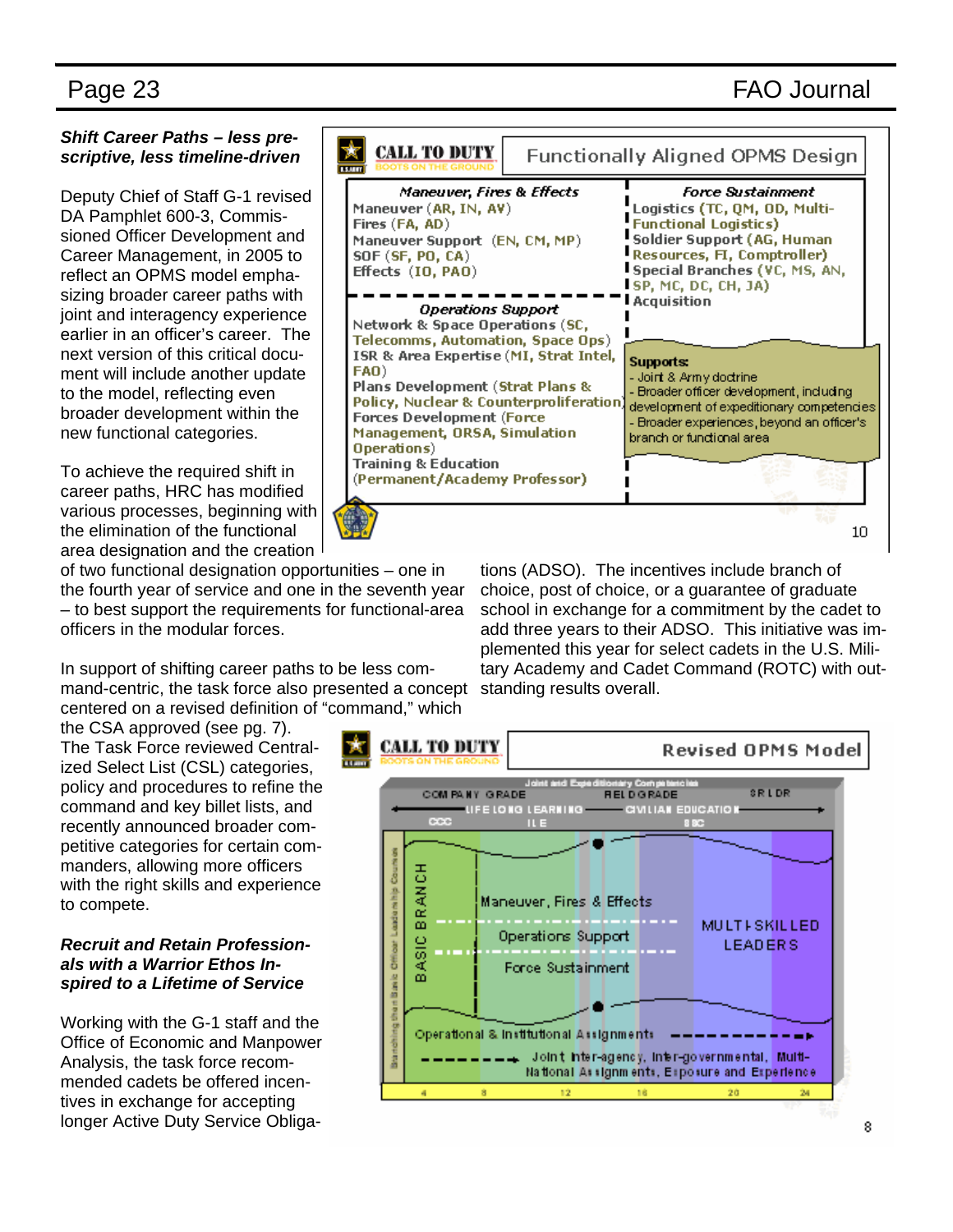### Page 23 FAO Journal

### *Shift Career Paths – less prescriptive, less timeline-driven*

Deputy Chief of Staff G-1 revised DA Pamphlet 600-3, Commissioned Officer Development and Career Management, in 2005 to reflect an OPMS model emphasizing broader career paths with joint and interagency experience earlier in an officer's career. The next version of this critical document will include another update to the model, reflecting even broader development within the new functional categories.

To achieve the required shift in career paths, HRC has modified various processes, beginning with the elimination of the functional area designation and the creation

of two functional designation opportunities – one in the fourth year of service and one in the seventh year – to best support the requirements for functional-area officers in the modular forces.

In support of shifting career paths to be less command-centric, the task force also presented a concept centered on a revised definition of "command," which

the CSA approved (see pg. 7). The Task Force reviewed Centralized Select List (CSL) categories, policy and procedures to refine the command and key billet lists, and recently announced broader competitive categories for certain commanders, allowing more officers with the right skills and experience to compete.

### *Recruit and Retain Professionals with a Warrior Ethos Inspired to a Lifetime of Service*

Working with the G-1 staff and the Office of Economic and Manpower Analysis, the task force recommended cadets be offered incentives in exchange for accepting longer Active Duty Service Obliga-



tions (ADSO). The incentives include branch of choice, post of choice, or a guarantee of graduate school in exchange for a commitment by the cadet to add three years to their ADSO. This initiative was implemented this year for select cadets in the U.S. Military Academy and Cadet Command (ROTC) with outstanding results overall.

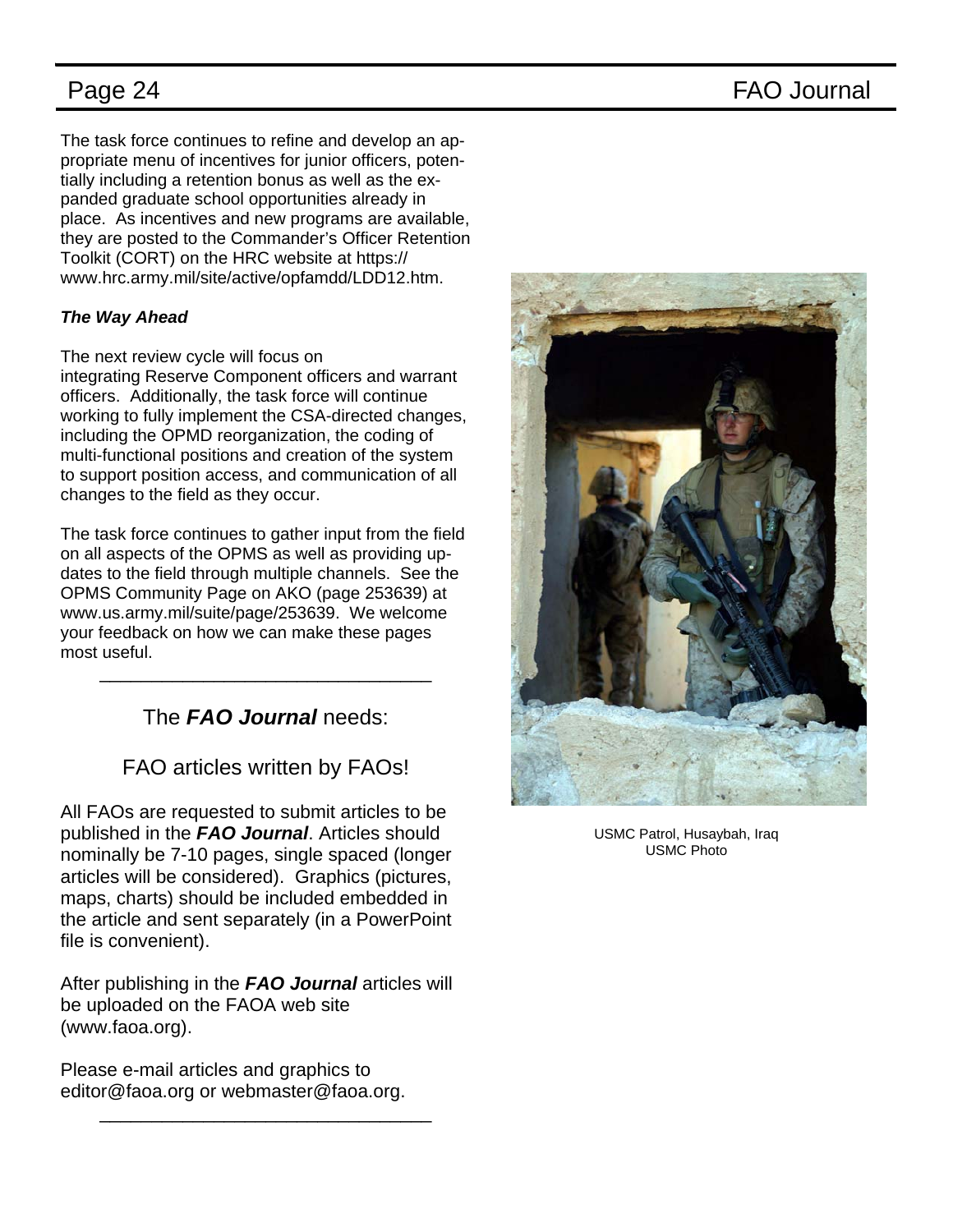Page 24 FAO Journal

The task force continues to refine and develop an appropriate menu of incentives for junior officers, potentially including a retention bonus as well as the expanded graduate school opportunities already in place. As incentives and new programs are available, they are posted to the Commander's Officer Retention Toolkit (CORT) on the HRC website at https:// www.hrc.army.mil/site/active/opfamdd/LDD12.htm.

### *The Way Ahead*

The next review cycle will focus on

integrating Reserve Component officers and warrant officers. Additionally, the task force will continue working to fully implement the CSA-directed changes, including the OPMD reorganization, the coding of multi-functional positions and creation of the system to support position access, and communication of all changes to the field as they occur.

The task force continues to gather input from the field on all aspects of the OPMS as well as providing updates to the field through multiple channels. See the OPMS Community Page on AKO (page 253639) at www.us.army.mil/suite/page/253639. We welcome your feedback on how we can make these pages most useful.

### The *FAO Journal* needs:

\_\_\_\_\_\_\_\_\_\_\_\_\_\_\_\_\_\_\_\_\_\_\_\_\_\_\_\_\_\_\_\_

### FAO articles written by FAOs!

All FAOs are requested to submit articles to be published in the *FAO Journal*. Articles should nominally be 7-10 pages, single spaced (longer articles will be considered). Graphics (pictures, maps, charts) should be included embedded in the article and sent separately (in a PowerPoint file is convenient).

After publishing in the *FAO Journal* articles will be uploaded on the FAOA web site (www.faoa.org).

\_\_\_\_\_\_\_\_\_\_\_\_\_\_\_\_\_\_\_\_\_\_\_\_\_\_\_\_\_\_\_\_

Please e-mail articles and graphics to editor@faoa.org or webmaster@faoa.org.



USMC Patrol, Husaybah, Iraq USMC Photo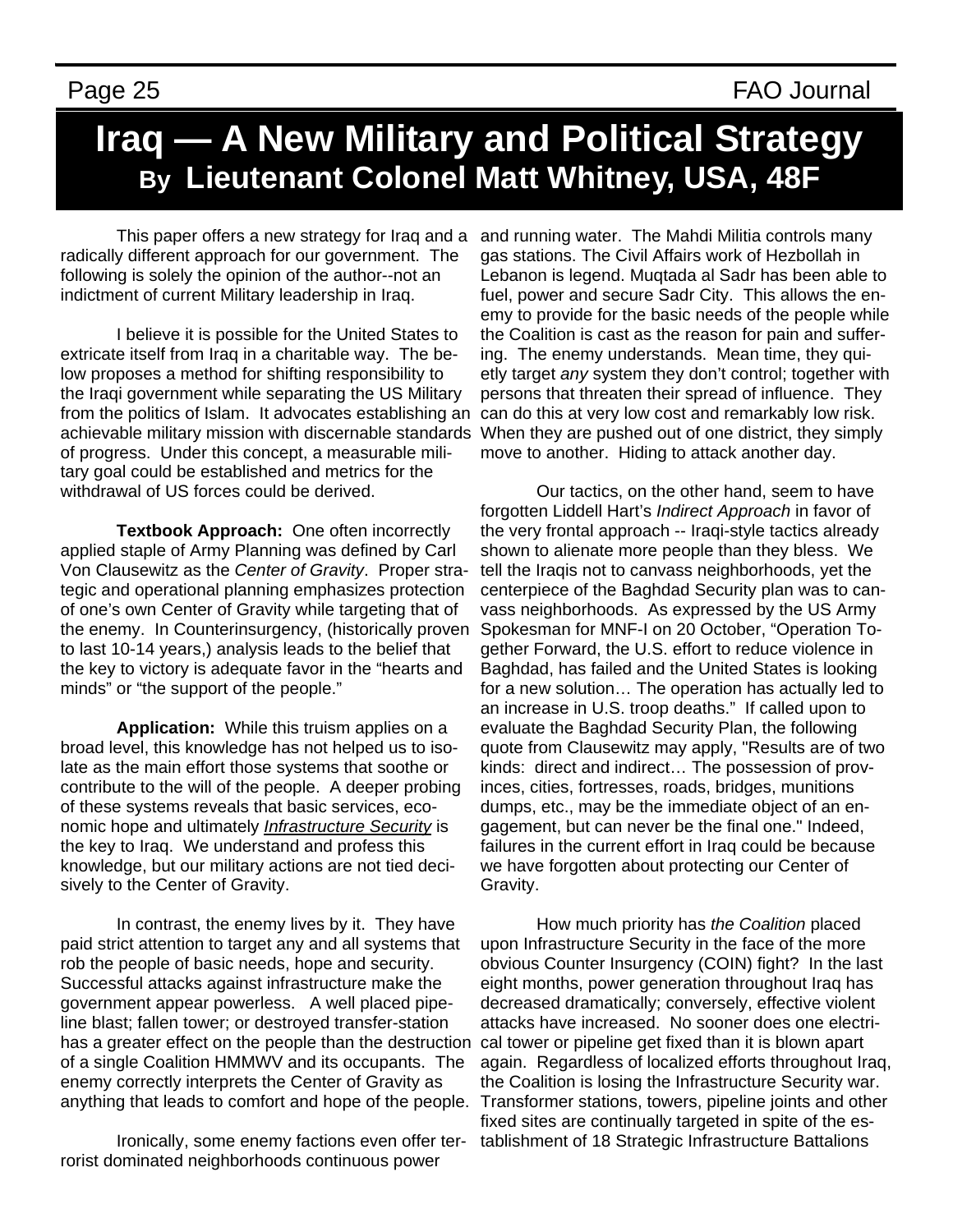# **Iraq — A New Military and Political Strategy By Lieutenant Colonel Matt Whitney, USA, 48F**

 This paper offers a new strategy for Iraq and a radically different approach for our government. The following is solely the opinion of the author--not an indictment of current Military leadership in Iraq.

 I believe it is possible for the United States to extricate itself from Iraq in a charitable way. The below proposes a method for shifting responsibility to the Iraqi government while separating the US Military from the politics of Islam. It advocates establishing an can do this at very low cost and remarkably low risk. achievable military mission with discernable standards When they are pushed out of one district, they simply of progress. Under this concept, a measurable military goal could be established and metrics for the withdrawal of US forces could be derived.

 **Textbook Approach:** One often incorrectly applied staple of Army Planning was defined by Carl Von Clausewitz as the *Center of Gravity*. Proper strategic and operational planning emphasizes protection of one's own Center of Gravity while targeting that of the enemy. In Counterinsurgency, (historically proven to last 10-14 years,) analysis leads to the belief that the key to victory is adequate favor in the "hearts and minds" or "the support of the people."

 **Application:** While this truism applies on a broad level, this knowledge has not helped us to isolate as the main effort those systems that soothe or contribute to the will of the people. A deeper probing of these systems reveals that basic services, economic hope and ultimately *Infrastructure Security* is the key to Iraq. We understand and profess this knowledge, but our military actions are not tied decisively to the Center of Gravity.

 In contrast, the enemy lives by it. They have paid strict attention to target any and all systems that rob the people of basic needs, hope and security. Successful attacks against infrastructure make the government appear powerless. A well placed pipeline blast; fallen tower; or destroyed transfer-station has a greater effect on the people than the destruction of a single Coalition HMMWV and its occupants. The enemy correctly interprets the Center of Gravity as anything that leads to comfort and hope of the people.

 Ironically, some enemy factions even offer terrorist dominated neighborhoods continuous power

and running water. The Mahdi Militia controls many gas stations. The Civil Affairs work of Hezbollah in Lebanon is legend. Muqtada al Sadr has been able to fuel, power and secure Sadr City. This allows the enemy to provide for the basic needs of the people while the Coalition is cast as the reason for pain and suffering. The enemy understands. Mean time, they quietly target *any* system they don't control; together with persons that threaten their spread of influence. They move to another. Hiding to attack another day.

 Our tactics, on the other hand, seem to have forgotten Liddell Hart's *Indirect Approach* in favor of the very frontal approach -- Iraqi-style tactics already shown to alienate more people than they bless. We tell the Iraqis not to canvass neighborhoods, yet the centerpiece of the Baghdad Security plan was to canvass neighborhoods. As expressed by the US Army Spokesman for MNF-I on 20 October, "Operation Together Forward, the U.S. effort to reduce violence in Baghdad, has failed and the United States is looking for a new solution… The operation has actually led to an increase in U.S. troop deaths." If called upon to evaluate the Baghdad Security Plan, the following quote from Clausewitz may apply, "Results are of two kinds: direct and indirect… The possession of provinces, cities, fortresses, roads, bridges, munitions dumps, etc., may be the immediate object of an engagement, but can never be the final one." Indeed, failures in the current effort in Iraq could be because we have forgotten about protecting our Center of Gravity.

 How much priority has *the Coalition* placed upon Infrastructure Security in the face of the more obvious Counter Insurgency (COIN) fight? In the last eight months, power generation throughout Iraq has decreased dramatically; conversely, effective violent attacks have increased. No sooner does one electrical tower or pipeline get fixed than it is blown apart again. Regardless of localized efforts throughout Iraq, the Coalition is losing the Infrastructure Security war. Transformer stations, towers, pipeline joints and other fixed sites are continually targeted in spite of the establishment of 18 Strategic Infrastructure Battalions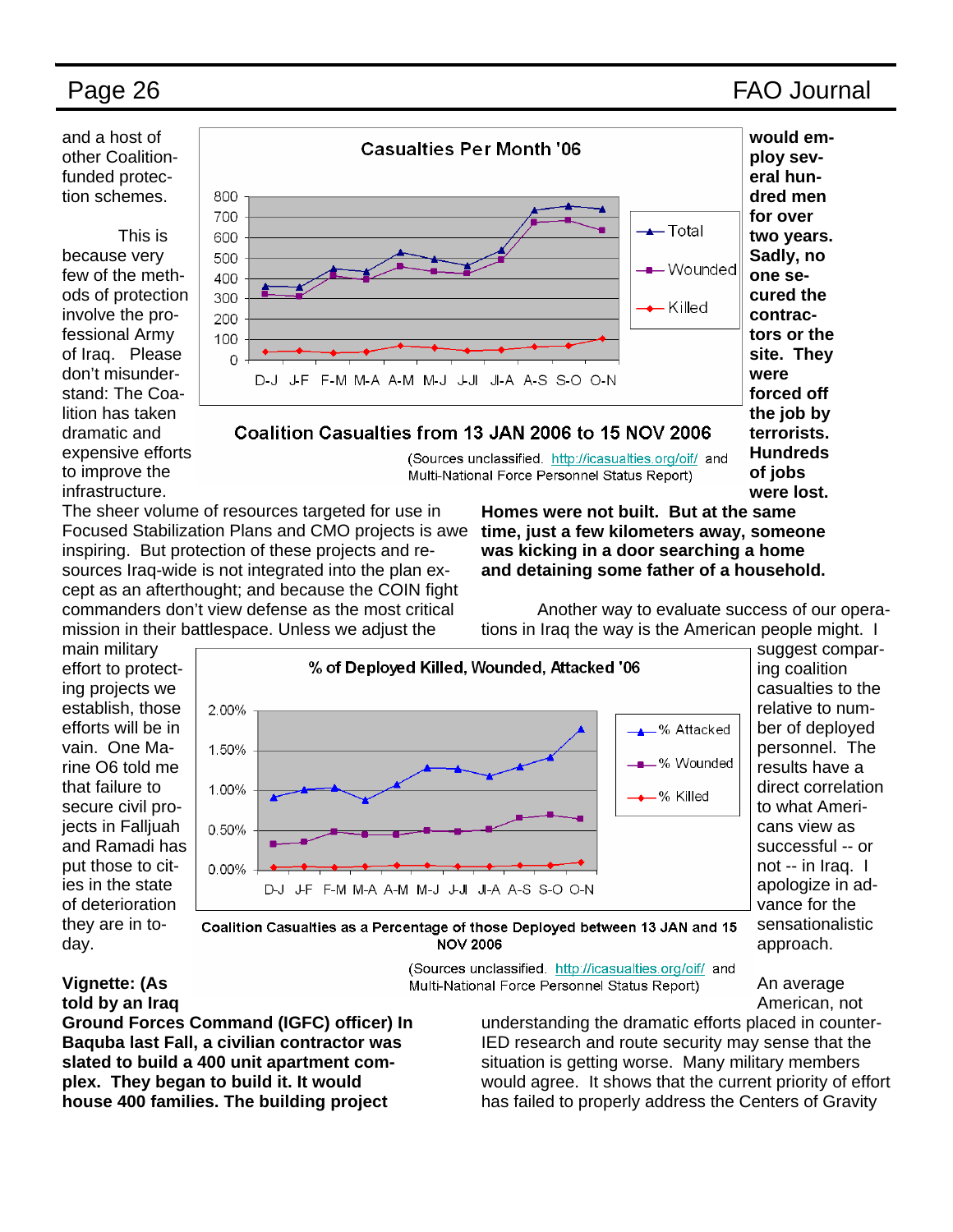**terrorists. Hundreds of jobs were lost.** 

and a host of other Coalitionfunded protection schemes.

 This is because very few of the methods of protection involve the professional Army of Iraq. Please don't misunderstand: The Coalition has taken dramatic and expensive efforts to improve the infrastructure.



### Coalition Casualties from 13 JAN 2006 to 15 NOV 2006

(Sources unclassified. http://icasualties.org/oif/ and Multi-National Force Personnel Status Report)

The sheer volume of resources targeted for use in Focused Stabilization Plans and CMO projects is awe inspiring. But protection of these projects and resources Iraq-wide is not integrated into the plan except as an afterthought; and because the COIN fight commanders don't view defense as the most critical mission in their battlespace. Unless we adjust the

**Homes were not built. But at the same time, just a few kilometers away, someone was kicking in a door searching a home and detaining some father of a household.** 

 Another way to evaluate success of our operations in Iraq the way is the American people might. I

main military effort to protecting projects we establish, those efforts will be in vain. One Marine O6 told me that failure to secure civil projects in Falljuah and Ramadi has put those to cities in the state of deterioration they are in today.



suggest comparing coalition casualties to the relative to number of deployed personnel. The results have a direct correlation to what Americans view as successful -- or not -- in Iraq. I apologize in advance for the sensationalistic approach.

Coalition Casualties as a Percentage of those Deployed between 13 JAN and 15 **NOV 2006** 

> (Sources unclassified. http://icasualties.org/oif/ and Multi-National Force Personnel Status Report)

An average American, not

### **Vignette: (As told by an Iraq**

**Ground Forces Command (IGFC) officer) In Baquba last Fall, a civilian contractor was slated to build a 400 unit apartment complex. They began to build it. It would house 400 families. The building project** 

understanding the dramatic efforts placed in counter-IED research and route security may sense that the situation is getting worse. Many military members would agree. It shows that the current priority of effort has failed to properly address the Centers of Gravity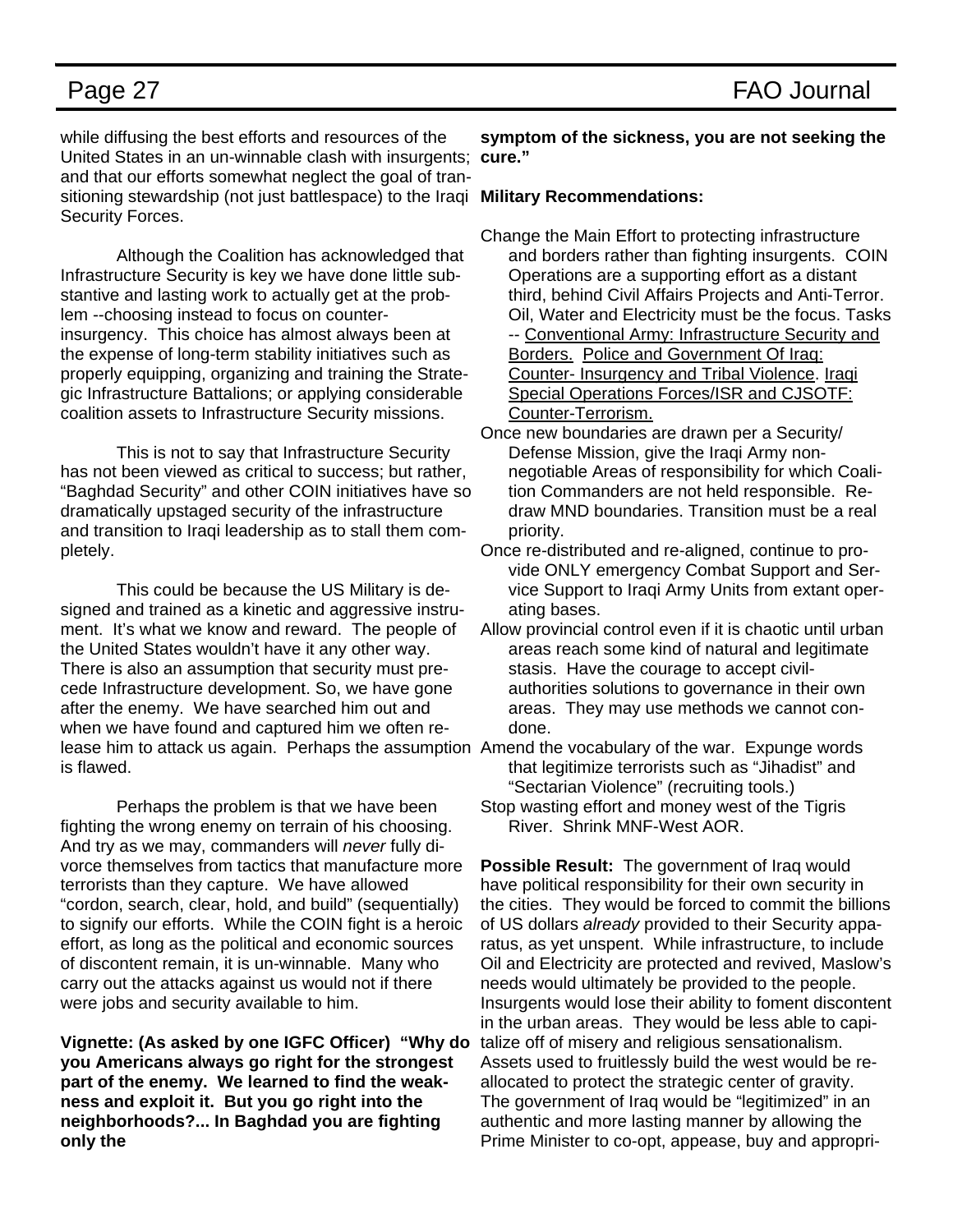while diffusing the best efforts and resources of the United States in an un-winnable clash with insurgents; **cure."**  and that our efforts somewhat neglect the goal of transitioning stewardship (not just battlespace) to the Iraqi **Military Recommendations:**  Security Forces.

 Although the Coalition has acknowledged that Infrastructure Security is key we have done little substantive and lasting work to actually get at the problem --choosing instead to focus on counterinsurgency. This choice has almost always been at the expense of long-term stability initiatives such as properly equipping, organizing and training the Strategic Infrastructure Battalions; or applying considerable coalition assets to Infrastructure Security missions.

 This is not to say that Infrastructure Security has not been viewed as critical to success; but rather, "Baghdad Security" and other COIN initiatives have so dramatically upstaged security of the infrastructure and transition to Iraqi leadership as to stall them completely.

 This could be because the US Military is designed and trained as a kinetic and aggressive instrument. It's what we know and reward. The people of the United States wouldn't have it any other way. There is also an assumption that security must precede Infrastructure development. So, we have gone after the enemy. We have searched him out and when we have found and captured him we often release him to attack us again. Perhaps the assumption Amend the vocabulary of the war. Expunge words is flawed.

 Perhaps the problem is that we have been fighting the wrong enemy on terrain of his choosing. And try as we may, commanders will *never* fully divorce themselves from tactics that manufacture more terrorists than they capture. We have allowed "cordon, search, clear, hold, and build" (sequentially) to signify our efforts. While the COIN fight is a heroic effort, as long as the political and economic sources of discontent remain, it is un-winnable. Many who carry out the attacks against us would not if there were jobs and security available to him.

**Vignette: (As asked by one IGFC Officer) "Why do you Americans always go right for the strongest part of the enemy. We learned to find the weakness and exploit it. But you go right into the neighborhoods?... In Baghdad you are fighting only the** 

**symptom of the sickness, you are not seeking the** 

- Change the Main Effort to protecting infrastructure and borders rather than fighting insurgents. COIN Operations are a supporting effort as a distant third, behind Civil Affairs Projects and Anti-Terror. Oil, Water and Electricity must be the focus. Tasks -- Conventional Army: Infrastructure Security and Borders. Police and Government Of Iraq: Counter- Insurgency and Tribal Violence. Iraqi Special Operations Forces/ISR and CJSOTF: Counter-Terrorism.
- Once new boundaries are drawn per a Security/ Defense Mission, give the Iraqi Army nonnegotiable Areas of responsibility for which Coalition Commanders are not held responsible. Redraw MND boundaries. Transition must be a real priority.
- Once re-distributed and re-aligned, continue to provide ONLY emergency Combat Support and Service Support to Iraqi Army Units from extant operating bases.
- Allow provincial control even if it is chaotic until urban areas reach some kind of natural and legitimate stasis. Have the courage to accept civilauthorities solutions to governance in their own areas. They may use methods we cannot condone.
- that legitimize terrorists such as "Jihadist" and "Sectarian Violence" (recruiting tools.)
- Stop wasting effort and money west of the Tigris River. Shrink MNF-West AOR.

**Possible Result:** The government of Iraq would have political responsibility for their own security in the cities. They would be forced to commit the billions of US dollars *already* provided to their Security apparatus, as yet unspent. While infrastructure, to include Oil and Electricity are protected and revived, Maslow's needs would ultimately be provided to the people. Insurgents would lose their ability to foment discontent in the urban areas. They would be less able to capitalize off of misery and religious sensationalism. Assets used to fruitlessly build the west would be reallocated to protect the strategic center of gravity. The government of Iraq would be "legitimized" in an authentic and more lasting manner by allowing the Prime Minister to co-opt, appease, buy and appropri-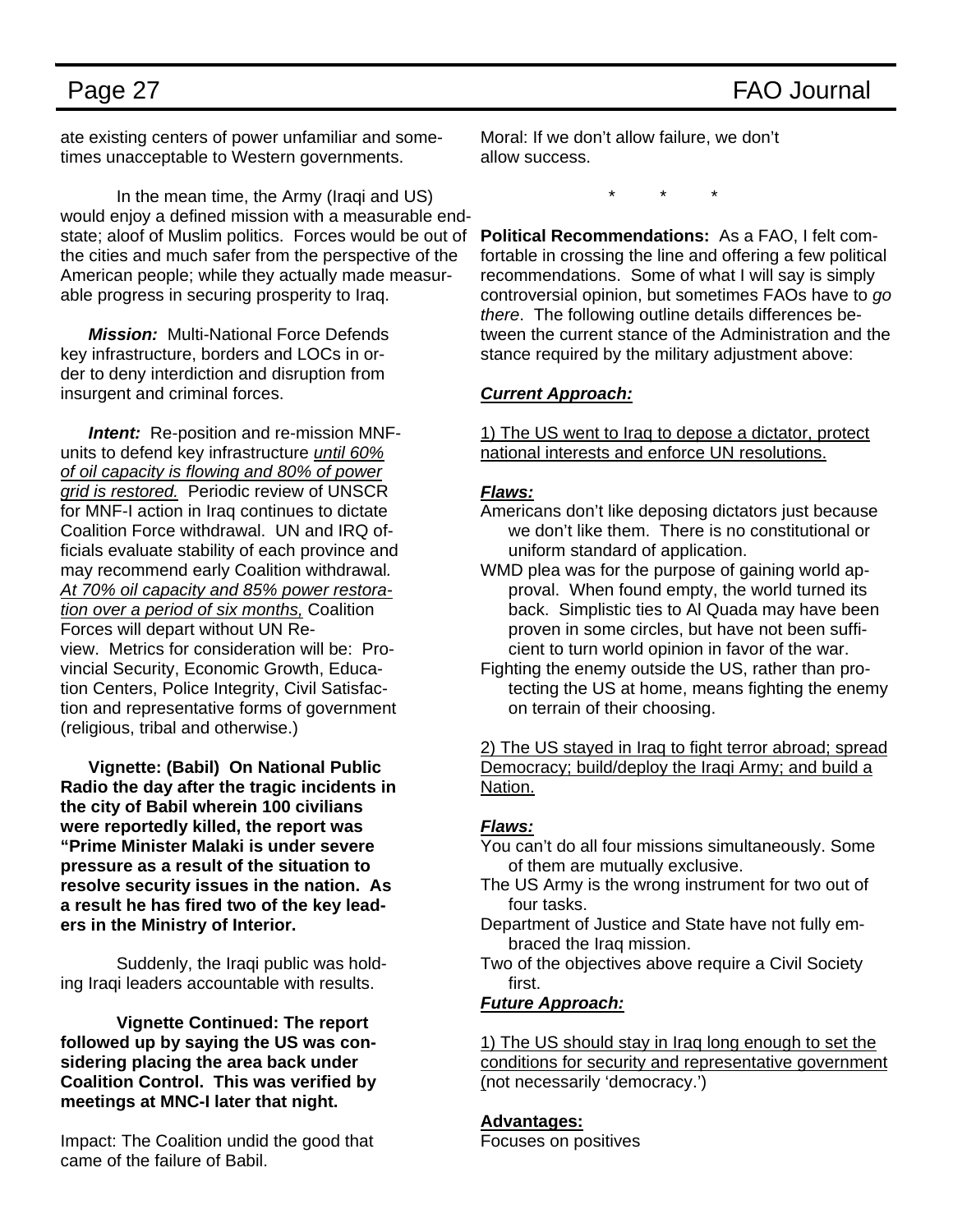ate existing centers of power unfamiliar and sometimes unacceptable to Western governments.

 In the mean time, the Army (Iraqi and US) would enjoy a defined mission with a measurable endstate; aloof of Muslim politics. Forces would be out of the cities and much safer from the perspective of the American people; while they actually made measurable progress in securing prosperity to Iraq.

*Mission:* Multi-National Force Defends key infrastructure, borders and LOCs in order to deny interdiction and disruption from insurgent and criminal forces.

*Intent:* Re-position and re-mission MNFunits to defend key infrastructure *until 60% of oil capacity is flowing and 80% of power grid is restored.* Periodic review of UNSCR for MNF-I action in Iraq continues to dictate Coalition Force withdrawal. UN and IRQ officials evaluate stability of each province and may recommend early Coalition withdrawal*. At 70% oil capacity and 85% power restoration over a period of six months,* Coalition Forces will depart without UN Review. Metrics for consideration will be: Provincial Security, Economic Growth, Education Centers, Police Integrity, Civil Satisfaction and representative forms of government (religious, tribal and otherwise.)

**Vignette: (Babil) On National Public Radio the day after the tragic incidents in the city of Babil wherein 100 civilians were reportedly killed, the report was "Prime Minister Malaki is under severe pressure as a result of the situation to resolve security issues in the nation. As a result he has fired two of the key leaders in the Ministry of Interior.** 

 Suddenly, the Iraqi public was holding Iraqi leaders accountable with results.

**Vignette Continued: The report followed up by saying the US was considering placing the area back under Coalition Control. This was verified by meetings at MNC-I later that night.** 

Impact: The Coalition undid the good that came of the failure of Babil.

Moral: If we don't allow failure, we don't allow success.

\* \* \*

**Political Recommendations:** As a FAO, I felt comfortable in crossing the line and offering a few political recommendations. Some of what I will say is simply controversial opinion, but sometimes FAOs have to *go there*.The following outline details differences between the current stance of the Administration and the stance required by the military adjustment above:

### *Current Approach:*

1) The US went to Iraq to depose a dictator, protect national interests and enforce UN resolutions.

### *Flaws:*

- Americans don't like deposing dictators just because we don't like them. There is no constitutional or uniform standard of application.
- WMD plea was for the purpose of gaining world approval. When found empty, the world turned its back. Simplistic ties to Al Quada may have been proven in some circles, but have not been sufficient to turn world opinion in favor of the war.
- Fighting the enemy outside the US, rather than protecting the US at home, means fighting the enemy on terrain of their choosing.

2) The US stayed in Iraq to fight terror abroad; spread Democracy; build/deploy the Iraqi Army; and build a Nation.

### *Flaws:*

- You can't do all four missions simultaneously. Some of them are mutually exclusive.
- The US Army is the wrong instrument for two out of four tasks.
- Department of Justice and State have not fully embraced the Iraq mission.
- Two of the objectives above require a Civil Society first.

*Future Approach:*

1) The US should stay in Iraq long enough to set the conditions for security and representative government (not necessarily 'democracy.')

### **Advantages:**

Focuses on positives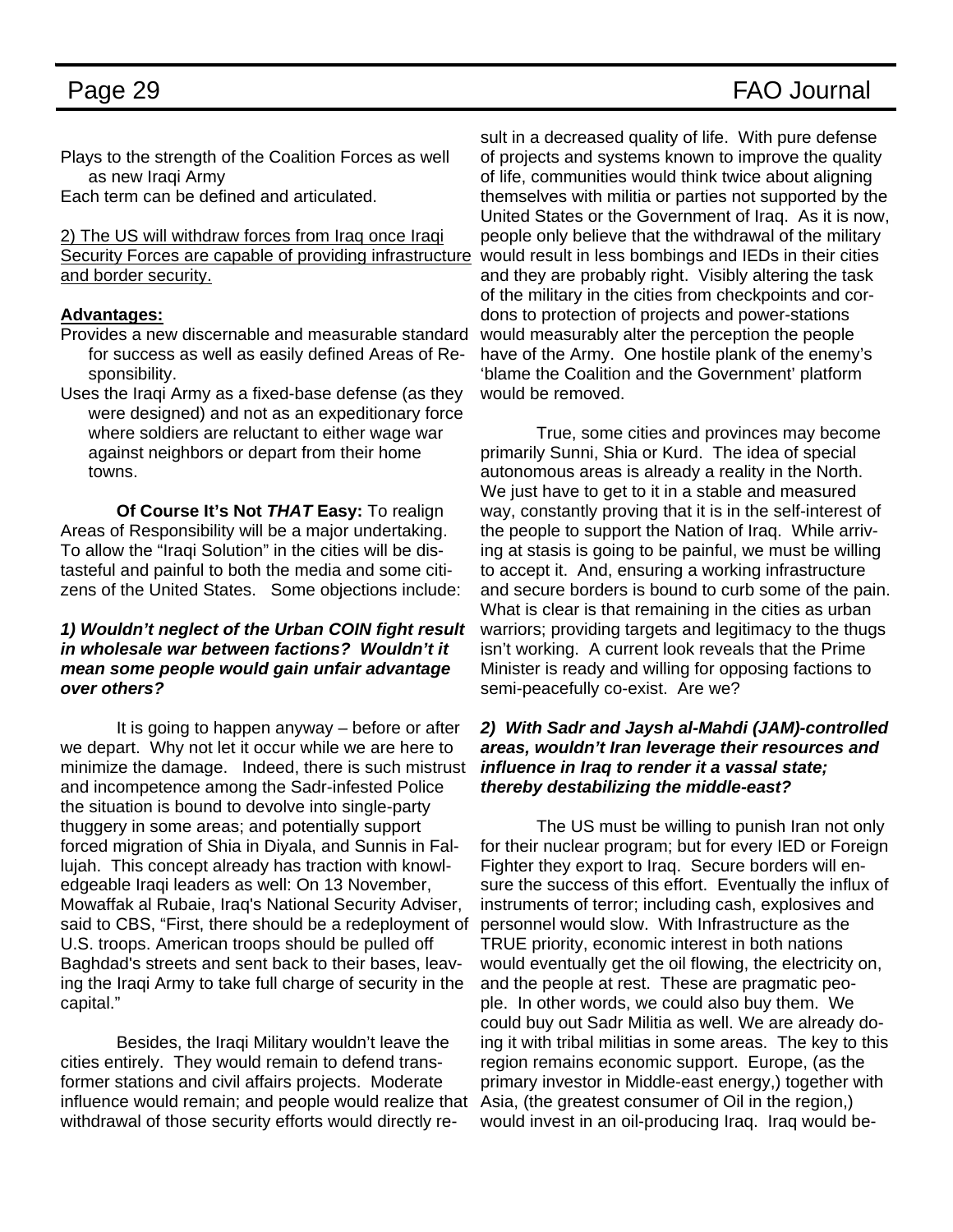Plays to the strength of the Coalition Forces as well as new Iraqi Army

Each term can be defined and articulated.

2) The US will withdraw forces from Iraq once Iraqi Security Forces are capable of providing infrastructure and border security.

### **Advantages:**

- Provides a new discernable and measurable standard for success as well as easily defined Areas of Responsibility.
- Uses the Iraqi Army as a fixed-base defense (as they were designed) and not as an expeditionary force where soldiers are reluctant to either wage war against neighbors or depart from their home towns.

 **Of Course It's Not** *THAT* **Easy:** To realign Areas of Responsibility will be a major undertaking. To allow the "Iraqi Solution" in the cities will be distasteful and painful to both the media and some citizens of the United States. Some objections include:

### *1) Wouldn't neglect of the Urban COIN fight result in wholesale war between factions? Wouldn't it mean some people would gain unfair advantage over others?*

 It is going to happen anyway – before or after we depart. Why not let it occur while we are here to minimize the damage. Indeed, there is such mistrust and incompetence among the Sadr-infested Police the situation is bound to devolve into single-party thuggery in some areas; and potentially support forced migration of Shia in Diyala, and Sunnis in Fallujah. This concept already has traction with knowledgeable Iraqi leaders as well: On 13 November, Mowaffak al Rubaie, Iraq's National Security Adviser, said to CBS, "First, there should be a redeployment of U.S. troops. American troops should be pulled off Baghdad's streets and sent back to their bases, leaving the Iraqi Army to take full charge of security in the capital."

 Besides, the Iraqi Military wouldn't leave the cities entirely. They would remain to defend transformer stations and civil affairs projects. Moderate influence would remain; and people would realize that withdrawal of those security efforts would directly re-

sult in a decreased quality of life. With pure defense of projects and systems known to improve the quality of life, communities would think twice about aligning themselves with militia or parties not supported by the United States or the Government of Iraq. As it is now, people only believe that the withdrawal of the military would result in less bombings and IEDs in their cities and they are probably right. Visibly altering the task of the military in the cities from checkpoints and cordons to protection of projects and power-stations would measurably alter the perception the people have of the Army. One hostile plank of the enemy's 'blame the Coalition and the Government' platform would be removed.

 True, some cities and provinces may become primarily Sunni, Shia or Kurd. The idea of special autonomous areas is already a reality in the North. We just have to get to it in a stable and measured way, constantly proving that it is in the self-interest of the people to support the Nation of Iraq. While arriving at stasis is going to be painful, we must be willing to accept it. And, ensuring a working infrastructure and secure borders is bound to curb some of the pain. What is clear is that remaining in the cities as urban warriors; providing targets and legitimacy to the thugs isn't working. A current look reveals that the Prime Minister is ready and willing for opposing factions to semi-peacefully co-exist. Are we?

### *2) With Sadr and Jaysh al-Mahdi (JAM)-controlled areas, wouldn't Iran leverage their resources and influence in Iraq to render it a vassal state; thereby destabilizing the middle-east?*

 The US must be willing to punish Iran not only for their nuclear program; but for every IED or Foreign Fighter they export to Iraq. Secure borders will ensure the success of this effort. Eventually the influx of instruments of terror; including cash, explosives and personnel would slow. With Infrastructure as the TRUE priority, economic interest in both nations would eventually get the oil flowing, the electricity on, and the people at rest. These are pragmatic people. In other words, we could also buy them. We could buy out Sadr Militia as well. We are already doing it with tribal militias in some areas. The key to this region remains economic support. Europe, (as the primary investor in Middle-east energy,) together with Asia, (the greatest consumer of Oil in the region,) would invest in an oil-producing Iraq. Iraq would be-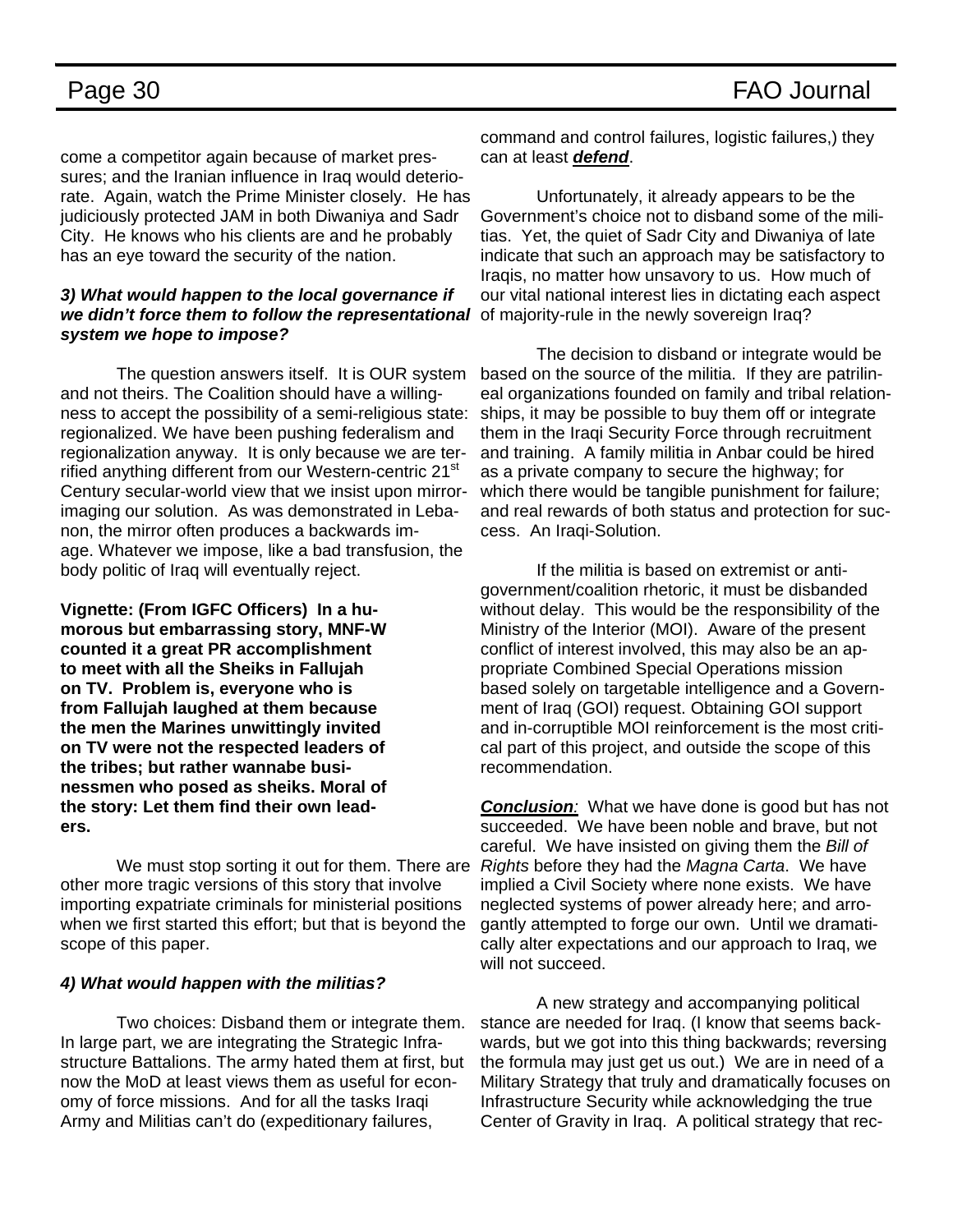come a competitor again because of market pressures; and the Iranian influence in Iraq would deteriorate. Again, watch the Prime Minister closely. He has judiciously protected JAM in both Diwaniya and Sadr City. He knows who his clients are and he probably has an eye toward the security of the nation.

### *3) What would happen to the local governance if we didn't force them to follow the representational system we hope to impose?*

 The question answers itself. It is OUR system and not theirs. The Coalition should have a willingness to accept the possibility of a semi-religious state: regionalized. We have been pushing federalism and regionalization anyway. It is only because we are terrified anything different from our Western-centric 21<sup>st</sup> Century secular-world view that we insist upon mirrorimaging our solution. As was demonstrated in Lebanon, the mirror often produces a backwards image. Whatever we impose, like a bad transfusion, the body politic of Iraq will eventually reject.

**Vignette: (From IGFC Officers) In a humorous but embarrassing story, MNF-W counted it a great PR accomplishment to meet with all the Sheiks in Fallujah on TV. Problem is, everyone who is from Fallujah laughed at them because the men the Marines unwittingly invited on TV were not the respected leaders of the tribes; but rather wannabe businessmen who posed as sheiks. Moral of the story: Let them find their own leaders.** 

 We must stop sorting it out for them. There are other more tragic versions of this story that involve importing expatriate criminals for ministerial positions when we first started this effort; but that is beyond the scope of this paper.

### *4) What would happen with the militias?*

 Two choices: Disband them or integrate them. In large part, we are integrating the Strategic Infrastructure Battalions. The army hated them at first, but now the MoD at least views them as useful for economy of force missions. And for all the tasks Iraqi Army and Militias can't do (expeditionary failures,

command and control failures, logistic failures,) they can at least *defend*.

 Unfortunately, it already appears to be the Government's choice not to disband some of the militias. Yet, the quiet of Sadr City and Diwaniya of late indicate that such an approach may be satisfactory to Iraqis, no matter how unsavory to us. How much of our vital national interest lies in dictating each aspect of majority-rule in the newly sovereign Iraq?

 The decision to disband or integrate would be based on the source of the militia. If they are patrilineal organizations founded on family and tribal relationships, it may be possible to buy them off or integrate them in the Iraqi Security Force through recruitment and training. A family militia in Anbar could be hired as a private company to secure the highway; for which there would be tangible punishment for failure; and real rewards of both status and protection for success. An Iraqi-Solution.

 If the militia is based on extremist or antigovernment/coalition rhetoric, it must be disbanded without delay. This would be the responsibility of the Ministry of the Interior (MOI). Aware of the present conflict of interest involved, this may also be an appropriate Combined Special Operations mission based solely on targetable intelligence and a Government of Iraq (GOI) request. Obtaining GOI support and in-corruptible MOI reinforcement is the most critical part of this project, and outside the scope of this recommendation.

*Conclusion:* What we have done is good but has not succeeded. We have been noble and brave, but not careful. We have insisted on giving them the *Bill of Rights* before they had the *Magna Carta*. We have implied a Civil Society where none exists. We have neglected systems of power already here; and arrogantly attempted to forge our own. Until we dramatically alter expectations and our approach to Iraq, we will not succeed.

 A new strategy and accompanying political stance are needed for Iraq. (I know that seems backwards, but we got into this thing backwards; reversing the formula may just get us out.) We are in need of a Military Strategy that truly and dramatically focuses on Infrastructure Security while acknowledging the true Center of Gravity in Iraq. A political strategy that rec-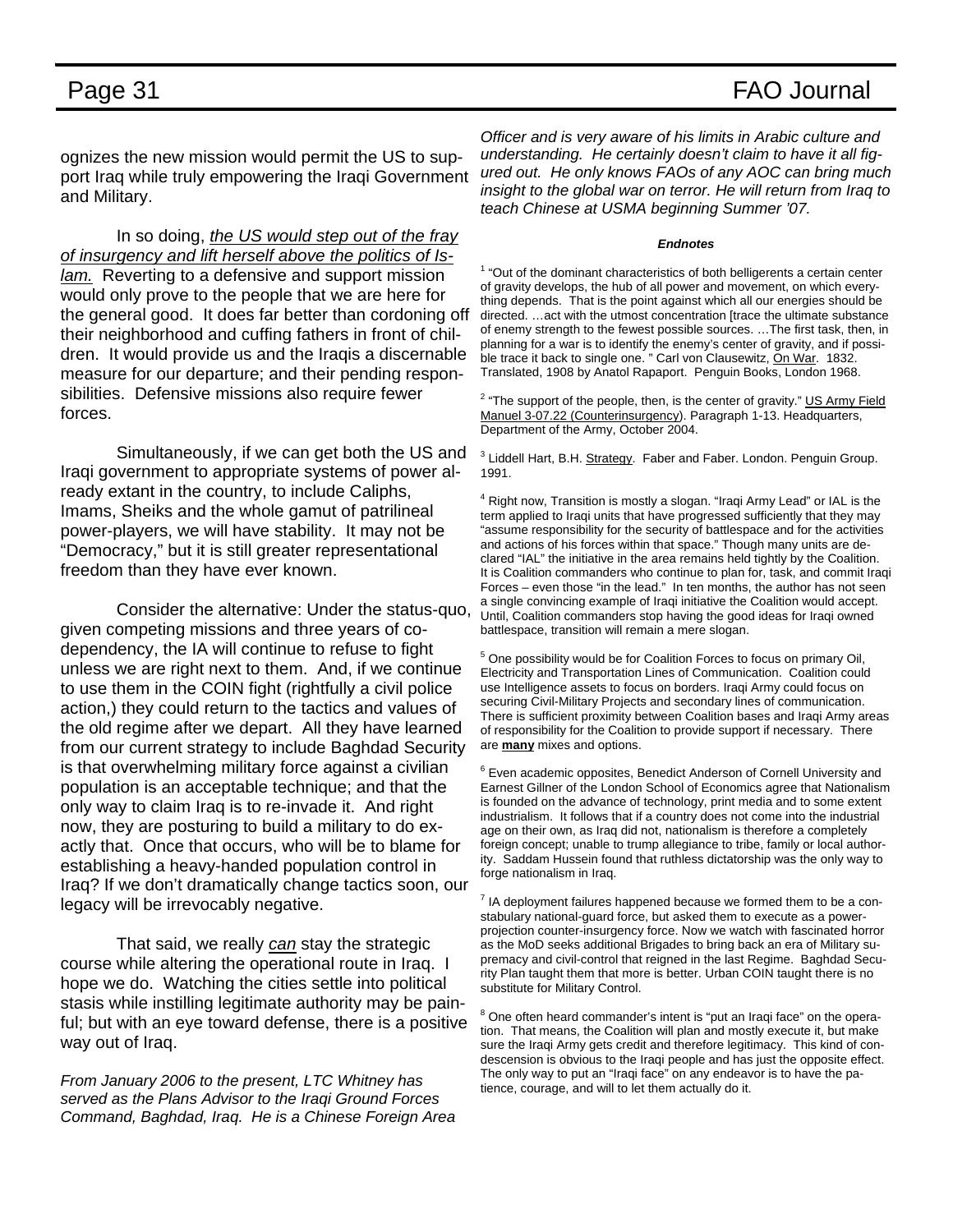### Page 31 FAO Journal

ognizes the new mission would permit the US to support Iraq while truly empowering the Iraqi Government and Military.

 In so doing, *the US would step out of the fray of insurgency and lift herself above the politics of Islam.* Reverting to a defensive and support mission would only prove to the people that we are here for the general good. It does far better than cordoning off their neighborhood and cuffing fathers in front of children. It would provide us and the Iraqis a discernable measure for our departure; and their pending responsibilities. Defensive missions also require fewer forces.

 Simultaneously, if we can get both the US and Iraqi government to appropriate systems of power already extant in the country, to include Caliphs, Imams, Sheiks and the whole gamut of patrilineal power-players, we will have stability. It may not be "Democracy," but it is still greater representational freedom than they have ever known.

 Consider the alternative: Under the status-quo, given competing missions and three years of codependency, the IA will continue to refuse to fight unless we are right next to them. And, if we continue to use them in the COIN fight (rightfully a civil police action,) they could return to the tactics and values of the old regime after we depart. All they have learned from our current strategy to include Baghdad Security is that overwhelming military force against a civilian population is an acceptable technique; and that the only way to claim Iraq is to re-invade it. And right now, they are posturing to build a military to do exactly that. Once that occurs, who will be to blame for establishing a heavy-handed population control in Iraq? If we don't dramatically change tactics soon, our legacy will be irrevocably negative.

 That said, we really *can* stay the strategic course while altering the operational route in Iraq. I hope we do. Watching the cities settle into political stasis while instilling legitimate authority may be painful; but with an eye toward defense, there is a positive way out of Iraq.

*From January 2006 to the present, LTC Whitney has served as the Plans Advisor to the Iraqi Ground Forces Command, Baghdad, Iraq. He is a Chinese Foreign Area* 

*Officer and is very aware of his limits in Arabic culture and understanding. He certainly doesn't claim to have it all figured out. He only knows FAOs of any AOC can bring much insight to the global war on terror. He will return from Iraq to teach Chinese at USMA beginning Summer '07.* 

### *Endnotes*

 $1$  "Out of the dominant characteristics of both belligerents a certain center of gravity develops, the hub of all power and movement, on which everything depends. That is the point against which all our energies should be directed. …act with the utmost concentration [trace the ultimate substance of enemy strength to the fewest possible sources. …The first task, then, in planning for a war is to identify the enemy's center of gravity, and if possible trace it back to single one. " Carl von Clausewitz, On War. 1832. Translated, 1908 by Anatol Rapaport. Penguin Books, London 1968.

<sup>2</sup> "The support of the people, then, is the center of gravity." US Army Field Manuel 3-07.22 (Counterinsurgency). Paragraph 1-13. Headquarters, Department of the Army, October 2004.

<sup>3</sup> Liddell Hart, B.H. Strategy. Faber and Faber. London. Penguin Group. 1991.

<sup>4</sup> Right now, Transition is mostly a slogan. "Iraqi Army Lead" or IAL is the term applied to Iraqi units that have progressed sufficiently that they may "assume responsibility for the security of battlespace and for the activities and actions of his forces within that space." Though many units are declared "IAL" the initiative in the area remains held tightly by the Coalition. It is Coalition commanders who continue to plan for, task, and commit Iraqi Forces – even those "in the lead." In ten months, the author has not seen a single convincing example of Iraqi initiative the Coalition would accept. Until, Coalition commanders stop having the good ideas for Iraqi owned battlespace, transition will remain a mere slogan.

<sup>5</sup> One possibility would be for Coalition Forces to focus on primary Oil, Electricity and Transportation Lines of Communication. Coalition could use Intelligence assets to focus on borders. Iraqi Army could focus on securing Civil-Military Projects and secondary lines of communication. There is sufficient proximity between Coalition bases and Iraqi Army areas of responsibility for the Coalition to provide support if necessary. There are **many** mixes and options.

<sup>6</sup> Even academic opposites, Benedict Anderson of Cornell University and Earnest Gillner of the London School of Economics agree that Nationalism is founded on the advance of technology, print media and to some extent industrialism. It follows that if a country does not come into the industrial age on their own, as Iraq did not, nationalism is therefore a completely foreign concept; unable to trump allegiance to tribe, family or local authority. Saddam Hussein found that ruthless dictatorship was the only way to forge nationalism in Iraq.

 $<sup>7</sup>$  IA deployment failures happened because we formed them to be a con-</sup> stabulary national-guard force, but asked them to execute as a powerprojection counter-insurgency force. Now we watch with fascinated horror as the MoD seeks additional Brigades to bring back an era of Military supremacy and civil-control that reigned in the last Regime. Baghdad Security Plan taught them that more is better. Urban COIN taught there is no substitute for Military Control.

<sup>8</sup> One often heard commander's intent is "put an Iraqi face" on the operation. That means, the Coalition will plan and mostly execute it, but make sure the Iraqi Army gets credit and therefore legitimacy. This kind of condescension is obvious to the Iraqi people and has just the opposite effect. The only way to put an "Iraqi face" on any endeavor is to have the patience, courage, and will to let them actually do it.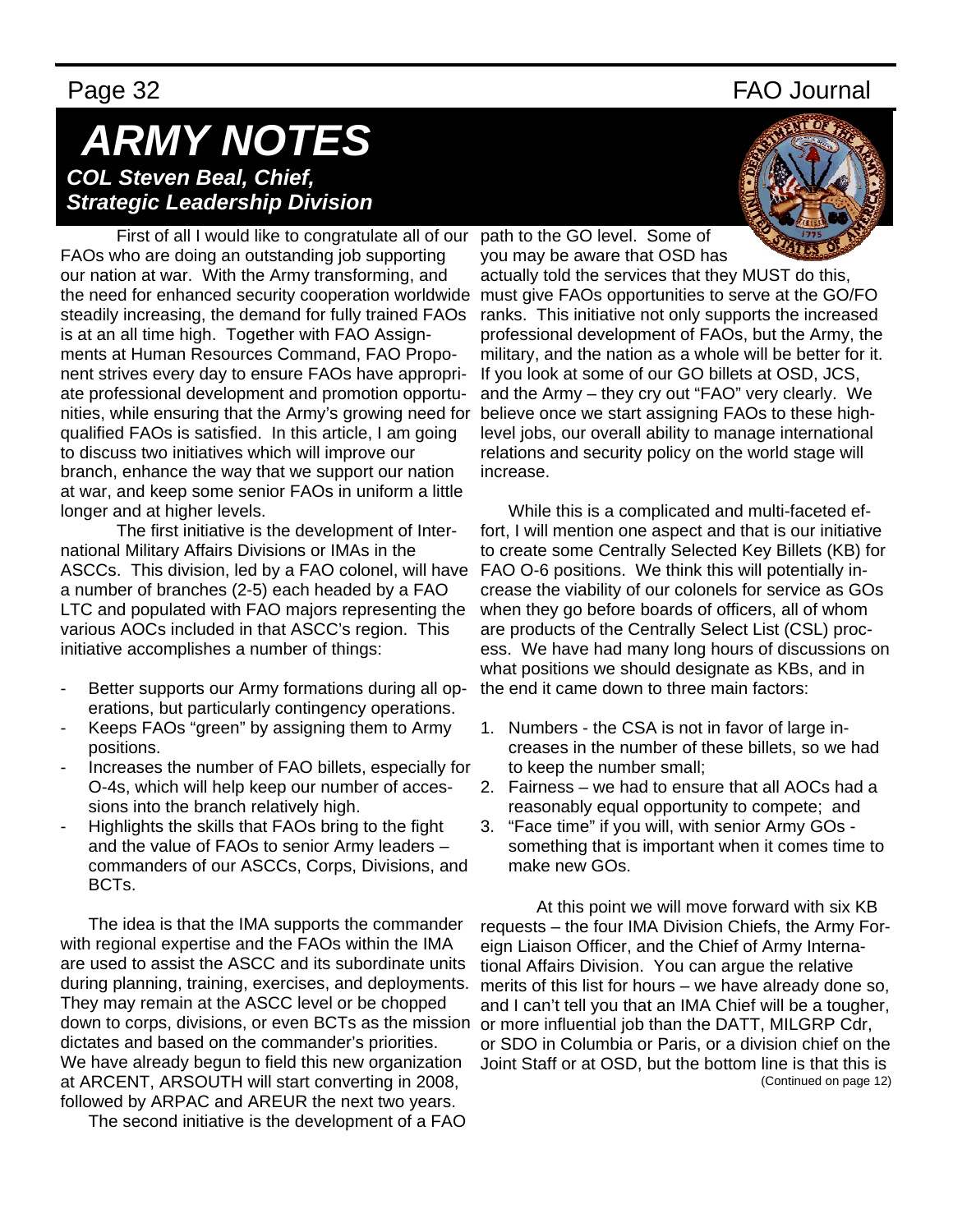### Page 32 FAO Journal

## *ARMY NOTES COL Steven Beal, Chief, Strategic Leadership Division*

First of all I would like to congratulate all of our FAOs who are doing an outstanding job supporting our nation at war. With the Army transforming, and the need for enhanced security cooperation worldwide steadily increasing, the demand for fully trained FAOs is at an all time high. Together with FAO Assignments at Human Resources Command, FAO Proponent strives every day to ensure FAOs have appropriate professional development and promotion opportunities, while ensuring that the Army's growing need for qualified FAOs is satisfied. In this article, I am going to discuss two initiatives which will improve our branch, enhance the way that we support our nation at war, and keep some senior FAOs in uniform a little longer and at higher levels.

The first initiative is the development of International Military Affairs Divisions or IMAs in the ASCCs. This division, led by a FAO colonel, will have a number of branches (2-5) each headed by a FAO LTC and populated with FAO majors representing the various AOCs included in that ASCC's region. This initiative accomplishes a number of things:

- Better supports our Army formations during all operations, but particularly contingency operations.
- Keeps FAOs "green" by assigning them to Army positions.
- Increases the number of FAO billets, especially for O-4s, which will help keep our number of accessions into the branch relatively high.
- Highlights the skills that FAOs bring to the fight and the value of FAOs to senior Army leaders – commanders of our ASCCs, Corps, Divisions, and BCTs.

The idea is that the IMA supports the commander with regional expertise and the FAOs within the IMA are used to assist the ASCC and its subordinate units during planning, training, exercises, and deployments. They may remain at the ASCC level or be chopped down to corps, divisions, or even BCTs as the mission dictates and based on the commander's priorities. We have already begun to field this new organization at ARCENT, ARSOUTH will start converting in 2008, followed by ARPAC and AREUR the next two years.

The second initiative is the development of a FAO



path to the GO level. Some of you may be aware that OSD has

actually told the services that they MUST do this, must give FAOs opportunities to serve at the GO/FO ranks. This initiative not only supports the increased professional development of FAOs, but the Army, the military, and the nation as a whole will be better for it. If you look at some of our GO billets at OSD, JCS, and the Army – they cry out "FAO" very clearly. We believe once we start assigning FAOs to these highlevel jobs, our overall ability to manage international relations and security policy on the world stage will increase.

While this is a complicated and multi-faceted effort, I will mention one aspect and that is our initiative to create some Centrally Selected Key Billets (KB) for FAO O-6 positions. We think this will potentially increase the viability of our colonels for service as GOs when they go before boards of officers, all of whom are products of the Centrally Select List (CSL) process. We have had many long hours of discussions on what positions we should designate as KBs, and in the end it came down to three main factors:

- 1. Numbers the CSA is not in favor of large increases in the number of these billets, so we had to keep the number small;
- 2. Fairness we had to ensure that all AOCs had a reasonably equal opportunity to compete; and
- 3. "Face time" if you will, with senior Army GOs something that is important when it comes time to make new GOs.

 At this point we will move forward with six KB requests – the four IMA Division Chiefs, the Army Foreign Liaison Officer, and the Chief of Army International Affairs Division. You can argue the relative merits of this list for hours – we have already done so, and I can't tell you that an IMA Chief will be a tougher, or more influential job than the DATT, MILGRP Cdr, or SDO in Columbia or Paris, or a division chief on the Joint Staff or at OSD, but the bottom line is that this is (Continued on page 12)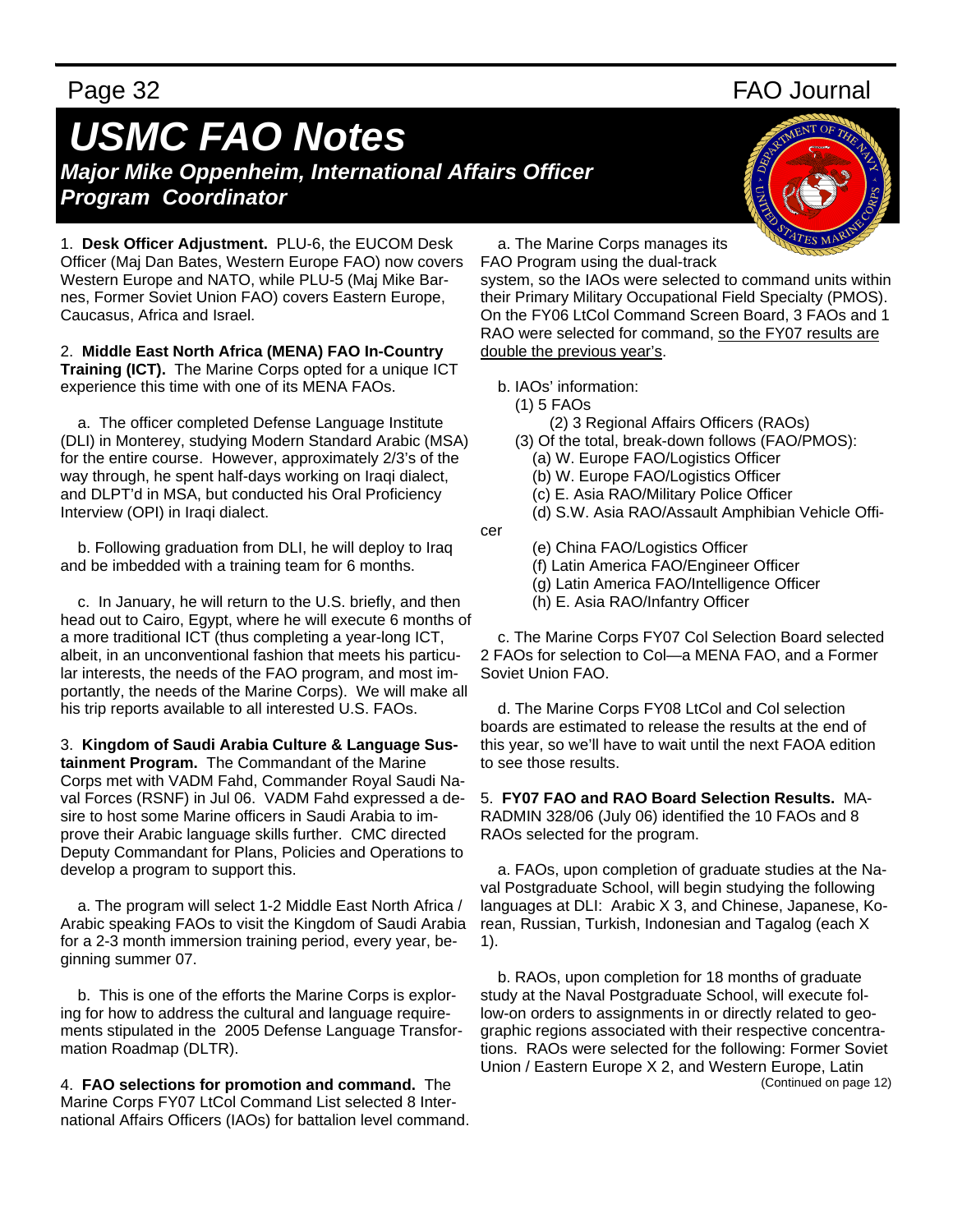# *USMC FAO Notes Major Mike Oppenheim, International Affairs Officer*

*Program Coordinator* 

1. **Desk Officer Adjustment.** PLU-6, the EUCOM Desk Officer (Maj Dan Bates, Western Europe FAO) now covers Western Europe and NATO, while PLU-5 (Maj Mike Barnes, Former Soviet Union FAO) covers Eastern Europe, Caucasus, Africa and Israel.

2. **Middle East North Africa (MENA) FAO In-Country Training (ICT).** The Marine Corps opted for a unique ICT experience this time with one of its MENA FAOs.

 a. The officer completed Defense Language Institute (DLI) in Monterey, studying Modern Standard Arabic (MSA) for the entire course. However, approximately 2/3's of the way through, he spent half-days working on Iraqi dialect, and DLPT'd in MSA, but conducted his Oral Proficiency Interview (OPI) in Iraqi dialect.

 b. Following graduation from DLI, he will deploy to Iraq and be imbedded with a training team for 6 months.

 c. In January, he will return to the U.S. briefly, and then head out to Cairo, Egypt, where he will execute 6 months of a more traditional ICT (thus completing a year-long ICT, albeit, in an unconventional fashion that meets his particular interests, the needs of the FAO program, and most importantly, the needs of the Marine Corps). We will make all his trip reports available to all interested U.S. FAOs.

3. **Kingdom of Saudi Arabia Culture & Language Sustainment Program.** The Commandant of the Marine Corps met with VADM Fahd, Commander Royal Saudi Naval Forces (RSNF) in Jul 06. VADM Fahd expressed a desire to host some Marine officers in Saudi Arabia to improve their Arabic language skills further. CMC directed Deputy Commandant for Plans, Policies and Operations to develop a program to support this.

 a. The program will select 1-2 Middle East North Africa / Arabic speaking FAOs to visit the Kingdom of Saudi Arabia for a 2-3 month immersion training period, every year, beginning summer 07.

 b. This is one of the efforts the Marine Corps is exploring for how to address the cultural and language requirements stipulated in the 2005 Defense Language Transformation Roadmap (DLTR).

4. **FAO selections for promotion and command.** The Marine Corps FY07 LtCol Command List selected 8 International Affairs Officers (IAOs) for battalion level command.

Page 32 FAO Journal



 a. The Marine Corps manages its FAO Program using the dual-track

system, so the IAOs were selected to command units within their Primary Military Occupational Field Specialty (PMOS). On the FY06 LtCol Command Screen Board, 3 FAOs and 1 RAO were selected for command, so the FY07 results are double the previous year's.

b. IAOs' information:

(1) 5 FAOs

cer

- (2) 3 Regional Affairs Officers (RAOs)
- (3) Of the total, break-down follows (FAO/PMOS):
	- (a) W. Europe FAO/Logistics Officer
	- (b) W. Europe FAO/Logistics Officer
	- (c) E. Asia RAO/Military Police Officer
- (d) S.W. Asia RAO/Assault Amphibian Vehicle Offi-

(e) China FAO/Logistics Officer

- (f) Latin America FAO/Engineer Officer
- (g) Latin America FAO/Intelligence Officer
- (h) E. Asia RAO/Infantry Officer

 c. The Marine Corps FY07 Col Selection Board selected 2 FAOs for selection to Col—a MENA FAO, and a Former Soviet Union FAO.

 d. The Marine Corps FY08 LtCol and Col selection boards are estimated to release the results at the end of this year, so we'll have to wait until the next FAOA edition to see those results.

5. **FY07 FAO and RAO Board Selection Results.** MA-RADMIN 328/06 (July 06) identified the 10 FAOs and 8 RAOs selected for the program.

 a. FAOs, upon completion of graduate studies at the Naval Postgraduate School, will begin studying the following languages at DLI: Arabic X 3, and Chinese, Japanese, Korean, Russian, Turkish, Indonesian and Tagalog (each X 1).

 b. RAOs, upon completion for 18 months of graduate study at the Naval Postgraduate School, will execute follow-on orders to assignments in or directly related to geographic regions associated with their respective concentrations. RAOs were selected for the following: Former Soviet Union / Eastern Europe X 2, and Western Europe, Latin (Continued on page 12)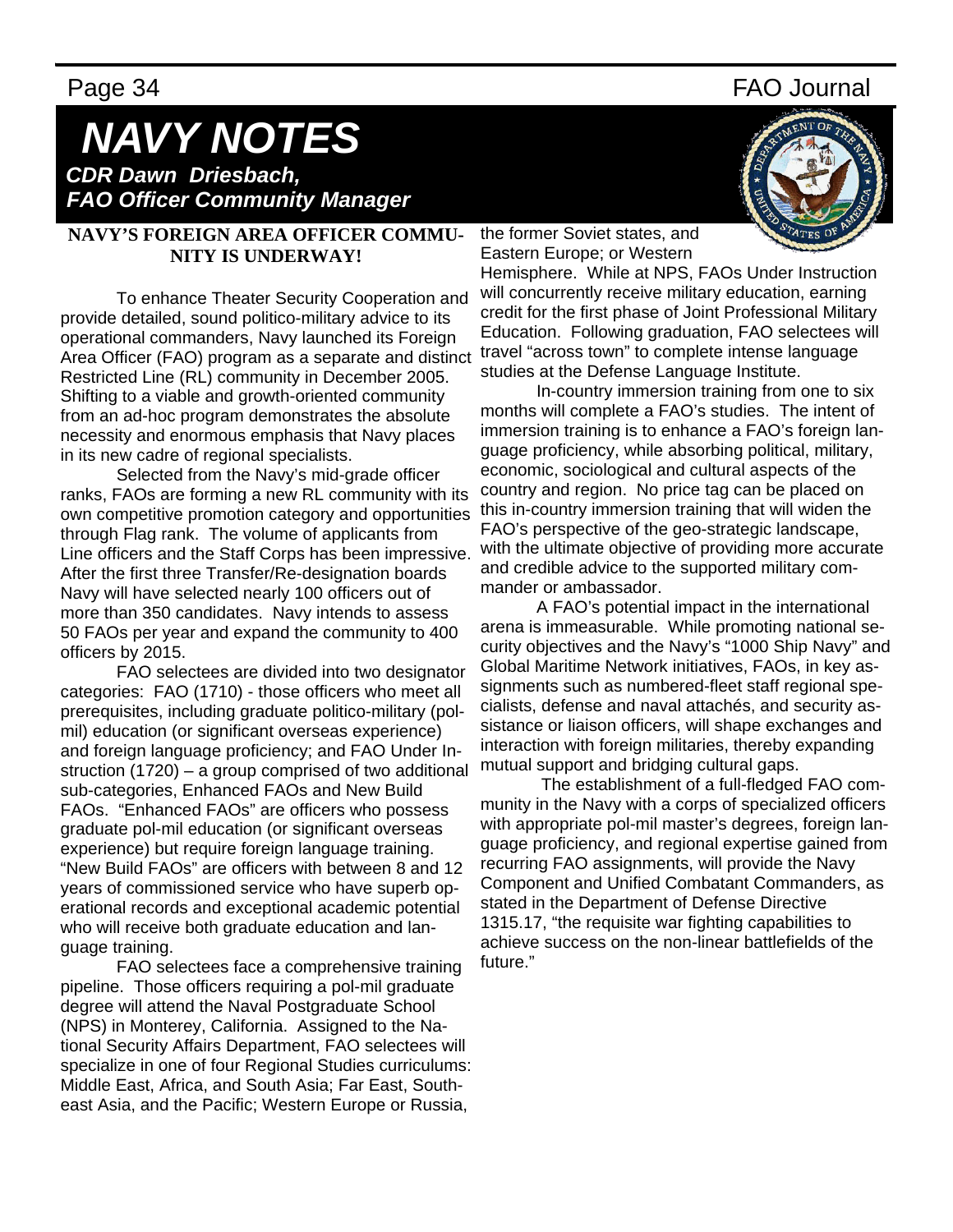### Page 34 FAO Journal

# *NAVY NOTES CDR Dawn Driesbach,*

 *FAO Officer Community Manager*

### **NAVY'S FOREIGN AREA OFFICER COMMU-NITY IS UNDERWAY!**

 To enhance Theater Security Cooperation and provide detailed, sound politico-military advice to its operational commanders, Navy launched its Foreign Area Officer (FAO) program as a separate and distinct Restricted Line (RL) community in December 2005. Shifting to a viable and growth-oriented community from an ad-hoc program demonstrates the absolute necessity and enormous emphasis that Navy places in its new cadre of regional specialists.

 Selected from the Navy's mid-grade officer ranks, FAOs are forming a new RL community with its own competitive promotion category and opportunities through Flag rank. The volume of applicants from Line officers and the Staff Corps has been impressive. After the first three Transfer/Re-designation boards Navy will have selected nearly 100 officers out of more than 350 candidates. Navy intends to assess 50 FAOs per year and expand the community to 400 officers by 2015.

FAO selectees are divided into two designator categories: FAO (1710) - those officers who meet all prerequisites, including graduate politico-military (polmil) education (or significant overseas experience) and foreign language proficiency; and FAO Under Instruction (1720) – a group comprised of two additional sub-categories, Enhanced FAOs and New Build FAOs. "Enhanced FAOs" are officers who possess graduate pol-mil education (or significant overseas experience) but require foreign language training. "New Build FAOs" are officers with between 8 and 12 years of commissioned service who have superb operational records and exceptional academic potential who will receive both graduate education and language training.

FAO selectees face a comprehensive training pipeline. Those officers requiring a pol-mil graduate degree will attend the Naval Postgraduate School (NPS) in Monterey, California. Assigned to the National Security Affairs Department, FAO selectees will specialize in one of four Regional Studies curriculums: Middle East, Africa, and South Asia; Far East, Southeast Asia, and the Pacific; Western Europe or Russia,



the former Soviet states, and Eastern Europe; or Western

Hemisphere. While at NPS, FAOs Under Instruction will concurrently receive military education, earning credit for the first phase of Joint Professional Military Education. Following graduation, FAO selectees will travel "across town" to complete intense language studies at the Defense Language Institute.

In-country immersion training from one to six months will complete a FAO's studies. The intent of immersion training is to enhance a FAO's foreign language proficiency, while absorbing political, military, economic, sociological and cultural aspects of the country and region. No price tag can be placed on this in-country immersion training that will widen the FAO's perspective of the geo-strategic landscape, with the ultimate objective of providing more accurate and credible advice to the supported military commander or ambassador.

A FAO's potential impact in the international arena is immeasurable. While promoting national security objectives and the Navy's "1000 Ship Navy" and Global Maritime Network initiatives, FAOs, in key assignments such as numbered-fleet staff regional specialists, defense and naval attachés, and security assistance or liaison officers, will shape exchanges and interaction with foreign militaries, thereby expanding mutual support and bridging cultural gaps.

 The establishment of a full-fledged FAO community in the Navy with a corps of specialized officers with appropriate pol-mil master's degrees, foreign language proficiency, and regional expertise gained from recurring FAO assignments, will provide the Navy Component and Unified Combatant Commanders, as stated in the Department of Defense Directive 1315.17, "the requisite war fighting capabilities to achieve success on the non-linear battlefields of the future."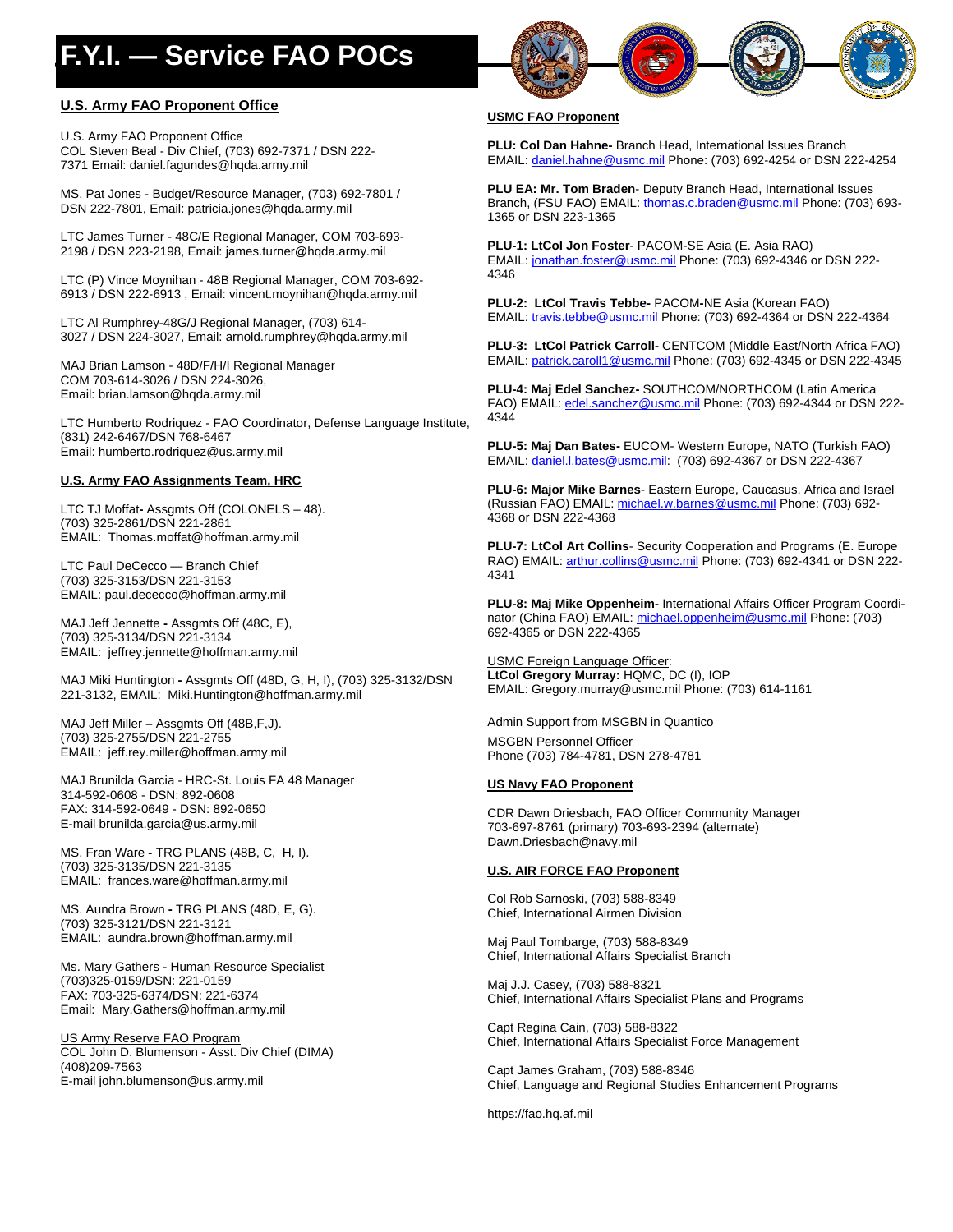# **F.Y.I. — Service FAO POCs**

### **U.S. Army FAO Proponent Office**

U.S. Army FAO Proponent Office COL Steven Beal - Div Chief, (703) 692-7371 / DSN 222- 7371 Email: daniel.fagundes@hqda.army.mil

MS. Pat Jones - Budget/Resource Manager, (703) 692-7801 / DSN 222-7801, Email: patricia.jones@hqda.army.mil

LTC James Turner - 48C/E Regional Manager, COM 703-693- 2198 / DSN 223-2198, Email: james.turner@hqda.army.mil

LTC (P) Vince Moynihan - 48B Regional Manager, COM 703-692- 6913 / DSN 222-6913 , Email: vincent.moynihan@hqda.army.mil

LTC Al Rumphrey-48G/J Regional Manager, (703) 614- 3027 / DSN 224-3027, Email: arnold.rumphrey@hqda.army.mil

MAJ Brian Lamson - 48D/F/H/I Regional Manager COM 703-614-3026 / DSN 224-3026, Email: brian.lamson@hqda.army.mil

LTC Humberto Rodriquez - FAO Coordinator, Defense Language Institute, (831) 242-6467/DSN 768-6467 Email: humberto.rodriquez@us.army.mil

### **U.S. Army FAO Assignments Team, HRC**

LTC TJ Moffat**-** Assgmts Off (COLONELS – 48). (703) 325-2861/DSN 221-2861 EMAIL: Thomas.moffat@hoffman.army.mil

LTC Paul DeCecco — Branch Chief (703) 325-3153/DSN 221-3153 EMAIL: paul.dececco@hoffman.army.mil

MAJ Jeff Jennette **-** Assgmts Off (48C, E), (703) 325-3134/DSN 221-3134 EMAIL: jeffrey.jennette@hoffman.army.mil

MAJ Miki Huntington **-** Assgmts Off (48D, G, H, I), (703) 325-3132/DSN 221-3132, EMAIL: Miki.Huntington@hoffman.army.mil

MAJ Jeff Miller **–** Assgmts Off (48B,F,J). (703) 325-2755/DSN 221-2755 EMAIL: jeff.rey.miller@hoffman.army.mil

MAJ Brunilda Garcia - HRC-St. Louis FA 48 Manager 314-592-0608 - DSN: 892-0608 FAX: 314-592-0649 - DSN: 892-0650 E-mail brunilda.garcia@us.army.mil

MS. Fran Ware **-** TRG PLANS (48B, C, H, I). (703) 325-3135/DSN 221-3135 EMAIL: frances.ware@hoffman.army.mil

MS. Aundra Brown **-** TRG PLANS (48D, E, G). (703) 325-3121/DSN 221-3121 EMAIL: aundra.brown@hoffman.army.mil

Ms. Mary Gathers - Human Resource Specialist (703)325-0159/DSN: 221-0159 FAX: 703-325-6374/DSN: 221-6374 Email: Mary.Gathers@hoffman.army.mil

US Army Reserve FAO Program COL John D. Blumenson - Asst. Div Chief (DIMA) (408)209-7563 E-mail john.blumenson@us.army.mil



### **USMC FAO Proponent**

**PLU: Col Dan Hahne-** Branch Head, International Issues Branch EMAIL: daniel.hahne@usmc.mil Phone: (703) 692-4254 or DSN 222-4254

**PLU EA: Mr. Tom Braden**- Deputy Branch Head, International Issues Branch, (FSU FAO) EMAIL: thomas.c.braden@usmc.mil Phone: (703) 693-1365 or DSN 223-1365

**PLU-1: LtCol Jon Foster**- PACOM-SE Asia (E. Asia RAO) EMAIL: jonathan.foster@usmc.mil Phone: (703) 692-4346 or DSN 222-4346

**PLU-2: LtCol Travis Tebbe-** PACOM**-**NE Asia (Korean FAO) EMAIL: travis.tebbe@usmc.mil Phone: (703) 692-4364 or DSN 222-4364

**PLU-3: LtCol Patrick Carroll- CENTCOM (Middle East/North Africa FAO)** EMAIL: patrick.caroll1@usmc.mil Phone: (703) 692-4345 or DSN 222-4345

**PLU-4: Maj Edel Sanchez-** SOUTHCOM/NORTHCOM (Latin America FAO) EMAIL: edel.sanchez@usmc.mil Phone: (703) 692-4344 or DSN 222-4344

**PLU-5: Maj Dan Bates-** EUCOM- Western Europe, NATO (Turkish FAO) EMAIL: daniel.l.bates@usmc.mil: (703) 692-4367 or DSN 222-4367

**PLU-6: Major Mike Barnes**- Eastern Europe, Caucasus, Africa and Israel (Russian FAO) EMAIL: michael.w.barnes@usmc.mil Phone: (703) 692-4368 or DSN 222-4368

**PLU-7: LtCol Art Collins**- Security Cooperation and Programs (E. Europe RAO) EMAIL: arthur.collins@usmc.mil Phone: (703) 692-4341 or DSN 222-4341

**PLU-8: Maj Mike Oppenheim-** International Affairs Officer Program Coordinator (China FAO) EMAIL: michael.oppenheim@usmc.mil Phone: (703) 692-4365 or DSN 222-4365

USMC Foreign Language Officer: **LtCol Gregory Murray:** HQMC, DC (I), IOP EMAIL: Gregory.murray@usmc.mil Phone: (703) 614-1161

Admin Support from MSGBN in Quantico MSGBN Personnel Officer Phone (703) 784-4781, DSN 278-4781

### **US Navy FAO Proponent**

CDR Dawn Driesbach, FAO Officer Community Manager 703-697-8761 (primary) 703-693-2394 (alternate) Dawn.Driesbach@navy.mil

### **U.S. AIR FORCE FAO Proponent**

Col Rob Sarnoski, (703) 588-8349 Chief, International Airmen Division

Maj Paul Tombarge, (703) 588-8349 Chief, International Affairs Specialist Branch

Maj J.J. Casey, (703) 588-8321 Chief, International Affairs Specialist Plans and Programs

Capt Regina Cain, (703) 588-8322 Chief, International Affairs Specialist Force Management

Capt James Graham, (703) 588-8346 Chief, Language and Regional Studies Enhancement Programs

https://fao.hq.af.mil